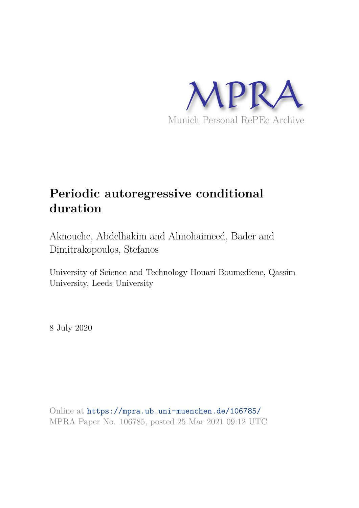

## **Periodic autoregressive conditional duration**

Aknouche, Abdelhakim and Almohaimeed, Bader and Dimitrakopoulos, Stefanos

University of Science and Technology Houari Boumediene, Qassim University, Leeds University

8 July 2020

Online at https://mpra.ub.uni-muenchen.de/106785/ MPRA Paper No. 106785, posted 25 Mar 2021 09:12 UTC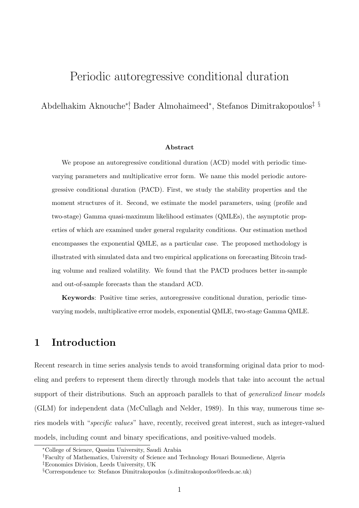## Periodic autoregressive conditional duration

Abdelhakim Aknouche∗†, Bader Almohaimeed<sup>∗</sup> , Stefanos Dimitrakopoulos‡ §

#### Abstract

We propose an autoregressive conditional duration (ACD) model with periodic timevarying parameters and multiplicative error form. We name this model periodic autoregressive conditional duration (PACD). First, we study the stability properties and the moment structures of it. Second, we estimate the model parameters, using (profile and two-stage) Gamma quasi-maximum likelihood estimates (QMLEs), the asymptotic properties of which are examined under general regularity conditions. Our estimation method encompasses the exponential QMLE, as a particular case. The proposed methodology is illustrated with simulated data and two empirical applications on forecasting Bitcoin trading volume and realized volatility. We found that the PACD produces better in-sample and out-of-sample forecasts than the standard ACD.

Keywords: Positive time series, autoregressive conditional duration, periodic timevarying models, multiplicative error models, exponential QMLE, two-stage Gamma QMLE.

## 1 Introduction

Recent research in time series analysis tends to avoid transforming original data prior to modeling and prefers to represent them directly through models that take into account the actual support of their distributions. Such an approach parallels to that of *generalized linear models* (GLM) for independent data (McCullagh and Nelder, 1989). In this way, numerous time series models with "specific values" have, recently, received great interest, such as integer-valued models, including count and binary specifications, and positive-valued models.

<sup>∗</sup>College of Science, Qassim University, Saudi Arabia

<sup>†</sup>Faculty of Mathematics, University of Science and Technology Houari Boumediene, Algeria

<sup>‡</sup>Economics Division, Leeds University, UK

<sup>§</sup>Correspondence to: Stefanos Dimitrakopoulos (s.dimitrakopoulos@leeds.ac.uk)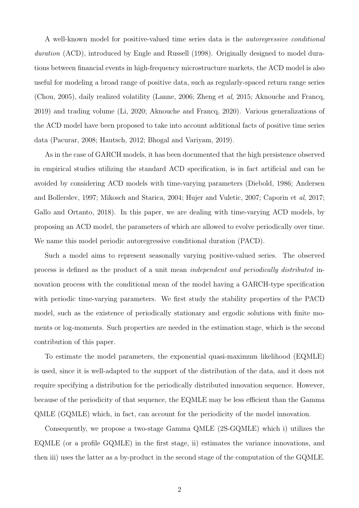A well-known model for positive-valued time series data is the autoregressive conditional duration (ACD), introduced by Engle and Russell (1998). Originally designed to model durations between financial events in high-frequency microstructure markets, the ACD model is also useful for modeling a broad range of positive data, such as regularly-spaced return range series (Chou, 2005), daily realized volatility (Lanne, 2006; Zheng et al, 2015; Aknouche and Francq, 2019) and trading volume (Li, 2020; Aknouche and Francq, 2020). Various generalizations of the ACD model have been proposed to take into account additional facts of positive time series data (Pacurar, 2008; Hautsch, 2012; Bhogal and Variyam, 2019).

As in the case of GARCH models, it has been documented that the high persistence observed in empirical studies utilizing the standard ACD specification, is in fact artificial and can be avoided by considering ACD models with time-varying parameters (Diebold, 1986; Andersen and Bollerslev, 1997; Mikosch and Starica, 2004; Hujer and Vuletic, 2007; Caporin et al, 2017; Gallo and Ortanto, 2018). In this paper, we are dealing with time-varying ACD models, by proposing an ACD model, the parameters of which are allowed to evolve periodically over time. We name this model periodic autoregressive conditional duration (PACD).

Such a model aims to represent seasonally varying positive-valued series. The observed process is defined as the product of a unit mean independent and periodically distributed innovation process with the conditional mean of the model having a GARCH-type specification with periodic time-varying parameters. We first study the stability properties of the PACD model, such as the existence of periodically stationary and ergodic solutions with finite moments or log-moments. Such properties are needed in the estimation stage, which is the second contribution of this paper.

To estimate the model parameters, the exponential quasi-maximum likelihood (EQMLE) is used, since it is well-adapted to the support of the distribution of the data, and it does not require specifying a distribution for the periodically distributed innovation sequence. However, because of the periodicity of that sequence, the EQMLE may be less efficient than the Gamma QMLE (GQMLE) which, in fact, can account for the periodicity of the model innovation.

Consequently, we propose a two-stage Gamma QMLE (2S-GQMLE) which i) utilizes the EQMLE (or a profile GQMLE) in the first stage, ii) estimates the variance innovations, and then iii) uses the latter as a by-product in the second stage of the computation of the GQMLE.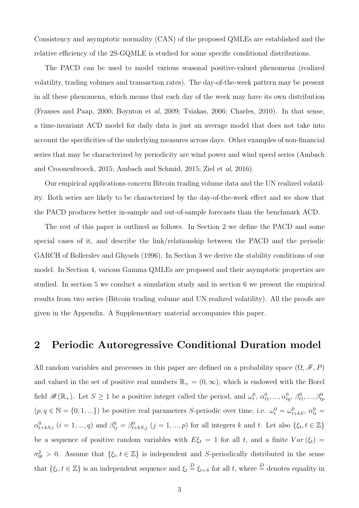Consistency and asymptotic normality (CAN) of the proposed QMLEs are established and the relative efficiency of the 2S-GQMLE is studied for some specific conditional distributions.

The PACD can be used to model various seasonal positive-valued phenomena (realized volatility, trading volumes and transaction rates). The day-of-the-week pattern may be present in all these phenomena, which means that each day of the week may have its own distribution (Franses and Paap, 2000; Boynton et al, 2009; Tsiakas, 2006; Charles, 2010). In that sense, a time-invariant ACD model for daily data is just an average model that does not take into account the specificities of the underlying measures across days. Other examples of non-financial series that may be characterized by periodicity are wind power and wind speed series (Ambach and Croonenbroeck, 2015; Ambach and Schmid, 2015; Ziel et al, 2016).

Our empirical applications concern Bitcoin trading volume data and the UN realized volatility. Both series are likely to be characterized by the day-of-the-week effect and we show that the PACD produces better in-sample and out-of-sample forecasts than the benchmark ACD.

The rest of this paper is outlined as follows. In Section 2 we define the PACD and some special cases of it, and describe the link/relationship between the PACD and the periodic GARCH of Bollerslev and Ghysels (1996). In Section 3 we derive the stability conditions of our model. In Section 4, various Gamma QMLEs are proposed and their asymptotic properties are studied. In section 5 we conduct a simulation study and in section 6 we present the empirical results from two series (Bitcoin trading volume and UN realized volatility). All the proofs are given in the Appendix. A Supplementary material accompanies this paper.

### 2 Periodic Autoregressive Conditional Duration model

All random variables and processes in this paper are defined on a probability space  $(\Omega, \mathscr{F}, P)$ and valued in the set of positive real numbers  $\mathbb{R}_+ = (0, \infty)$ , which is endowed with the Borel field  $\mathscr{B}(\mathbb{R}_{+})$ . Let  $S \geq 1$  be a positive integer called the period, and  $\omega_t^0$ ,  $\alpha_{t1}^0$ , ...,  $\alpha_{tq}^0$ ,  $\beta_{t1}^0$ , ...,  $\beta_{tp}^0$  $(p, q \in \mathbb{N} = \{0, 1, ...\})$  be positive real parameters S-periodic over time, i.e.  $\omega_t^0 = \omega_{t+ks}^0$ ,  $\alpha_{ti}^0 = \alpha_{t+ks}^0$  $\alpha_{t+kS,i}^0$   $(i = 1, ..., q)$  and  $\beta_{tj}^0 = \beta_{t+kS,j}^0$   $(j = 1, ..., p)$  for all integers k and t. Let also  $\{\xi_t, t \in \mathbb{Z}\}\$ be a sequence of positive random variables with  $E\xi_t = 1$  for all t, and a finite  $Var(\xi_t) =$  $\sigma_{0t}^2 > 0$ . Assume that  $\{\xi_t, t \in \mathbb{Z}\}\$ is independent and S-periodically distributed in the sense that  $\{\xi_t, t \in \mathbb{Z}\}\$  is an independent sequence and  $\xi_t \stackrel{D}{=} \xi_{t+S}$  for all t, where  $\stackrel{D}{=}$  denotes equality in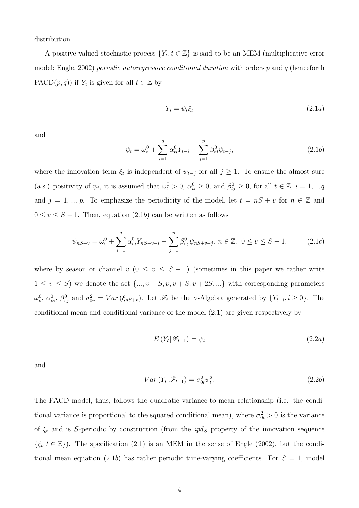distribution.

A positive-valued stochastic process  $\{Y_t, t \in \mathbb{Z}\}$  is said to be an MEM (multiplicative error model; Engle, 2002) periodic autoregressive conditional duration with orders  $p$  and  $q$  (henceforth PACD $(p, q)$ ) if  $Y_t$  is given for all  $t \in \mathbb{Z}$  by

$$
Y_t = \psi_t \xi_t \tag{2.1a}
$$

and

$$
\psi_t = \omega_t^0 + \sum_{i=1}^q \alpha_{ti}^0 Y_{t-i} + \sum_{j=1}^p \beta_{tj}^0 \psi_{t-j},
$$
\n(2.1b)

where the innovation term  $\xi_t$  is independent of  $\psi_{t-j}$  for all  $j \geq 1$ . To ensure the almost sure (a.s.) positivity of  $\psi_t$ , it is assumed that  $\omega_t^0 > 0$ ,  $\alpha_{ti}^0 \ge 0$ , and  $\beta_{tj}^0 \ge 0$ , for all  $t \in \mathbb{Z}$ ,  $i = 1, ..., q$ and  $j = 1, ..., p$ . To emphasize the periodicity of the model, let  $t = nS + v$  for  $n \in \mathbb{Z}$  and  $0 \le v \le S - 1$ . Then, equation (2.1b) can be written as follows

$$
\psi_{nS+v} = \omega_v^0 + \sum_{i=1}^q \alpha_{vi}^0 Y_{nS+v-i} + \sum_{j=1}^p \beta_{vj}^0 \psi_{nS+v-j}, \ n \in \mathbb{Z}, \ 0 \le v \le S-1,\tag{2.1c}
$$

where by season or channel v  $(0 \le v \le S - 1)$  (sometimes in this paper we rather write  $1 \le v \le S$ ) we denote the set  $\{..., v - S, v, v + S, v + 2S, ...\}$  with corresponding parameters  $\omega_v^0$ ,  $\alpha_{vi}^0$ ,  $\beta_{vj}^0$  and  $\sigma_{0v}^2 = Var(\xi_{nS+v})$ . Let  $\mathscr{F}_t$  be the  $\sigma$ -Algebra generated by  $\{Y_{t-i}, i \geq 0\}$ . The conditional mean and conditional variance of the model (2.1) are given respectively by

$$
E(Y_t|\mathscr{F}_{t-1}) = \psi_t \tag{2.2a}
$$

and

$$
Var(Y_t|\mathcal{F}_{t-1}) = \sigma_{0t}^2 \psi_t^2.
$$
\n(2.2b)

The PACD model, thus, follows the quadratic variance-to-mean relationship (i.e. the conditional variance is proportional to the squared conditional mean), where  $\sigma_{0t}^2 > 0$  is the variance of  $\xi_t$  and is S-periodic by construction (from the  $ipd_s$  property of the innovation sequence  $\{\xi_t, t \in \mathbb{Z}\}\)$ . The specification (2.1) is an MEM in the sense of Engle (2002), but the conditional mean equation (2.1b) has rather periodic time-varying coefficients. For  $S = 1$ , model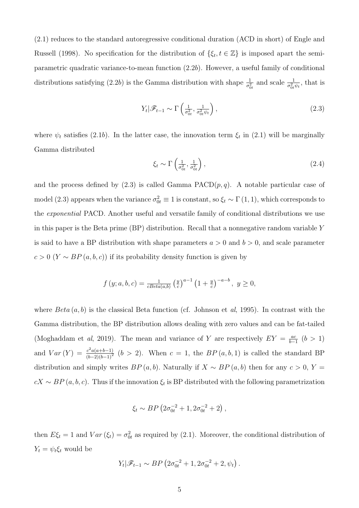(2.1) reduces to the standard autoregressive conditional duration (ACD in short) of Engle and Russell (1998). No specification for the distribution of  $\{\xi_t, t \in \mathbb{Z}\}\$  is imposed apart the semiparametric quadratic variance-to-mean function (2.2b). However, a useful family of conditional distributions satisfying (2.2b) is the Gamma distribution with shape  $\frac{1}{\sigma_{0t}^2}$  and scale  $\frac{1}{\sigma_{0t}^2 \psi_t}$ , that is

$$
Y_t | \mathscr{F}_{t-1} \sim \Gamma\left(\frac{1}{\sigma_{0t}^2}, \frac{1}{\sigma_{0t}^2 \psi_t}\right), \tag{2.3}
$$

where  $\psi_t$  satisfies (2.1b). In the latter case, the innovation term  $\xi_t$  in (2.1) will be marginally Gamma distributed

$$
\xi_t \sim \Gamma\left(\frac{1}{\sigma_{0t}^2}, \frac{1}{\sigma_{0t}^2}\right),\tag{2.4}
$$

and the process defined by  $(2.3)$  is called Gamma PACD $(p, q)$ . A notable particular case of model (2.3) appears when the variance  $\sigma_{0t}^2 \equiv 1$  is constant, so  $\xi_t \sim \Gamma(1,1)$ , which corresponds to the exponential PACD. Another useful and versatile family of conditional distributions we use in this paper is the Beta prime (BP) distribution. Recall that a nonnegative random variable Y is said to have a BP distribution with shape parameters  $a > 0$  and  $b > 0$ , and scale parameter  $c > 0$  (Y ~ BP  $(a, b, c)$ ) if its probability density function is given by

$$
f(y; a, b, c) = \frac{1}{cBeta(a, b)} \left(\frac{y}{c}\right)^{a-1} \left(1 + \frac{y}{c}\right)^{-a-b}, y \ge 0,
$$

where  $Beta(a, b)$  is the classical Beta function (cf. Johnson et al, 1995). In contrast with the Gamma distribution, the BP distribution allows dealing with zero values and can be fat-tailed (Moghaddam et al, 2019). The mean and variance of Y are respectively  $EY = \frac{ac}{b-1}$  $\frac{ac}{b-1}$   $(b > 1)$ and  $Var(Y) = \frac{c^2 a (a+b-1)}{(b-2)(b-1)^2}$   $(b > 2)$ . When  $c = 1$ , the  $BP(a, b, 1)$  is called the standard BP distribution and simply writes  $BP(a, b)$ . Naturally if  $X \sim BP(a, b)$  then for any  $c > 0$ ,  $Y =$  $cX \sim BP(a, b, c)$ . Thus if the innovation  $\xi_t$  is BP distributed with the following parametrization

$$
\xi_t \sim BP\left(2\sigma_{0t}^{-2} + 1, 2\sigma_{0t}^{-2} + 2\right),\,
$$

then  $E\xi_t = 1$  and  $Var(\xi_t) = \sigma_{0t}^2$  as required by (2.1). Moreover, the conditional distribution of  $Y_t = \psi_t \xi_t$  would be

$$
Y_t | \mathscr{F}_{t-1} \sim BP\left(2\sigma_{0t}^{-2} + 1, 2\sigma_{0t}^{-2} + 2, \psi_t\right).
$$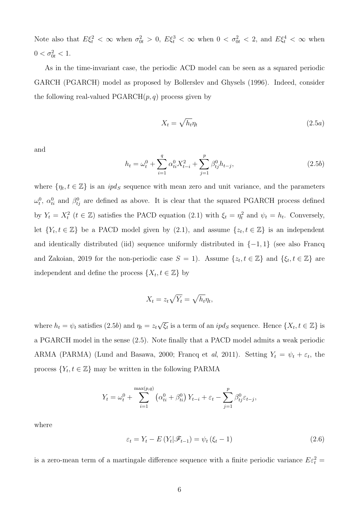Note also that  $E\xi_t^2 < \infty$  when  $\sigma_{0t}^2 > 0$ ,  $E\xi_t^3 < \infty$  when  $0 < \sigma_{0t}^2 < 2$ , and  $E\xi_t^4 < \infty$  when  $0 < \sigma_{0t}^2 < 1.$ 

As in the time-invariant case, the periodic ACD model can be seen as a squared periodic GARCH (PGARCH) model as proposed by Bollerslev and Ghysels (1996). Indeed, consider the following real-valued  $PGARCH(p, q)$  process given by

$$
X_t = \sqrt{h_t} \eta_t \tag{2.5a}
$$

and

$$
h_t = \omega_t^0 + \sum_{i=1}^q \alpha_{ti}^0 X_{t-i}^2 + \sum_{j=1}^p \beta_{tj}^0 h_{t-j},
$$
\n(2.5*b*)

where  $\{\eta_t, t \in \mathbb{Z}\}\$  is an  $ipd_s$  sequence with mean zero and unit variance, and the parameters  $\omega_t^0$ ,  $\alpha_{ti}^0$  and  $\beta_{tj}^0$  are defined as above. It is clear that the squared PGARCH process defined by  $Y_t = X_t^2$   $(t \in \mathbb{Z})$  satisfies the PACD equation (2.1) with  $\xi_t = \eta_t^2$  and  $\psi_t = h_t$ . Conversely, let  $\{Y_t, t \in \mathbb{Z}\}\$  be a PACD model given by  $(2.1)$ , and assume  $\{z_t, t \in \mathbb{Z}\}\$  is an independent and identically distributed (iid) sequence uniformly distributed in  $\{-1, 1\}$  (see also Francq and Zakoian, 2019 for the non-periodic case  $S = 1$ ). Assume  $\{z_t, t \in \mathbb{Z}\}\$ and  $\{\xi_t, t \in \mathbb{Z}\}\$ are independent and define the process  $\{X_t, t \in \mathbb{Z}\}\$  by

$$
X_t = z_t \sqrt{Y_t} = \sqrt{h_t} \eta_t,
$$

where  $h_t = \psi_t$  satisfies (2.5b) and  $\eta_t = z_t \sqrt{\xi_t}$  is a term of an  $ipd_s$  sequence. Hence  $\{X_t, t \in \mathbb{Z}\}$  is a PGARCH model in the sense (2.5). Note finally that a PACD model admits a weak periodic ARMA (PARMA) (Lund and Basawa, 2000; Francq et al, 2011). Setting  $Y_t = \psi_t + \varepsilon_t$ , the process  $\{Y_t, t \in \mathbb{Z}\}\$  may be written in the following PARMA

$$
Y_t = \omega_t^0 + \sum_{i=1}^{\max(p,q)} (\alpha_{ti}^0 + \beta_{ti}^0) Y_{t-i} + \varepsilon_t - \sum_{j=1}^p \beta_{tj}^0 \varepsilon_{t-j},
$$

where

$$
\varepsilon_t = Y_t - E\left(Y_t|\mathcal{F}_{t-1}\right) = \psi_t\left(\xi_t - 1\right) \tag{2.6}
$$

is a zero-mean term of a martingale difference sequence with a finite periodic variance  $E\varepsilon_t^2$  =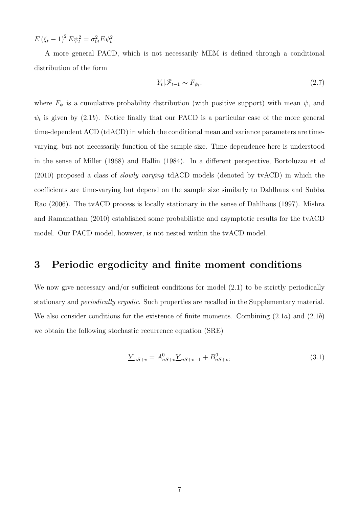$E (\xi_t - 1)^2 E \psi_t^2 = \sigma_{0t}^2 E \psi_t^2.$ 

A more general PACD, which is not necessarily MEM is defined through a conditional distribution of the form

$$
Y_t | \mathcal{F}_{t-1} \sim F_{\psi_t}, \tag{2.7}
$$

where  $F_{\psi}$  is a cumulative probability distribution (with positive support) with mean  $\psi$ , and  $\psi_t$  is given by (2.1b). Notice finally that our PACD is a particular case of the more general time-dependent ACD (tdACD) in which the conditional mean and variance parameters are timevarying, but not necessarily function of the sample size. Time dependence here is understood in the sense of Miller (1968) and Hallin (1984). In a different perspective, Bortoluzzo et al (2010) proposed a class of slowly varying tdACD models (denoted by tvACD) in which the coefficients are time-varying but depend on the sample size similarly to Dahlhaus and Subba Rao (2006). The tvACD process is locally stationary in the sense of Dahlhaus (1997). Mishra and Ramanathan (2010) established some probabilistic and asymptotic results for the tvACD model. Our PACD model, however, is not nested within the tvACD model.

## 3 Periodic ergodicity and finite moment conditions

We now give necessary and/or sufficient conditions for model  $(2.1)$  to be strictly periodically stationary and periodically ergodic. Such properties are recalled in the Supplementary material. We also consider conditions for the existence of finite moments. Combining  $(2.1a)$  and  $(2.1b)$ we obtain the following stochastic recurrence equation (SRE)

$$
\underline{Y}_{nS+v} = A_{nS+v}^0 \underline{Y}_{nS+v-1} + B_{nS+v}^0,\tag{3.1}
$$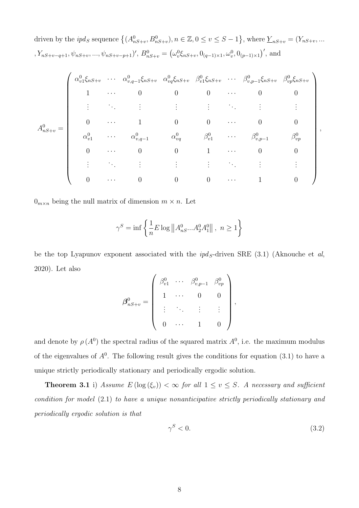driven by the  $ipd_S$  sequence  $\{(A^0_{nS+v}, B^0_{nS+v}), n \in \mathbb{Z}, 0 \le v \le S-1\}$ , where  $\underline{Y}_{nS+v} = (Y_{nS+v}, \dots, Y_{nS+v})$ ,  $Y_{nS+v-q+1}$ ,  $\psi_{nS+v}$ , ...,  $\psi_{nS+v-p+1}$ ',  $B_{nS+v}^0 = (\omega_v^0 \xi_{nS+v}, 0_{(q-1)\times 1}, \omega_v^0, 0_{(p-1)\times 1})'$ , and

$$
A_{nS+v}^{0} = \left(\begin{array}{ccccccccc} \alpha_{v1}^{0}\xi_{nS+v} & \cdots & \alpha_{v,q-1}^{0}\xi_{nS+v} & \alpha_{vq}^{0}\xi_{nS+v} & \beta_{v1}^{0}\xi_{nS+v} & \cdots & \beta_{v,p-1}^{0}\xi_{nS+v} & \beta_{vp}^{0}\xi_{nS+v} \\ 1 & \cdots & 0 & 0 & 0 & \cdots & 0 & 0 \\ \vdots & \vdots & \vdots & \vdots & \vdots & \ddots & \vdots & \vdots \\ 0 & \cdots & 1 & 0 & 0 & \cdots & 0 & 0 \\ \alpha_{v1}^{0} & \cdots & \alpha_{v,q-1}^{0} & \alpha_{vq}^{0} & \beta_{v1}^{0} & \cdots & \beta_{v,p-1}^{0} & \beta_{vp}^{0} \\ 0 & \cdots & 0 & 0 & 1 & \cdots & 0 & 0 \\ \vdots & \vdots & \vdots & \vdots & \vdots & \ddots & \vdots & \vdots \\ 0 & \cdots & 0 & 0 & 0 & \cdots & 1 & 0 \end{array}\right),
$$

 $0_{m \times n}$  being the null matrix of dimension  $m \times n$ . Let

$$
\gamma^S=\inf\left\{\frac{1}{n}E\log{\left\|A^0_{nS}...A^0_2A^0_1\right\|}\,,\ n\geq 1\right\}
$$

be the top Lyapunov exponent associated with the  $ipd<sub>S</sub>$ -driven SRE (3.1) (Aknouche et al, 2020). Let also

$$
\boldsymbol{\beta}_{nS+v}^0 = \left( \begin{array}{cccc} \beta_{v1}^0 & \cdots & \beta_{v,p-1}^0 & \beta_{vp}^0 \\[1ex] 1 & \cdots & 0 & 0 \\[1ex] \vdots & \ddots & \vdots & \vdots \\[1ex] 0 & \cdots & 1 & 0 \end{array} \right),
$$

and denote by  $\rho(A^0)$  the spectral radius of the squared matrix  $A^0$ , i.e. the maximum modulus of the eigenvalues of  $A^0$ . The following result gives the conditions for equation  $(3.1)$  to have a unique strictly periodically stationary and periodically ergodic solution.

**Theorem 3.1** i) Assume  $E(\log(\xi_v)) < \infty$  for all  $1 \le v \le S$ . A necessary and sufficient condition for model (2.1) to have a unique nonanticipative strictly periodically stationary and periodically ergodic solution is that

$$
\gamma^S < 0. \tag{3.2}
$$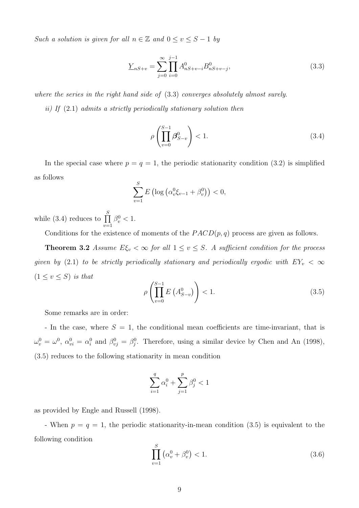Such a solution is given for all  $n \in \mathbb{Z}$  and  $0 \le v \le S - 1$  by

$$
\underline{Y}_{nS+v} = \sum_{j=0}^{\infty} \prod_{i=0}^{j-1} A_{nS+v-i}^0 B_{nS+v-j}^0,
$$
\n(3.3)

where the series in the right hand side of (3.3) converges absolutely almost surely.

ii) If (2.1) admits a strictly periodically stationary solution then

$$
\rho\left(\prod_{v=0}^{S-1}\beta_{S-v}^0\right) < 1.\tag{3.4}
$$

In the special case where  $p = q = 1$ , the periodic stationarity condition (3.2) is simplified as follows

$$
\sum_{v=1}^{S} E\left(\log\left(\alpha_v^0 \xi_{v-1} + \beta_v^0\right)\right) < 0,
$$

while (3.4) reduces to  $\prod_{n=1}^{S}$  $v=1$  $\beta_v^0 < 1.$ 

Conditions for the existence of moments of the  $PACD(p, q)$  process are given as follows.

**Theorem 3.2** Assume  $E\xi_v < \infty$  for all  $1 \le v \le S$ . A sufficient condition for the process given by (2.1) to be strictly periodically stationary and periodically ergodic with  $EY_v < \infty$  $(1 \le v \le S)$  is that

$$
\rho\left(\prod_{v=0}^{S-1} E\left(A_{S-v}^0\right)\right) < 1. \tag{3.5}
$$

Some remarks are in order:

- In the case, where  $S = 1$ , the conditional mean coefficients are time-invariant, that is  $\omega_v^0 = \omega^0$ ,  $\alpha_{vi}^0 = \alpha_i^0$  and  $\beta_{vj}^0 = \beta_j^0$ . Therefore, using a similar device by Chen and An (1998), (3.5) reduces to the following stationarity in mean condition

$$
\sum_{i=1}^q \alpha_i^0 + \sum_{j=1}^p \beta_j^0 < 1
$$

as provided by Engle and Russell (1998).

- When  $p = q = 1$ , the periodic stationarity-in-mean condition (3.5) is equivalent to the following condition

$$
\prod_{v=1}^{S} (\alpha_v^0 + \beta_v^0) < 1. \tag{3.6}
$$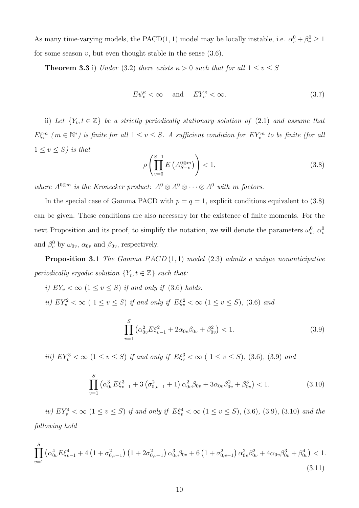As many time-varying models, the PACD(1, 1) model may be locally instable, i.e.  $\alpha_v^0 + \beta_v^0 \ge 1$ for some season  $v$ , but even thought stable in the sense  $(3.6)$ .

**Theorem 3.3** i) Under (3.2) there exists  $\kappa > 0$  such that for all  $1 \le v \le S$ 

$$
E\psi_v^{\kappa} < \infty \quad \text{and} \quad EY_v^{\kappa} < \infty. \tag{3.7}
$$

ii) Let  $\{Y_t, t \in \mathbb{Z}\}\$ be a strictly periodically stationary solution of (2.1) and assume that  $E\xi_v^m$  ( $m \in \mathbb{N}^*$ ) is finite for all  $1 \le v \le S$ . A sufficient condition for  $EY_v^m$  to be finite (for all  $1 \leq v \leq S$ ) is that

$$
\rho\left(\prod_{v=0}^{S-1} E\left(A_{S-v}^{0\otimes m}\right)\right) < 1,\tag{3.8}
$$

where  $A^{0\otimes m}$  is the Kronecker product:  $A^0 \otimes A^0 \otimes \cdots \otimes A^0$  with m factors.

In the special case of Gamma PACD with  $p = q = 1$ , explicit conditions equivalent to (3.8) can be given. These conditions are also necessary for the existence of finite moments. For the next Proposition and its proof, to simplify the notation, we will denote the parameters  $\omega_v^0$ ,  $\alpha_v^0$ and  $\beta_v^0$  by  $\omega_{0v}$ ,  $\alpha_{0v}$  and  $\beta_{0v}$ , respectively.

**Proposition 3.1** The Gamma  $PACD(1,1)$  model (2.3) admits a unique nonanticipative periodically ergodic solution  $\{Y_t, t \in \mathbb{Z}\}\$  such that:

- i)  $EY_v < \infty$  ( $1 \le v \le S$ ) if and only if (3.6) holds.
- ii)  $EY_v^2 < \infty$  (  $1 \le v \le S$ ) if and only if  $E\xi_v^2 < \infty$  ( $1 \le v \le S$ ), (3.6) and

$$
\prod_{v=1}^{S} \left( \alpha_{0v}^2 E \xi_{v-1}^2 + 2 \alpha_{0v} \beta_{0v} + \beta_{0v}^2 \right) < 1. \tag{3.9}
$$

iii)  $EY_v^3 < \infty$  ( $1 \le v \le S$ ) if and only if  $E\xi_v^3 < \infty$  ( $1 \le v \le S$ ), (3.6), (3.9) and

$$
\prod_{v=1}^{S} \left( \alpha_{0v}^{3} E \xi_{v-1}^{3} + 3 \left( \sigma_{0,v-1}^{2} + 1 \right) \alpha_{0v}^{2} \beta_{0v} + 3 \alpha_{0v} \beta_{0v}^{2} + \beta_{0v}^{3} \right) < 1.
$$
 (3.10)

iv)  $EY_v^4 < \infty$  ( $1 \le v \le S$ ) if and only if  $E\xi_v^4 < \infty$  ( $1 \le v \le S$ ), (3.6), (3.9), (3.10) and the following hold

$$
\prod_{v=1}^{S} \left( \alpha_{0v}^4 E \xi_{v-1}^4 + 4 \left( 1 + \sigma_{0,v-1}^2 \right) \left( 1 + 2\sigma_{0,v-1}^2 \right) \alpha_{0v}^3 \beta_{0v} + 6 \left( 1 + \sigma_{0,v-1}^2 \right) \alpha_{0v}^2 \beta_{0v}^2 + 4\alpha_{0v} \beta_{0v}^3 + \beta_{0v}^4 \right) < 1. \tag{3.11}
$$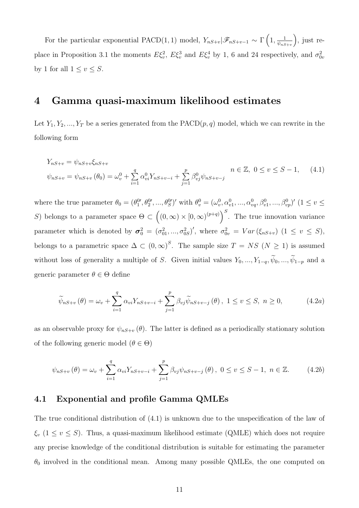For the particular exponential PACD(1, 1) model,  $Y_{nS+v}|\mathscr{F}_{nS+v-1} \sim \Gamma\left(1, \frac{1}{\psi_{nS}}\right)$  $\psi_{nS+v}$  , just replace in Proposition 3.1 the moments  $E\xi_v^2$ ,  $E\xi_v^3$  and  $E\xi_v^4$  by 1, 6 and 24 respectively, and  $\sigma_{0v}^2$ by 1 for all  $1 \le v \le S$ .

### 4 Gamma quasi-maximum likelihood estimates

Let  $Y_1, Y_2, ..., Y_T$  be a series generated from the  $PACD(p, q)$  model, which we can rewrite in the following form

$$
Y_{nS+v} = \psi_{nS+v} \xi_{nS+v}
$$
  

$$
\psi_{nS+v} = \psi_{nS+v} (\theta_0) = \omega_v^0 + \sum_{i=1}^q \alpha_{vi}^0 Y_{nS+v-i} + \sum_{j=1}^p \beta_{vj}^0 \psi_{nS+v-j}
$$
  

$$
n \in \mathbb{Z}, 0 \le v \le S-1, \quad (4.1)
$$

where the true parameter  $\theta_0 = (\theta_1^{0}, \theta_2^{0}, ..., \theta_S^{0})'$  with  $\theta_v^0 = (\omega_v^0, \alpha_{v1}^0, ..., \alpha_{vq}^0, \beta_{v1}^0, ..., \beta_{vp}^0)'$  ( $1 \le v \le v$ S) belongs to a parameter space  $\Theta \subset ((0,\infty) \times [0,\infty)^{(p+q)})^S$ . The true innovation variance parameter which is denoted by  $\sigma_0^2 = (\sigma_{01}^2, ..., \sigma_{0S}^2)'$ , where  $\sigma_{0v}^2 = Var(\xi_{nS+v})$   $(1 \le v \le S)$ , belongs to a parametric space  $\Delta \subset (0,\infty)^S$ . The sample size  $T = NS (N \ge 1)$  is assumed without loss of generality a multiple of S. Given initial values  $Y_0, ..., Y_{1-q}, \widetilde{\psi}_0, ..., \widetilde{\psi}_{1-p}$  and a generic parameter  $\theta \in \Theta$  define

$$
\widetilde{\psi}_{nS+v}(\theta) = \omega_v + \sum_{i=1}^{q} \alpha_{vi} Y_{nS+v-i} + \sum_{j=1}^{p} \beta_{vj} \widetilde{\psi}_{nS+v-j}(\theta), \ 1 \le v \le S, \ n \ge 0,
$$
\n(4.2a)

as an observable proxy for  $\psi_{nS+v}(\theta)$ . The latter is defined as a periodically stationary solution of the following generic model  $(\theta \in \Theta)$ 

$$
\psi_{nS+v}(\theta) = \omega_v + \sum_{i=1}^q \alpha_{vi} Y_{nS+v-i} + \sum_{j=1}^p \beta_{vj} \psi_{nS+v-j}(\theta), \ 0 \le v \le S-1, \ n \in \mathbb{Z}.
$$
 (4.2b)

#### 4.1 Exponential and profile Gamma QMLEs

The true conditional distribution of (4.1) is unknown due to the unspecification of the law of  $\xi_v$  (1  $\leq v \leq S$ ). Thus, a quasi-maximum likelihood estimate (QMLE) which does not require any precise knowledge of the conditional distribution is suitable for estimating the parameter  $\theta_0$  involved in the conditional mean. Among many possible QMLEs, the one computed on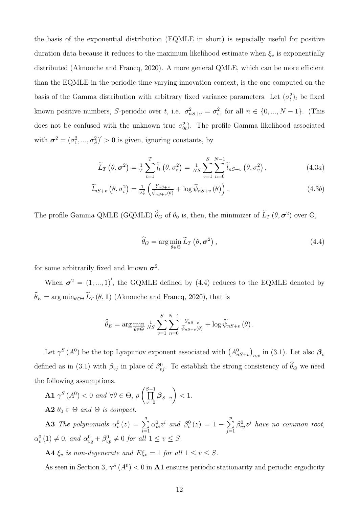the basis of the exponential distribution (EQMLE in short) is especially useful for positive duration data because it reduces to the maximum likelihood estimate when  $\xi_v$  is exponentially distributed (Aknouche and Francq, 2020). A more general QMLE, which can be more efficient than the EQMLE in the periodic time-varying innovation context, is the one computed on the basis of the Gamma distribution with arbitrary fixed variance parameters. Let  $(\sigma_t^2)_t$  be fixed known positive numbers, S-periodic over t, i.e.  $\sigma_{nS+v}^2 = \sigma_v^2$ , for all  $n \in \{0, ..., N-1\}$ . (This does not be confused with the unknown true  $\sigma_{0t}^2$ ). The profile Gamma likelihood associated with  $\boldsymbol{\sigma}^2 = (\sigma_1^2, ..., \sigma_S^2)' > 0$  is given, ignoring constants, by

$$
\widetilde{L}_T\left(\theta,\sigma^2\right) = \frac{1}{T}\sum_{t=1}^T \widetilde{l}_t\left(\theta,\sigma_t^2\right) = \frac{1}{NS}\sum_{v=1}^S \sum_{n=0}^{N-1} \widetilde{l}_{nS+v}\left(\theta,\sigma_v^2\right),\tag{4.3a}
$$

$$
\widetilde{l}_{nS+v}\left(\theta,\sigma_{v}^{2}\right)=\frac{1}{\sigma_{v}^{2}}\left(\frac{Y_{nS+v}}{\widetilde{\psi}_{nS+v}(\theta)}+\log\widetilde{\psi}_{nS+v}\left(\theta\right)\right).
$$
\n(4.3b)

The profile Gamma QMLE (GQMLE)  $\theta_G$  of  $\theta_0$  is, then, the minimizer of  $L_T(\theta, \sigma^2)$  over  $\Theta$ ,

$$
\widehat{\theta}_G = \arg\min_{\theta \in \Theta} \widetilde{L}_T \left( \theta, \sigma^2 \right), \tag{4.4}
$$

for some arbitrarily fixed and known  $\sigma^2$ .

When  $\sigma^2 = (1, ..., 1)'$ , the GQMLE defined by (4.4) reduces to the EQMLE denoted by  $\widehat{\theta}_E = \arg\min_{\theta \in \Theta} \widetilde{L}_T (\theta, \mathbf{1})$  (Aknouche and Francq, 2020), that is

$$
\widehat{\theta}_E = \arg \min_{\theta \in \Theta} \frac{1}{NS} \sum_{v=1}^{S} \sum_{n=0}^{N-1} \frac{Y_{nS+v}}{\widetilde{\psi}_{nS+v}(\theta)} + \log \widetilde{\psi}_{nS+v}(\theta).
$$

Let  $\gamma^S(A^0)$  be the top Lyapunov exponent associated with  $(A^0_{nS+v})_{n,v}$  in (3.1). Let also  $\beta_v$ defined as in (3.1) with  $\beta_{vj}$  in place of  $\beta_{vj}^0$ . To establish the strong consistency of  $\hat{\theta}_G$  we need the following assumptions.

**A1**  $\gamma^S(A^0) < 0$  and  $\forall \theta \in \Theta$ ,  $\rho\left(\prod_{n=1}^{S-1} \right)$  $\prod\limits_{v=0}\boldsymbol{\beta}_{S-v}$  $\lambda$  $< 1$ .  $A2 \theta_0 \in \Theta$  and  $\Theta$  is compact.

**A3** The polynomials  $\alpha_v^0(z) = \sum^q$  $i=1$  $\alpha_{vi}^0 z^i$  and  $\beta_v^0(z) = 1 - \sum_{i=1}^p$  $j=1$  $\beta_{vj}^0 z^j$  have no common root,  $\alpha_v^0(1) \neq 0$ , and  $\alpha_{vq}^0 + \beta_{vp}^0 \neq 0$  for all  $1 \leq v \leq S$ .

**A4**  $\xi_v$  is non-degenerate and  $E\xi_v = 1$  for all  $1 \le v \le S$ .

As seen in Section 3,  $\gamma^S(A^0) < 0$  in **A1** ensures periodic stationarity and periodic ergodicity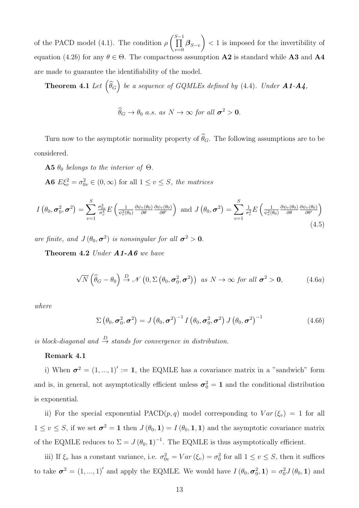of the PACD model (4.1). The condition  $\rho$  $\int\prod^{S-1}$  $\prod\limits_{v=0}\boldsymbol{\beta}_{S-v}$  $\setminus$ < 1 is imposed for the invertibility of equation (4.2b) for any  $\theta \in \Theta$ . The compactness assumption **A2** is standard while **A3** and **A4** are made to guarantee the identifiability of the model.

**Theorem 4.1** Let  $(\widehat{\theta}_G)$  be a sequence of GQMLEs defined by (4.4). Under  $A1-A4$ ,

$$
\widehat{\theta}_G \to \theta_0 \text{ a.s. as } N \to \infty \text{ for all } \sigma^2 > 0.
$$

Turn now to the asymptotic normality property of  $\widehat{\theta}_G$ . The following assumptions are to be considered.

**A5**  $\theta_0$  belongs to the interior of  $\Theta$ .

**A6**  $E\xi_v^2 = \sigma_{0v}^2 \in (0, \infty)$  for all  $1 \le v \le S$ , the matrices

$$
I\left(\theta_{0},\boldsymbol{\sigma}_{0}^{2},\boldsymbol{\sigma}^{2}\right)=\sum_{v=1}^{S}\frac{\sigma_{0v}^{2}}{\sigma_{v}^{4}}E\left(\frac{1}{\psi_{v}^{2}(\theta_{0})}\frac{\partial\psi_{v}(\theta_{0})}{\partial\theta}\frac{\partial\psi_{v}(\theta_{0})}{\partial\theta'}\right)\text{ and }J\left(\theta_{0},\boldsymbol{\sigma}^{2}\right)=\sum_{v=1}^{S}\frac{1}{\sigma_{v}^{2}}E\left(\frac{1}{\psi_{v}^{2}(\theta_{0})}\frac{\partial\psi_{v}(\theta_{0})}{\partial\theta}\frac{\partial\psi_{v}(\theta_{0})}{\partial\theta'}\right)
$$
\n
$$
(4.5)
$$

are finite, and  $J(\theta_0, \sigma^2)$  is nonsingular for all  $\sigma^2 > 0$ .

Theorem 4.2 Under  $A1-A6$  we have

$$
\sqrt{N}\left(\widehat{\theta}_G-\theta_0\right)\stackrel{D}{\to}\mathscr{N}\left(0,\Sigma\left(\theta_0,\sigma_0^2,\sigma^2\right)\right)\ \ as\ N\to\infty\ \text{for all}\ \sigma^2>0,\tag{4.6a}
$$

where

$$
\Sigma\left(\theta_0,\boldsymbol{\sigma}_0^2,\boldsymbol{\sigma}^2\right)=J\left(\theta_0,\boldsymbol{\sigma}^2\right)^{-1}I\left(\theta_0,\boldsymbol{\sigma}_0^2,\boldsymbol{\sigma}^2\right)J\left(\theta_0,\boldsymbol{\sigma}^2\right)^{-1}
$$
(4.6b)

is block-diagonal and  $\stackrel{D}{\rightarrow}$  stands for convergence in distribution.

#### Remark 4.1

i) When  $\sigma^2 = (1, ..., 1)' := 1$ , the EQMLE has a covariance matrix in a "sandwich" form and is, in general, not asymptotically efficient unless  $\sigma_0^2 = 1$  and the conditional distribution is exponential.

ii) For the special exponential PACD $(p, q)$  model corresponding to  $Var(\xi_v) = 1$  for all  $1 \le v \le S$ , if we set  $\sigma^2 = 1$  then  $J(\theta_0, 1) = I(\theta_0, 1, 1)$  and the asymptotic covariance matrix of the EQMLE reduces to  $\Sigma = J(\theta_0, 1)^{-1}$ . The EQMLE is thus asymptotically efficient.

iii) If  $\xi_v$  has a constant variance, i.e.  $\sigma_{0v}^2 = Var(\xi_v) = \sigma_0^2$  for all  $1 \le v \le S$ , then it suffices to take  $\sigma^2 = (1, ..., 1)'$  and apply the EQMLE. We would have  $I(\theta_0, \sigma_0^2, 1) = \sigma_0^2 J(\theta_0, 1)$  and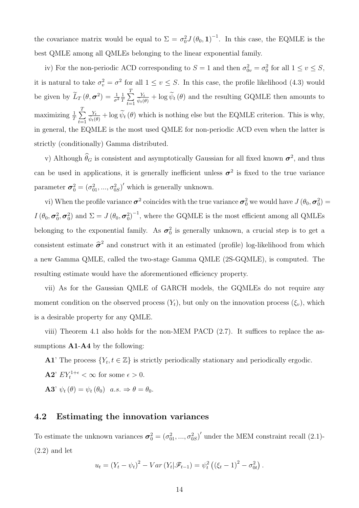the covariance matrix would be equal to  $\Sigma = \sigma_0^2 J(\theta_0, 1)^{-1}$ . In this case, the EQMLE is the best QMLE among all QMLEs belonging to the linear exponential family.

iv) For the non-periodic ACD corresponding to  $S = 1$  and then  $\sigma_{0v}^2 = \sigma_0^2$  for all  $1 \le v \le S$ , it is natural to take  $\sigma_v^2 = \sigma^2$  for all  $1 \le v \le S$ . In this case, the profile likelihood (4.3) would be given by  $\tilde{L}_T(\theta, \sigma^2) = \frac{1}{\sigma^2} \frac{1}{T}$  $\frac{1}{T}$  $\sum_{i=1}^{T}$  $t=1$  $\frac{Y_t}{\tilde{\psi}_t(\theta)} + \log \tilde{\psi}_t(\theta)$  and the resulting GQMLE then amounts to maximizing  $\frac{1}{T}\sum_{i=1}^{T}$  $_{t=1}$  $\frac{Y_t}{\tilde{\psi}_t(\theta)} + \log \tilde{\psi}_t(\theta)$  which is nothing else but the EQMLE criterion. This is why, in general, the EQMLE is the most used QMLE for non-periodic ACD even when the latter is strictly (conditionally) Gamma distributed.

v) Although  $\theta_G$  is consistent and asymptotically Gaussian for all fixed known  $\sigma^2$ , and thus can be used in applications, it is generally inefficient unless  $\sigma^2$  is fixed to the true variance parameter  $\sigma_0^2 = (\sigma_{01}^2, ..., \sigma_{0S}^2)'$  which is generally unknown.

vi) When the profile variance  $\sigma^2$  coincides with the true variance  $\sigma_0^2$  we would have  $J(\theta_0, \sigma_0^2)$  =  $I(\theta_0, \sigma_0^2, \sigma_0^2)$  and  $\Sigma = J(\theta_0, \sigma_0^2)^{-1}$ , where the GQMLE is the most efficient among all QMLEs belonging to the exponential family. As  $\sigma_0^2$  is generally unknown, a crucial step is to get a consistent estimate  $\hat{\sigma}^2$  and construct with it an estimated (profile) log-likelihood from which a new Gamma QMLE, called the two-stage Gamma QMLE (2S-GQMLE), is computed. The resulting estimate would have the aforementioned efficiency property.

vii) As for the Gaussian QMLE of GARCH models, the GQMLEs do not require any moment condition on the observed process  $(Y_t)$ , but only on the innovation process  $(\xi_v)$ , which is a desirable property for any QMLE.

viii) Theorem 4.1 also holds for the non-MEM PACD (2.7). It suffices to replace the assumptions **A1-A4** by the following:

**A1**' The process  $\{Y_t, t \in \mathbb{Z}\}\)$  is strictly periodically stationary and periodically ergodic.

**A2**'  $EY_t^{1+\epsilon} < \infty$  for some  $\epsilon > 0$ .

**A3'**  $\psi_t(\theta) = \psi_t(\theta_0)$   $a.s. \Rightarrow \theta = \theta_0$ .

#### 4.2 Estimating the innovation variances

To estimate the unknown variances  $\sigma_0^2 = (\sigma_{01}^2, ..., \sigma_{0S}^2)'$  under the MEM constraint recall (2.1)- $(2.2)$  and let

$$
u_t = (Y_t - \psi_t)^2 - Var(Y_t | \mathcal{F}_{t-1}) = \psi_t^2 ((\xi_t - 1)^2 - \sigma_{0t}^2).
$$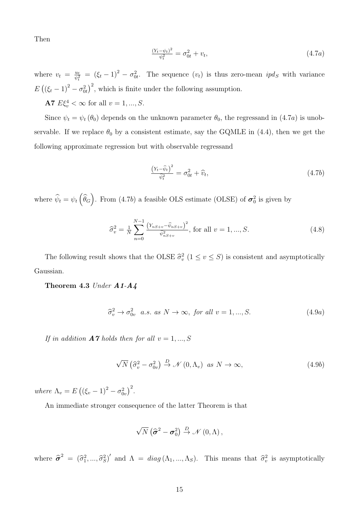Then

$$
\frac{(Y_t - \psi_t)^2}{\psi_t^2} = \sigma_{0t}^2 + v_t,\tag{4.7a}
$$

where  $v_t = \frac{u_t}{\psi_t^2} = (\xi_t - 1)^2 - \sigma_{0t}^2$ . The sequence  $(v_t)$  is thus zero-mean  $ipd_s$  with variance  $E((\xi_t-1)^2-\sigma_{0t}^2)^2$ , which is finite under the following assumption.

**A7**  $E\xi_v^4 < \infty$  for all  $v = 1, ..., S$ .

Since  $\psi_t = \psi_t(\theta_0)$  depends on the unknown parameter  $\theta_0$ , the regressand in  $(4.7a)$  is unobservable. If we replace  $\theta_0$  by a consistent estimate, say the GQMLE in (4.4), then we get the following approximate regression but with observable regressand

$$
\frac{\left(Y_t - \widehat{\psi}_t\right)^2}{\widehat{\psi}_t^2} = \sigma_{0t}^2 + \widehat{\upsilon}_t,\tag{4.7b}
$$

where  $\hat{\psi}_t = \psi_t(\hat{\theta}_G)$ . From (4.7b) a feasible OLS estimate (OLSE) of  $\sigma_0^2$  is given by

$$
\widehat{\sigma}_v^2 = \frac{1}{N} \sum_{n=0}^{N-1} \frac{\left(Y_{nS+v} - \widehat{\psi}_{nS+v}\right)^2}{\widehat{\psi}_{nS+v}^2}, \text{ for all } v = 1, ..., S. \tag{4.8}
$$

The following result shows that the OLSE  $\hat{\sigma}_v^2$   $(1 \le v \le S)$  is consistent and asymptotically Gaussian.

Theorem 4.3 Under A1-A4

$$
\widehat{\sigma}_v^2 \to \sigma_{0v}^2 \quad a.s. \text{ as } N \to \infty, \text{ for all } v = 1, ..., S. \tag{4.9a}
$$

If in addition  $A7$  holds then for all  $v = 1, ..., S$ 

$$
\sqrt{N} \left( \hat{\sigma}_v^2 - \sigma_{0v}^2 \right) \stackrel{D}{\to} \mathcal{N} \left( 0, \Lambda_v \right) \text{ as } N \to \infty,
$$
\n(4.9b)

where  $\Lambda_v = E ((\xi_v - 1)^2 - \sigma_{0v}^2)^2$ .

An immediate stronger consequence of the latter Theorem is that

$$
\sqrt{N}\left(\widehat{\boldsymbol{\sigma}}^2-\boldsymbol{\sigma}_0^2\right)\stackrel{D}{\rightarrow}\mathscr{N}\left(0,\Lambda\right),\,
$$

where  $\hat{\sigma}^2 = (\hat{\sigma}_1^2, ..., \hat{\sigma}_S^2)'$  and  $\Lambda = diag(\Lambda_1, ..., \Lambda_S)$ . This means that  $\hat{\sigma}_v^2$  is asymptotically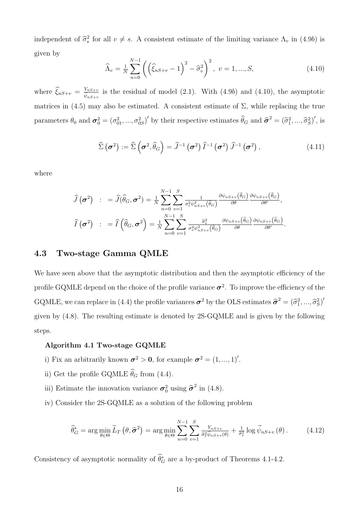independent of  $\hat{\sigma}_s^2$  for all  $v \neq s$ . A consistent estimate of the limiting variance  $\Lambda_v$  in (4.9b) is given by

$$
\widehat{\Lambda}_v = \frac{1}{N} \sum_{n=0}^{N-1} \left( \left( \widehat{\xi}_{nS+v} - 1 \right)^2 - \widehat{\sigma}_v^2 \right)^2, \ v = 1, ..., S,
$$
\n(4.10)

where  $\widehat{\xi}_{nS+v} = \frac{Y_{nS+v}}{\widehat{\psi}_{nS+v}}$  is the residual of model (2.1). With (4.9b) and (4.10), the asymptotic matrices in  $(4.5)$  may also be estimated. A consistent estimate of  $\Sigma$ , while replacing the true parameters  $\theta_0$  and  $\sigma_0^2 = (\sigma_{01}^2, ..., \sigma_{0S}^2)'$  by their respective estimates  $\widehat{\theta}_G$  and  $\widehat{\sigma}^2 = (\widehat{\sigma}_1^2, ..., \widehat{\sigma}_S^2)'$ , is

$$
\widehat{\Sigma}\left(\boldsymbol{\sigma}^2\right) := \widehat{\Sigma}\left(\boldsymbol{\sigma}^2, \widehat{\theta}_G\right) = \widehat{J}^{-1}\left(\boldsymbol{\sigma}^2\right)\widehat{I}^{-1}\left(\boldsymbol{\sigma}^2\right)\widehat{J}^{-1}\left(\boldsymbol{\sigma}^2\right),\tag{4.11}
$$

where

$$
\widehat{J}(\boldsymbol{\sigma}^2) : = \widehat{J}(\widehat{\theta}_G, \boldsymbol{\sigma}^2) = \frac{1}{N} \sum_{n=0}^{N-1} \sum_{v=1}^{S} \frac{1}{\sigma_v^2 \psi_{nS+v}^2(\widehat{\theta}_G)} \frac{\partial \psi_{nS+v}(\widehat{\theta}_G)}{\partial \theta} \frac{\partial \psi_{nS+v}(\widehat{\theta}_G)}{\partial \theta'},
$$

$$
\widehat{I}(\boldsymbol{\sigma}^2) : = \widehat{I}(\widehat{\theta}_G, \boldsymbol{\sigma}^2) = \frac{1}{N} \sum_{n=0}^{N-1} \sum_{v=1}^{S} \frac{\widehat{\sigma}_v^2}{\sigma_v^4 \psi_{nS+v}^2(\widehat{\theta}_G)} \frac{\partial \psi_{nS+v}(\widehat{\theta}_G)}{\partial \theta} \frac{\partial \psi_{nS+v}(\widehat{\theta}_G)}{\partial \theta'}.
$$

#### 4.3 Two-stage Gamma QMLE

We have seen above that the asymptotic distribution and then the asymptotic efficiency of the profile GQMLE depend on the choice of the profile variance  $\sigma^2$ . To improve the efficiency of the GQMLE, we can replace in (4.4) the profile variances  $\sigma^2$  by the OLS estimates  $\hat{\sigma}^2 = (\hat{\sigma}_1^2, ..., \hat{\sigma}_S^2)'$ given by (4.8). The resulting estimate is denoted by 2S-GQMLE and is given by the following steps.

#### Algorithm 4.1 Two-stage GQMLE

- i) Fix an arbitrarily known  $\sigma^2 > 0$ , for example  $\sigma^2 = (1, ..., 1)'$ .
- ii) Get the profile GQMLE  $\widehat{\theta}_G$  from (4.4).
- iii) Estimate the innovation variance  $\sigma_0^2$  using  $\hat{\sigma}^2$  in (4.8).
- iv) Consider the 2S-GQMLE as a solution of the following problem

$$
\widehat{\theta}_{G}^{*} = \arg \min_{\theta \in \Theta} \widetilde{L}_{T} \left( \theta, \widehat{\sigma}^{2} \right) = \arg \min_{\theta \in \Theta} \sum_{n=0}^{N-1} \sum_{v=1}^{S} \frac{Y_{nS+v}}{\widehat{\sigma}_{v}^{2} \widetilde{\psi}_{nS+v}(\theta)} + \frac{1}{\widehat{\sigma}_{v}^{2}} \log \widetilde{\psi}_{nS+v} \left( \theta \right). \tag{4.12}
$$

Consistency of asymptotic normality of  $\theta_G^*$  are a by-product of Theorems 4.1-4.2.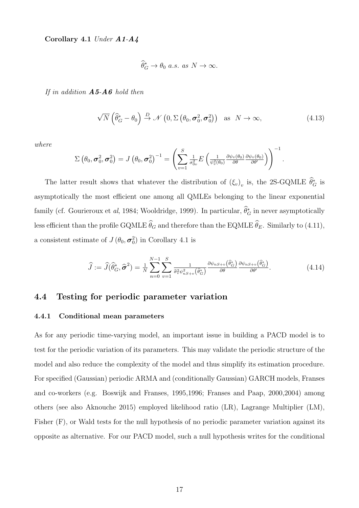Corollary 4.1 Under A1-A4

$$
\widehat{\theta}_G^* \to \theta_0 \text{ a.s. as } N \to \infty.
$$

If in addition  $\bf{A5\text{-}A6}$  hold then

$$
\sqrt{N}\left(\widehat{\theta}_{G}^{*}-\theta_{0}\right)\stackrel{D}{\rightarrow}\mathcal{N}\left(0,\Sigma\left(\theta_{0},\sigma_{0}^{2},\sigma_{0}^{2}\right)\right)\quad\text{as}\quad N\rightarrow\infty,
$$
\n(4.13)

.

where

$$
\Sigma\left(\theta_{0},\boldsymbol{\sigma}_{0}^{2},\boldsymbol{\sigma}_{0}^{2}\right)=J\left(\theta_{0},\boldsymbol{\sigma}_{0}^{2}\right)^{-1}=\left(\sum_{v=1}^{S}\tfrac{1}{\sigma_{0v}^{2}}E\left(\tfrac{1}{\psi_{v}^{2}(\theta_{0})}\tfrac{\partial\psi_{v}(\theta_{0})}{\partial\theta}\tfrac{\partial\psi_{v}(\theta_{0})}{\partial\theta'}\right)\right)^{-1}
$$

The latter result shows that whatever the distribution of  $(\xi_v)_v$  is, the 2S-GQMLE  $\theta_G^*$  is asymptotically the most efficient one among all QMLEs belonging to the linear exponential family (cf. Gourieroux et *al*, 1984; Wooldridge, 1999). In particular,  $\theta_G^*$  in never asymptotically less efficient than the profile GQMLE  $\widehat{\theta}_G$  and therefore than the EQMLE  $\widehat{\theta}_E$ . Similarly to (4.11), a consistent estimate of  $J(\theta_0, \sigma_0^2)$  in Corollary 4.1 is

$$
\widehat{J} := \widehat{J}(\widehat{\theta}_{G}^{*}, \widehat{\sigma}^{2}) = \frac{1}{N} \sum_{n=0}^{N-1} \sum_{v=1}^{S} \frac{1}{\widehat{\sigma}_{v}^{2} \psi_{nS+v}^{2}(\widehat{\theta}_{G}^{*})} \frac{\partial \psi_{nS+v}(\widehat{\theta}_{G}^{*})}{\partial \theta} \frac{\partial \psi_{nS+v}(\widehat{\theta}_{G}^{*})}{\partial \theta'}.
$$
(4.14)

#### 4.4 Testing for periodic parameter variation

#### 4.4.1 Conditional mean parameters

As for any periodic time-varying model, an important issue in building a PACD model is to test for the periodic variation of its parameters. This may validate the periodic structure of the model and also reduce the complexity of the model and thus simplify its estimation procedure. For specified (Gaussian) periodic ARMA and (conditionally Gaussian) GARCH models, Franses and co-workers (e.g. Boswijk and Franses, 1995,1996; Franses and Paap, 2000,2004) among others (see also Aknouche 2015) employed likelihood ratio (LR), Lagrange Multiplier (LM), Fisher (F), or Wald tests for the null hypothesis of no periodic parameter variation against its opposite as alternative. For our PACD model, such a null hypothesis writes for the conditional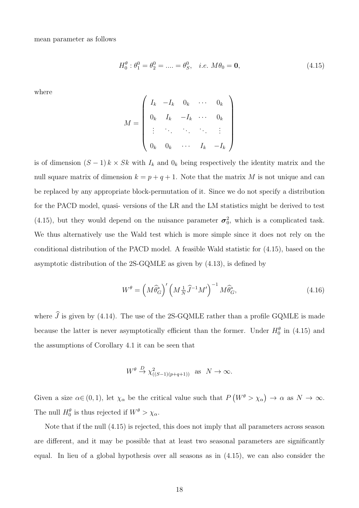mean parameter as follows

$$
H_0^{\theta} : \theta_1^0 = \theta_2^0 = \dots = \theta_S^0, \quad i.e. \ M\theta_0 = \mathbf{0}, \tag{4.15}
$$

where

$$
M = \left(\begin{array}{cccccc} I_k & -I_k & 0_k & \cdots & 0_k \\ 0_k & I_k & -I_k & \cdots & 0_k \\ \vdots & \ddots & \ddots & \ddots & \vdots \\ 0_k & 0_k & \cdots & I_k & -I_k \end{array}\right)
$$

is of dimension  $(S-1) k \times Sk$  with  $I_k$  and  $0_k$  being respectively the identity matrix and the null square matrix of dimension  $k = p + q + 1$ . Note that the matrix M is not unique and can be replaced by any appropriate block-permutation of it. Since we do not specify a distribution for the PACD model, quasi- versions of the LR and the LM statistics might be derived to test (4.15), but they would depend on the nuisance parameter  $\sigma_0^2$ , which is a complicated task. We thus alternatively use the Wald test which is more simple since it does not rely on the conditional distribution of the PACD model. A feasible Wald statistic for (4.15), based on the asymptotic distribution of the 2S-GQMLE as given by (4.13), is defined by

$$
W^{\theta} = \left(M\widehat{\theta}_{G}^{*}\right)' \left(M\frac{1}{N}\widehat{J}^{-1}M'\right)^{-1}M\widehat{\theta}_{G}^{*},\tag{4.16}
$$

where  $\hat{J}$  is given by (4.14). The use of the 2S-GQMLE rather than a profile GQMLE is made because the latter is never asymptotically efficient than the former. Under  $H_0^{\theta}$  in (4.15) and the assumptions of Corollary 4.1 it can be seen that

$$
W^{\theta} \stackrel{D}{\to} \chi^2_{((S-1)(p+q+1))} \text{ as } N \to \infty.
$$

Given a size  $\alpha \in (0,1)$ , let  $\chi_{\alpha}$  be the critical value such that  $P(W^{\theta} > \chi_{\alpha}) \to \alpha$  as  $N \to \infty$ . The null  $H_0^{\theta}$  is thus rejected if  $W^{\theta} > \chi_{\alpha}$ .

Note that if the null (4.15) is rejected, this does not imply that all parameters across season are different, and it may be possible that at least two seasonal parameters are significantly equal. In lieu of a global hypothesis over all seasons as in (4.15), we can also consider the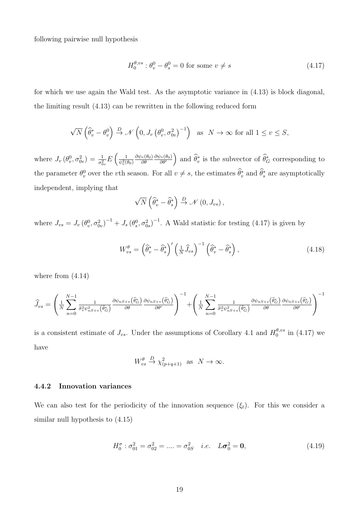following pairwise null hypothesis

$$
H_0^{\theta, vs} : \theta_v^0 - \theta_s^0 = 0 \text{ for some } v \neq s \tag{4.17}
$$

for which we use again the Wald test. As the asymptotic variance in (4.13) is block diagonal, the limiting result (4.13) can be rewritten in the following reduced form

$$
\sqrt{N}\left(\widehat{\theta}^*_v - \theta^0_v\right) \stackrel{D}{\to} \mathcal{N}\left(0, J_v\left(\theta^0_v, \sigma^2_{0v}\right)^{-1}\right) \text{ as } N \to \infty \text{ for all } 1 \le v \le S,
$$

where  $J_v(\theta_v^0, \sigma_{0v}^2) = \frac{1}{\sigma_{0v}^2} E\left(\frac{1}{\psi_v^2(\theta_0)}\right)$  $\partial \psi_v(\theta_0)$ ∂θ  $\frac{\partial \psi_v(\theta_0)}{\partial \theta'}$ ) and  $\widehat{\theta}^*_v$  is the subvector of  $\widehat{\theta}^*_G$  corresponding to the parameter  $\theta_v^0$  over the vth season. For all  $v \neq s$ , the estimates  $\hat{\theta}_v^*$  and  $\hat{\theta}_s^*$  are asymptotically independent, implying that

$$
\sqrt{N}\left(\widehat{\theta}_{v}^{*}-\widehat{\theta}_{s}^{*}\right)\stackrel{D}{\rightarrow}\mathscr{N}\left(0,J_{vs}\right),
$$

where  $J_{vs} = J_v (\theta_v^0, \sigma_{0v}^2)^{-1} + J_s (\theta_s^0, \sigma_{0s}^2)^{-1}$ . A Wald statistic for testing (4.17) is given by

$$
W_{vs}^{\theta} = \left(\widehat{\theta}_{v}^{*} - \widehat{\theta}_{s}^{*}\right)' \left(\frac{1}{N} \widehat{J}_{vs}\right)^{-1} \left(\widehat{\theta}_{v}^{*} - \widehat{\theta}_{s}^{*}\right), \tag{4.18}
$$

where from  $(4.14)$ 

$$
\widehat{J}_{vs} = \left(\frac{1}{N} \sum_{n=0}^{N-1} \frac{1}{\widehat{\sigma}_v^2 \psi_{nS+v}^2(\widehat{\theta}_G^*)} \frac{\partial \psi_{nS+v}(\widehat{\theta}_G^*)}{\partial \theta} \frac{\partial \psi_{nS+v}(\widehat{\theta}_G^*)}{\partial \theta'}\right)^{-1} + \left(\frac{1}{N} \sum_{n=0}^{N-1} \frac{1}{\widehat{\sigma}_s^2 \psi_{nS+s}^2(\widehat{\theta}_G^*)} \frac{\partial \psi_{nS+s}(\widehat{\theta}_G^*)}{\partial \theta} \frac{\partial \psi_{nS+s}(\widehat{\theta}_G^*)}{\partial \theta'}\right)^{-1}
$$

is a consistent estimate of  $J_{vs}$ . Under the assumptions of Corollary 4.1 and  $H_0^{\theta, vs}$  $_{0}^{\sigma, vs}$  in (4.17) we have

$$
W_{vs}^{\theta} \stackrel{D}{\to} \chi_{(p+q+1)}^2 \text{ as } N \to \infty.
$$

#### 4.4.2 Innovation variances

We can also test for the periodicity of the innovation sequence  $(\xi_t)$ . For this we consider a similar null hypothesis to (4.15)

$$
H_0^{\sigma} : \sigma_{01}^2 = \sigma_{02}^2 = \dots = \sigma_{0S}^2 \quad i.e. \quad L\sigma_0^2 = \mathbf{0}, \tag{4.19}
$$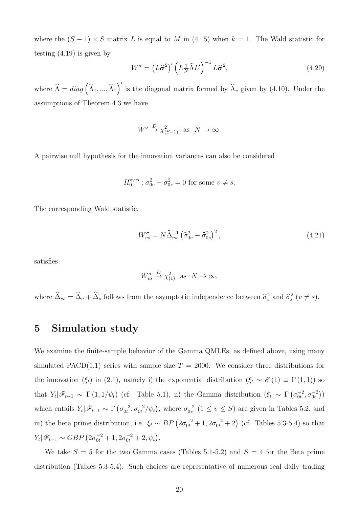where the  $(S - 1) \times S$  matrix L is equal to M in (4.15) when  $k = 1$ . The Wald statistic for testing (4.19) is given by

$$
W^{\sigma} = \left(L\hat{\sigma}^2\right)' \left(L_{N}^{-1}\hat{\Lambda}L'\right)^{-1}L\hat{\sigma}^2, \tag{4.20}
$$

where  $\hat{\Lambda} = diag\left(\hat{\Lambda}_1, ..., \hat{\Lambda}_1\right)'$  is the diagonal matrix formed by  $\hat{\Lambda}_v$  given by (4.10). Under the assumptions of Theorem 4.3 we have

$$
W^{\sigma} \stackrel{D}{\rightarrow} \chi^2_{(S-1)}
$$
 as  $N \to \infty$ .

A pairwise null hypothesis for the innovation variances can also be considered

$$
H_0^{\sigma, vs} : \sigma_{0v}^2 - \sigma_{0s}^2 = 0
$$
 for some  $v \neq s$ .

The corresponding Wald statistic,

$$
W_{vs}^{\sigma} = N\widehat{\Delta}_{vs}^{-1} \left(\widehat{\sigma}_{0v}^{2} - \widehat{\sigma}_{0s}^{2}\right)^{2},\tag{4.21}
$$

satisfies

$$
W_{vs}^{\sigma} \stackrel{D}{\to} \chi_{(1)}^2 \text{ as } N \to \infty,
$$

where  $\Delta_{vs} = \Delta_v + \Delta_s$  follows from the asymptotic independence between  $\hat{\sigma}_v^2$  and  $\hat{\sigma}_s^2$  ( $v \neq s$ ).

## 5 Simulation study

We examine the finite-sample behavior of the Gamma QMLEs, as defined above, using many simulated PACD(1,1) series with sample size  $T = 2000$ . We consider three distributions for the innovation ( $\xi_t$ ) in (2.1), namely i) the exponential distribution ( $\xi_t \sim \mathscr{E}(1) \equiv \Gamma(1,1)$ ) so that  $Y_t | \mathscr{F}_{t-1} \sim \Gamma(1, 1/\psi_t)$  (cf. Table 5.1), ii) the Gamma distribution  $(\xi_t \sim \Gamma(\sigma_{0t}^{-2}, \sigma_{0t}^{-2}))$ which entails  $Y_t | \mathscr{F}_{t-1} \sim \Gamma\left(\sigma_{0t}^{-2}, \sigma_{0t}^{-2} / \psi_t\right)$ , where  $\sigma_{0v}^{-2}$   $(1 \le v \le S)$  are given in Tables 5.2, and iii) the beta prime distribution, i.e.  $\xi_t \sim BP\left(2\sigma_{0t}^{-2}+1, 2\sigma_{0t}^{-2}+2\right)$  (cf. Tables 5.3-5.4) so that  $Y_t | \mathscr{F}_{t-1} \sim GBP (2\sigma_{0t}^{-2} + 1, 2\sigma_{0t}^{-2} + 2, \psi_t).$ 

We take  $S = 5$  for the two Gamma cases (Tables 5.1-5.2) and  $S = 4$  for the Beta prime distribution (Tables 5.3-5.4). Such choices are representative of numerous real daily trading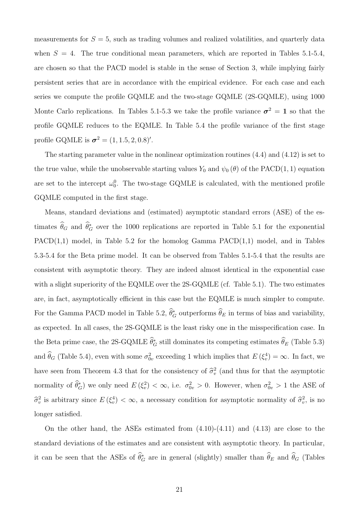measurements for  $S = 5$ , such as trading volumes and realized volatilities, and quarterly data when  $S = 4$ . The true conditional mean parameters, which are reported in Tables 5.1-5.4, are chosen so that the PACD model is stable in the sense of Section 3, while implying fairly persistent series that are in accordance with the empirical evidence. For each case and each series we compute the profile GQMLE and the two-stage GQMLE (2S-GQMLE), using 1000 Monte Carlo replications. In Tables 5.1-5.3 we take the profile variance  $\sigma^2 = 1$  so that the profile GQMLE reduces to the EQMLE. In Table 5.4 the profile variance of the first stage profile GQMLE is  $\sigma^2 = (1, 1.5, 2, 0.8)'$ .

The starting parameter value in the nonlinear optimization routines (4.4) and (4.12) is set to the true value, while the unobservable starting values  $Y_0$  and  $\psi_0(\theta)$  of the PACD(1, 1) equation are set to the intercept  $\omega_0^0$ . The two-stage GQMLE is calculated, with the mentioned profile GQMLE computed in the first stage.

Means, standard deviations and (estimated) asymptotic standard errors (ASE) of the estimates  $\theta_G$  and  $\theta_G^*$  over the 1000 replications are reported in Table 5.1 for the exponential  $PACD(1,1)$  model, in Table 5.2 for the homolog Gamma  $PACD(1,1)$  model, and in Tables 5.3-5.4 for the Beta prime model. It can be observed from Tables 5.1-5.4 that the results are consistent with asymptotic theory. They are indeed almost identical in the exponential case with a slight superiority of the EQMLE over the 2S-GQMLE (cf. Table 5.1). The two estimates are, in fact, asymptotically efficient in this case but the EQMLE is much simpler to compute. For the Gamma PACD model in Table 5.2,  $\theta_G^*$  outperforms  $\theta_E$  in terms of bias and variability, as expected. In all cases, the 2S-GQMLE is the least risky one in the misspecification case. In the Beta prime case, the 2S-GQMLE  $\theta_G^*$  still dominates its competing estimates  $\theta_E$  (Table 5.3) and  $\hat{\theta}_G$  (Table 5.4), even with some  $\sigma_{0v}^2$  exceeding 1 which implies that  $E(\xi_v^4) = \infty$ . In fact, we have seen from Theorem 4.3 that for the consistency of  $\hat{\sigma}_v^2$  (and thus for that the asymptotic normality of  $\theta_G^*$ ) we only need  $E(\xi_v^2) < \infty$ , i.e.  $\sigma_{0v}^2 > 0$ . However, when  $\sigma_{0v}^2 > 1$  the ASE of  $\hat{\sigma}_v^2$  is arbitrary since  $E(\xi_v^4) < \infty$ , a necessary condition for asymptotic normality of  $\hat{\sigma}_v^2$ , is no longer satisfied.

On the other hand, the ASEs estimated from (4.10)-(4.11) and (4.13) are close to the standard deviations of the estimates and are consistent with asymptotic theory. In particular, it can be seen that the ASEs of  $\theta_G^*$  are in general (slightly) smaller than  $\theta_E$  and  $\theta_G$  (Tables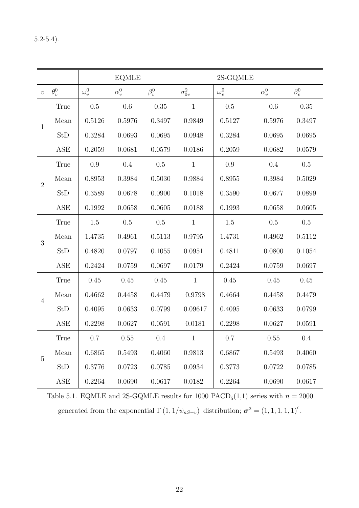|                |                      |              | <b>EQMLE</b> |             |                 | 2S-GQMLE     |              |             |
|----------------|----------------------|--------------|--------------|-------------|-----------------|--------------|--------------|-------------|
| $\upsilon$     | $\theta_v^0$         | $\omega_v^0$ | $\alpha_v^0$ | $\beta_v^0$ | $\sigma_{0v}^2$ | $\omega_v^0$ | $\alpha_v^0$ | $\beta_v^0$ |
|                | True                 | $0.5\,$      | 0.6          | 0.35        | $\mathbf{1}$    | 0.5          | 0.6          | 0.35        |
| $\mathbf{1}$   | Mean                 | 0.5126       | 0.5976       | 0.3497      | 0.9849          | 0.5127       | 0.5976       | 0.3497      |
|                | StD                  | 0.3284       | 0.0693       | 0.0695      | 0.0948          | 0.3284       | 0.0695       | 0.0695      |
|                | ASE                  | 0.2059       | 0.0681       | 0.0579      | 0.0186          | 0.2059       | 0.0682       | 0.0579      |
|                | True                 | 0.9          | 0.4          | $0.5\,$     | $\mathbf{1}$    | 0.9          | 0.4          | 0.5         |
| $\overline{2}$ | Mean                 | 0.8953       | 0.3984       | 0.5030      | 0.9884          | 0.8955       | 0.3984       | 0.5029      |
|                | StD                  | 0.3589       | 0.0678       | 0.0900      | 0.1018          | 0.3590       | 0.0677       | 0.0899      |
|                | ASE                  | 0.1992       | 0.0658       | 0.0605      | 0.0188          | 0.1993       | 0.0658       | 0.0605      |
|                | True                 | 1.5          | 0.5          | $0.5\,$     | $\mathbf{1}$    | 1.5          | 0.5          | 0.5         |
| 3              | Mean                 | 1.4735       | 0.4961       | 0.5113      | 0.9795          | 1.4731       | 0.4962       | 0.5112      |
|                | StD                  | 0.4820       | 0.0797       | 0.1055      | 0.0951          | 0.4811       | 0.0800       | 0.1054      |
|                | ASE                  | 0.2424       | 0.0759       | 0.0697      | 0.0179          | 0.2424       | 0.0759       | 0.0697      |
|                | True                 | 0.45         | 0.45         | 0.45        | $\mathbf{1}$    | 0.45         | 0.45         | 0.45        |
| $\overline{4}$ | Mean                 | 0.4662       | 0.4458       | 0.4479      | 0.9798          | 0.4664       | 0.4458       | 0.4479      |
|                | StD                  | 0.4095       | 0.0633       | 0.0799      | 0.09617         | 0.4095       | 0.0633       | 0.0799      |
|                | ASE                  | 0.2298       | 0.0627       | 0.0591      | 0.0181          | 0.2298       | 0.0627       | 0.0591      |
|                | True                 | 0.7          | 0.55         | 0.4         | $\overline{1}$  | 0.7          | 0.55         | 0.4         |
|                | Mean                 | 0.6865       | 0.5493       | 0.4060      | 0.9813          | 0.6867       | 0.5493       | 0.4060      |
| $\overline{5}$ | StD                  | 0.3776       | 0.0723       | 0.0785      | 0.0934          | 0.3773       | 0.0722       | 0.0785      |
|                | $\operatorname{ASE}$ | 0.2264       | 0.0690       | 0.0617      | 0.0182          | 0.2264       | 0.0690       | 0.0617      |

Table 5.1. EQMLE and 2S-GQMLE results for 1000  $\text{PACD}_5(1,1)$  series with  $n = 2000$ generated from the exponential  $\Gamma(1,1/\psi_{nS+v})$  distribution;  $\sigma^2 = (1,1,1,1,1)'$ .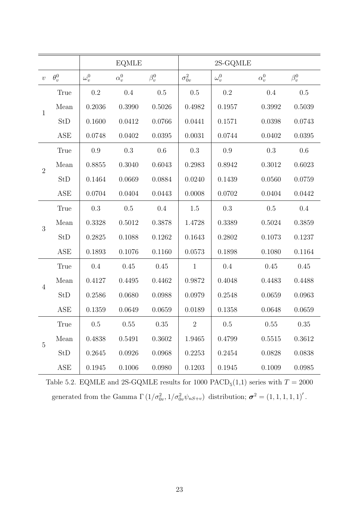|                |              |              | <b>EQMLE</b> |             |                 | 2S-GQMLE     |              |             |
|----------------|--------------|--------------|--------------|-------------|-----------------|--------------|--------------|-------------|
| $\upsilon$     | $\theta_v^0$ | $\omega_v^0$ | $\alpha_v^0$ | $\beta_v^0$ | $\sigma_{0v}^2$ | $\omega_v^0$ | $\alpha_v^0$ | $\beta_v^0$ |
|                | True         | 0.2          | 0.4          | 0.5         | 0.5             | 0.2          | 0.4          | $0.5\,$     |
| $\mathbf{1}$   | Mean         | 0.2036       | 0.3990       | 0.5026      | 0.4982          | 0.1957       | 0.3992       | 0.5039      |
|                | StD          | 0.1600       | 0.0412       | 0.0766      | 0.0441          | 0.1571       | 0.0398       | 0.0743      |
|                | ASE          | 0.0748       | 0.0402       | 0.0395      | 0.0031          | 0.0744       | 0.0402       | 0.0395      |
|                | True         | 0.9          | $0.3\,$      | 0.6         | $0.3\,$         | 0.9          | 0.3          | 0.6         |
| $\overline{2}$ | Mean         | 0.8855       | 0.3040       | 0.6043      | 0.2983          | 0.8942       | 0.3012       | 0.6023      |
|                | StD          | 0.1464       | 0.0669       | 0.0884      | 0.0240          | 0.1439       | 0.0560       | 0.0759      |
|                | ASE          | 0.0704       | 0.0404       | 0.0443      | 0.0008          | 0.0702       | 0.0404       | 0.0442      |
|                | True         | 0.3          | $0.5\,$      | 0.4         | 1.5             | $0.3\,$      | 0.5          | 0.4         |
| 3              | Mean         | 0.3328       | 0.5012       | 0.3878      | 1.4728          | 0.3389       | 0.5024       | 0.3859      |
|                | StD          | 0.2825       | 0.1088       | 0.1262      | 0.1643          | 0.2802       | 0.1073       | 0.1237      |
|                | ASE          | 0.1893       | 0.1076       | 0.1160      | 0.0573          | 0.1898       | 0.1080       | 0.1164      |
|                | True         | 0.4          | 0.45         | 0.45        | $\mathbf{1}$    | 0.4          | 0.45         | 0.45        |
| $\overline{4}$ | Mean         | 0.4127       | 0.4495       | 0.4462      | 0.9872          | 0.4048       | 0.4483       | 0.4488      |
|                | StD          | 0.2586       | 0.0680       | 0.0988      | 0.0979          | 0.2548       | 0.0659       | 0.0963      |
|                | ASE          | 0.1359       | 0.0649       | 0.0659      | 0.0189          | 0.1358       | 0.0648       | 0.0659      |
|                | True         | 0.5          | 0.55         | 0.35        | $\overline{2}$  | $0.5\,$      | 0.55         | $0.35\,$    |
| $\overline{5}$ | Mean         | 0.4838       | 0.5491       | 0.3602      | 1.9465          | 0.4799       | 0.5515       | 0.3612      |
|                | StD          | 0.2645       | 0.0926       | 0.0968      | 0.2253          | 0.2454       | 0.0828       | 0.0838      |
|                | ASE          | 0.1945       | 0.1006       | 0.0980      | 0.1203          | 0.1945       | 0.1009       | 0.0985      |

Table 5.2. EQMLE and 2S-GQMLE results for 1000  $\text{PACD}_5(1,1)$  series with  $T = 2000$ generated from the Gamma  $\Gamma(1/\sigma_{0v}^2, 1/\sigma_{0v}^2 \psi_{nS+v})$  distribution;  $\boldsymbol{\sigma}^2 = (1, 1, 1, 1, 1)'.$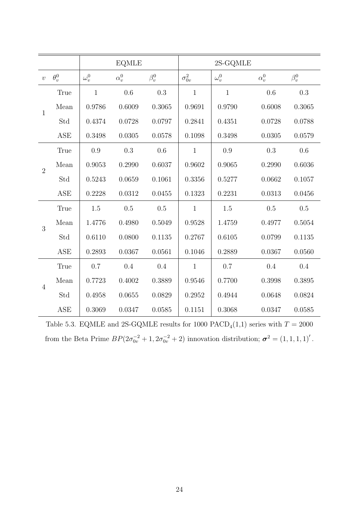|                |              |              | <b>EQMLE</b> |             |                 | $2S-GQMLE$   |              |             |
|----------------|--------------|--------------|--------------|-------------|-----------------|--------------|--------------|-------------|
| $\upsilon$     | $\theta_v^0$ | $\omega_v^0$ | $\alpha_v^0$ | $\beta_v^0$ | $\sigma_{0v}^2$ | $\omega_v^0$ | $\alpha_v^0$ | $\beta_v^0$ |
|                | True         | $\mathbf{1}$ | 0.6          | 0.3         | $\mathbf{1}$    | $\mathbf{1}$ | 0.6          | 0.3         |
| $\mathbf{1}$   | Mean         | 0.9786       | 0.6009       | 0.3065      | 0.9691          | 0.9790       | 0.6008       | $0.3065\,$  |
|                | Std          | 0.4374       | 0.0728       | 0.0797      | 0.2841          | 0.4351       | 0.0728       | 0.0788      |
|                | <b>ASE</b>   | 0.3498       | 0.0305       | 0.0578      | 0.1098          | 0.3498       | 0.0305       | 0.0579      |
|                | True         | 0.9          | 0.3          | 0.6         | $\mathbf{1}$    | 0.9          | 0.3          | 0.6         |
| $\overline{2}$ | Mean         | 0.9053       | 0.2990       | 0.6037      | 0.9602          | 0.9065       | 0.2990       | 0.6036      |
|                | Std          | 0.5243       | 0.0659       | 0.1061      | 0.3356          | 0.5277       | 0.0662       | 0.1057      |
|                | <b>ASE</b>   | 0.2228       | 0.0312       | 0.0455      | 0.1323          | 0.2231       | $0.0313\,$   | 0.0456      |
|                | True         | 1.5          | 0.5          | 0.5         | $\mathbf{1}$    | 1.5          | 0.5          | 0.5         |
| 3              | Mean         | 1.4776       | 0.4980       | 0.5049      | 0.9528          | 1.4759       | 0.4977       | 0.5054      |
|                | Std          | 0.6110       | 0.0800       | 0.1135      | 0.2767          | 0.6105       | 0.0799       | 0.1135      |
|                | <b>ASE</b>   | 0.2893       | 0.0367       | 0.0561      | 0.1046          | 0.2889       | 0.0367       | 0.0560      |
|                | True         | 0.7          | 0.4          | 0.4         | $\mathbf{1}$    | 0.7          | 0.4          | 0.4         |
| $\overline{4}$ | Mean         | 0.7723       | 0.4002       | 0.3889      | 0.9546          | 0.7700       | 0.3998       | 0.3895      |
|                | Std          | 0.4958       | 0.0655       | 0.0829      | 0.2952          | 0.4944       | 0.0648       | 0.0824      |
|                | <b>ASE</b>   | 0.3069       | 0.0347       | 0.0585      | 0.1151          | 0.3068       | 0.0347       | 0.0585      |

Table 5.3. EQMLE and 2S-GQMLE results for 1000  $\text{PACD}_4(1,1)$  series with  $T = 2000$ from the Beta Prime  $BP(2\sigma_{0v}^{-2}+1, 2\sigma_{0v}^{-2}+2)$  innovation distribution;  $\sigma^2 = (1, 1, 1, 1)'$ .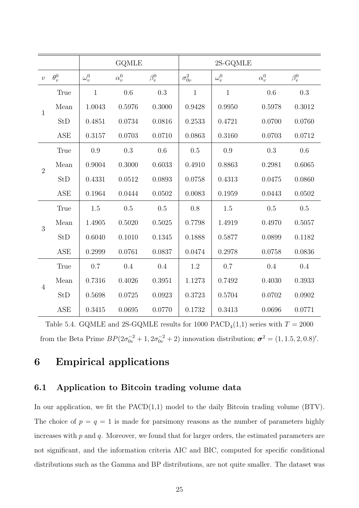|                |              |              | <b>GQMLE</b> |             |                 | 2S-GQMLE     |              |             |
|----------------|--------------|--------------|--------------|-------------|-----------------|--------------|--------------|-------------|
| $\upsilon$     | $\theta_v^0$ | $\omega_v^0$ | $\alpha_v^0$ | $\beta_v^0$ | $\sigma_{0v}^2$ | $\omega_v^0$ | $\alpha_v^0$ | $\beta_v^0$ |
| $\mathbf{1}$   | True         | $\mathbf{1}$ | 0.6          | 0.3         | $\mathbf{1}$    | $\mathbf{1}$ | 0.6          | 0.3         |
|                | Mean         | 1.0043       | 0.5976       | 0.3000      | 0.9428          | 0.9950       | 0.5978       | 0.3012      |
|                | <b>StD</b>   | 0.4851       | 0.0734       | 0.0816      | 0.2533          | 0.4721       | 0.0700       | 0.0760      |
|                | <b>ASE</b>   | 0.3157       | 0.0703       | 0.0710      | 0.0863          | 0.3160       | 0.0703       | 0.0712      |
|                | True         | 0.9          | 0.3          | 0.6         | 0.5             | 0.9          | 0.3          | 0.6         |
|                | Mean         | 0.9004       | 0.3000       | 0.6033      | 0.4910          | 0.8863       | 0.2981       | 0.6065      |
| $\overline{2}$ | <b>StD</b>   | 0.4331       | $0.0512\,$   | 0.0893      | 0.0758          | 0.4313       | 0.0475       | 0.0860      |
|                | ASE          | 0.1964       | 0.0444       | 0.0502      | 0.0083          | 0.1959       | 0.0443       | 0.0502      |
|                | True         | 1.5          | $0.5\,$      | 0.5         | 0.8             | 1.5          | 0.5          | 0.5         |
| 3              | Mean         | 1.4905       | 0.5020       | 0.5025      | 0.7798          | 1.4919       | 0.4970       | 0.5057      |
|                | <b>StD</b>   | 0.6040       | 0.1010       | 0.1345      | 0.1888          | 0.5877       | 0.0899       | 0.1182      |
|                | <b>ASE</b>   | 0.2999       | 0.0761       | 0.0837      | 0.0474          | 0.2978       | 0.0758       | 0.0836      |
|                | True         | 0.7          | 0.4          | 0.4         | 1.2             | 0.7          | 0.4          | 0.4         |
|                | Mean         | 0.7316       | 0.4026       | 0.3951      | 1.1273          | 0.7492       | 0.4030       | 0.3933      |
| $\overline{4}$ | StD          | 0.5698       | 0.0725       | 0.0923      | 0.3723          | 0.5704       | 0.0702       | 0.0902      |
|                | <b>ASE</b>   | 0.3415       | 0.0695       | 0.0770      | 0.1732          | 0.3413       | 0.0696       | 0.0771      |

Table 5.4. GQMLE and 2S-GQMLE results for 1000  $\text{PACD}_4(1,1)$  series with  $T = 2000$ from the Beta Prime  $BP(2\sigma_{0v}^{-2}+1, 2\sigma_{0v}^{-2}+2)$  innovation distribution;  $\sigma^2 = (1, 1.5, 2, 0.8)'$ .

## 6 Empirical applications

### 6.1 Application to Bitcoin trading volume data

In our application, we fit the  $PACD(1,1)$  model to the daily Bitcoin trading volume (BTV). The choice of  $p = q = 1$  is made for parameters as the number of parameters highly increases with  $p$  and  $q$ . Moreover, we found that for larger orders, the estimated parameters are not significant, and the information criteria AIC and BIC, computed for specific conditional distributions such as the Gamma and BP distributions, are not quite smaller. The dataset was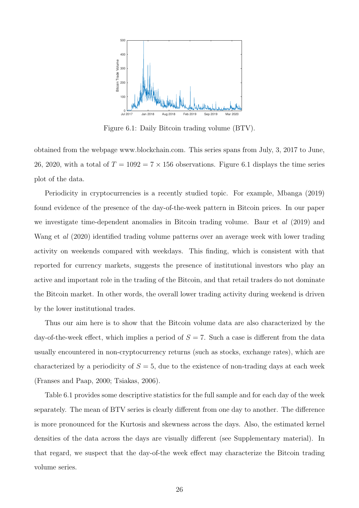

Figure 6.1: Daily Bitcoin trading volume (BTV).

obtained from the webpage www.blockchain.com. This series spans from July, 3, 2017 to June, 26, 2020, with a total of  $T = 1092 = 7 \times 156$  observations. Figure 6.1 displays the time series plot of the data.

Periodicity in cryptocurrencies is a recently studied topic. For example, Mbanga (2019) found evidence of the presence of the day-of-the-week pattern in Bitcoin prices. In our paper we investigate time-dependent anomalies in Bitcoin trading volume. Baur et al (2019) and Wang et al (2020) identified trading volume patterns over an average week with lower trading activity on weekends compared with weekdays. This finding, which is consistent with that reported for currency markets, suggests the presence of institutional investors who play an active and important role in the trading of the Bitcoin, and that retail traders do not dominate the Bitcoin market. In other words, the overall lower trading activity during weekend is driven by the lower institutional trades.

Thus our aim here is to show that the Bitcoin volume data are also characterized by the day-of-the-week effect, which implies a period of  $S = 7$ . Such a case is different from the data usually encountered in non-cryptocurrency returns (such as stocks, exchange rates), which are characterized by a periodicity of  $S = 5$ , due to the existence of non-trading days at each week (Franses and Paap, 2000; Tsiakas, 2006).

Table 6.1 provides some descriptive statistics for the full sample and for each day of the week separately. The mean of BTV series is clearly different from one day to another. The difference is more pronounced for the Kurtosis and skewness across the days. Also, the estimated kernel densities of the data across the days are visually different (see Supplementary material). In that regard, we suspect that the day-of-the week effect may characterize the Bitcoin trading volume series.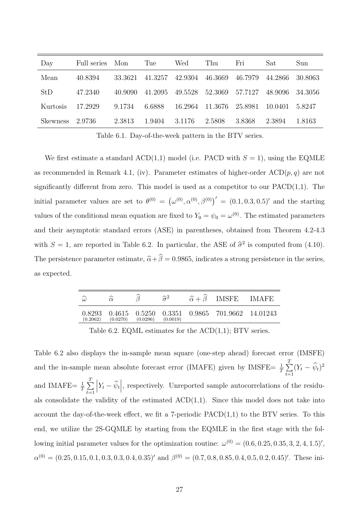| Day             | Full series Mon |         | Tue     | Wed     | Thu     | Fri     | Sat     | Sun     |
|-----------------|-----------------|---------|---------|---------|---------|---------|---------|---------|
| Mean            | 40.8394         | 33.3621 | 41.3257 | 42.9304 | 46.3669 | 46.7979 | 44.2866 | 30.8063 |
| StD             | 47.2340         | 40.9090 | 41.2095 | 49.5528 | 52.3069 | 57.7127 | 48.9096 | 34.3056 |
| Kurtosis        | 17.2929         | 9.1734  | 6.6888  | 16.2964 | 11.3676 | 25.8981 | 10.0401 | 5.8247  |
| <b>Skewness</b> | -2.9736         | 2.3813  | 1.9404  | 3.1176  | 2.5808  | 3.8368  | 2.3894  | 1.8163  |

Table 6.1. Day-of-the-week pattern in the BTV series.

We first estimate a standard ACD(1,1) model (i.e. PACD with  $S = 1$ ), using the EQMLE as recommended in Remark 4.1, (iv). Parameter estimates of higher-order  $\text{ACD}(p, q)$  are not significantly different from zero. This model is used as a competitor to our  $PACD(1,1)$ . The initial parameter values are set to  $\theta^{(0)} = (\omega^{(0)}, \alpha^{(0)}, \beta^{(0)})' = (0.1, 0.3, 0.5)'$  and the starting values of the conditional mean equation are fixed to  $Y_0 = \psi_0 = \omega^{(0)}$ . The estimated parameters and their asymptotic standard errors (ASE) in parentheses, obtained from Theorem 4.2-4.3 with  $S = 1$ , are reported in Table 6.2. In particular, the ASE of  $\hat{\sigma}^2$  is computed from (4.10). The persistence parameter estimate,  $\hat{\alpha} + \hat{\beta} = 0.9865$ , indicates a strong persistence in the series, as expected.

| $\widehat{\omega}$ |          |          | $\sim$ 2 | $\hat{\alpha} + \beta$ IMSFE IMAFE            |  |
|--------------------|----------|----------|----------|-----------------------------------------------|--|
| 0.8293<br>(0.2062) | (0.0270) | (0.0296) | (0.0019) | 0.4615 0.5250 0.3351 0.9865 701.9662 14.01243 |  |

Table 6.2. EQML estimates for the  $ACD(1,1)$ ; BTV series.

Table 6.2 also displays the in-sample mean square (one-step ahead) forecast error (IMSFE) and the in-sample mean absolute forecast error (IMAFE) given by IMSFE=  $\frac{1}{T} \sum_{n=1}^{T}$  $\sum_{t=1} (Y_t - \psi_t)^2$ and IMAFE=  $\frac{1}{T} \sum_{i=1}^{T}$  $t=1$  $\left| Y_t - \hat{\psi}_t \right|$ , respectively. Unreported sample autocorrelations of the residuals consolidate the validity of the estimated  $ACD(1,1)$ . Since this model does not take into account the day-of-the-week effect, we fit a 7-periodic  $PACD(1,1)$  to the BTV series. To this end, we utilize the 2S-GQMLE by starting from the EQMLE in the first stage with the following initial parameter values for the optimization routine:  $\omega^{(0)} = (0.6, 0.25, 0.35, 3, 2, 4, 1.5)'$ ,  $\alpha^{(0)} = (0.25, 0.15, 0.1, 0.3, 0.3, 0.4, 0.35)'$  and  $\beta^{(0)} = (0.7, 0.8, 0.85, 0.4, 0.5, 0.2, 0.45)'$ . These ini-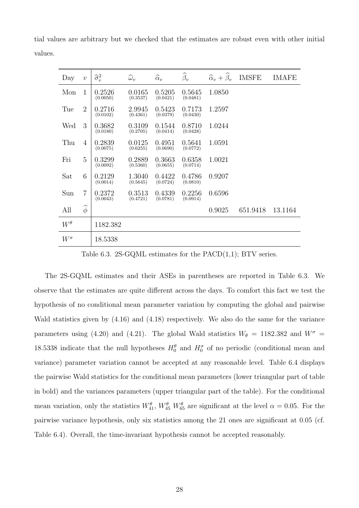| Day          | $\upsilon$       | $\widehat{\sigma}_{v}^{2}$ | $\widehat{\omega}_v$ | $\widehat{\alpha}_v$ | $\widehat{\beta}_v$ | $\widehat{\alpha}_v + \widehat{\beta}_v$ | <b>IMSFE</b> | <b>IMAFE</b> |
|--------------|------------------|----------------------------|----------------------|----------------------|---------------------|------------------------------------------|--------------|--------------|
| Mon          | 1                | 0.2526<br>(0.0050)         | 0.0165<br>(0.3537)   | 0.5205<br>(0.0421)   | 0.5645<br>(0.0481)  | 1.0850                                   |              |              |
| Tue          | $\overline{2}$   | 0.2716<br>(0.0102)         | 2.9945<br>(0.4361)   | 0.5423<br>(0.0379)   | 0.7173<br>(0.0430)  | 1.2597                                   |              |              |
| Wed          | 3                | 0.3682<br>(0.0180)         | 0.3109<br>(0.2705)   | 0.1544<br>(0.0414)   | 0.8710<br>(0.0428)  | 1.0244                                   |              |              |
| Thu          | $\overline{4}$   | 0.2839<br>(0.0075)         | 0.0125<br>(0.6255)   | 0.4951<br>(0.0690)   | 0.5641<br>(0.0772)  | 1.0591                                   |              |              |
| Fri          | 5                | 0.3299<br>(0.0092)         | 0.2889<br>(0.5360)   | 0.3663<br>(0.0655)   | 0.6358<br>(0.0714)  | 1.0021                                   |              |              |
| Sat          | 6                | 0.2129<br>(0.0014)         | 1.3040<br>(0.5645)   | 0.4422<br>(0.0724)   | 0.4786<br>(0.0810)  | 0.9207                                   |              |              |
| Sun          | $\overline{7}$   | 0.2372<br>(0.0043)         | 0.3513<br>(0.4721)   | 0.4339<br>(0.0781)   | 0.2256<br>(0.0914)  | 0.6596                                   |              |              |
| All          | $\widehat{\phi}$ |                            |                      |                      |                     | 0.9025                                   | 651.9418     | 13.1164      |
| $W^{\theta}$ |                  | 1182.382                   |                      |                      |                     |                                          |              |              |
| $W^{\sigma}$ |                  | 18.5338                    |                      |                      |                     |                                          |              |              |

tial values are arbitrary but we checked that the estimates are robust even with other initial values.

Table 6.3. 2S-GQML estimates for the  $PACD(1,1)$ ; BTV series.

The 2S-GQML estimates and their ASEs in parentheses are reported in Table 6.3. We observe that the estimates are quite different across the days. To comfort this fact we test the hypothesis of no conditional mean parameter variation by computing the global and pairwise Wald statistics given by (4.16) and (4.18) respectively. We also do the same for the variance parameters using (4.20) and (4.21). The global Wald statistics  $W_{\theta} = 1182.382$  and  $W^{\sigma} =$ 18.5338 indicate that the null hypotheses  $H_0^{\theta}$  and  $H_0^{\sigma}$  of no periodic (conditional mean and variance) parameter variation cannot be accepted at any reasonable level. Table 6.4 displays the pairwise Wald statistics for the conditional mean parameters (lower triangular part of table in bold) and the variances parameters (upper triangular part of the table). For the conditional mean variation, only the statistics  $W_{41}^{\theta}$ ,  $W_{45}^{\theta}$   $W_{65}^{\theta}$  are significant at the level  $\alpha = 0.05$ . For the pairwise variance hypothesis, only six statistics among the 21 ones are significant at 0.05 (cf. Table 6.4). Overall, the time-invariant hypothesis cannot be accepted reasonably.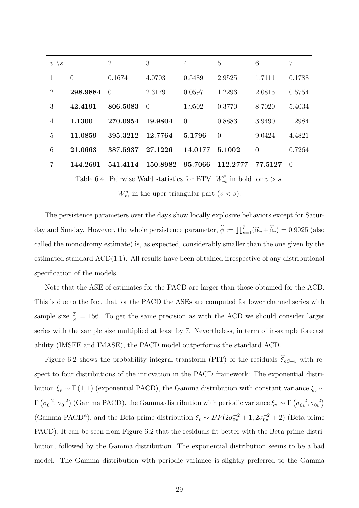| $\upsilon$<br>$\setminus s$ | $\mathbf{1}$   | 2        | 3              | $\overline{4}$ | 5        | 6        | $\overline{7}$ |
|-----------------------------|----------------|----------|----------------|----------------|----------|----------|----------------|
| 1                           | $\overline{0}$ | 0.1674   | 4.0703         | 0.5489         | 2.9525   | 1.7111   | 0.1788         |
| $\overline{2}$              | 298.9884       | $\theta$ | 2.3179         | 0.0597         | 1.2296   | 2.0815   | 0.5754         |
| 3                           | 42.4191        | 806.5083 | $\overline{0}$ | 1.9502         | 0.3770   | 8.7020   | 5.4034         |
| $\overline{4}$              | 1.1300         | 270.0954 | 19.9804        | $\Omega$       | 0.8883   | 3.9490   | 1.2984         |
| 5                           | 11.0859        | 395.3212 | 12.7764        | 5.1796         | $\Omega$ | 9.0424   | 4.4821         |
| 6                           | 21.0663        | 387.5937 | 27.1226        | 14.0177        | 5.1002   | $\theta$ | 0.7264         |
| 7                           | 144.2691       | 541.4114 | 150.8982       | 95.7066        | 112.2777 | 77.5127  | $\Omega$       |

Table 6.4. Pairwise Wald statistics for BTV.  $W_{vs}^{\theta}$  in bold for  $v > s$ .

 $W_{vs}^{\sigma}$  in the uper triangular part  $(v < s)$ .

The persistence parameters over the days show locally explosive behaviors except for Saturday and Sunday. However, the whole persistence parameter,  $\hat{\phi} := \prod_{v=1}^{7} (\hat{\alpha}_v + \hat{\beta}_v) = 0.9025$  (also called the monodromy estimate) is, as expected, considerably smaller than the one given by the estimated standard  $ACD(1,1)$ . All results have been obtained irrespective of any distributional specification of the models.

Note that the ASE of estimates for the PACD are larger than those obtained for the ACD. This is due to the fact that for the PACD the ASEs are computed for lower channel series with sample size  $\frac{T}{S} = 156$ . To get the same precision as with the ACD we should consider larger series with the sample size multiplied at least by 7. Nevertheless, in term of in-sample forecast ability (IMSFE and IMASE), the PACD model outperforms the standard ACD.

Figure 6.2 shows the probability integral transform (PIT) of the residuals  $\hat{\xi}_{nS+v}$  with respect to four distributions of the innovation in the PACD framework: The exponential distribution  $\xi_v \sim \Gamma(1, 1)$  (exponential PACD), the Gamma distribution with constant variance  $\xi_v \sim$  $\Gamma\left(\sigma_0^{-2},\sigma_0^{-2}\right)$  (Gamma PACD), the Gamma distribution with periodic variance  $\xi_v \sim \Gamma\left(\sigma_{0v}^{-2},\sigma_{0v}^{-2}\right)$ (Gamma PACD<sup>\*</sup>), and the Beta prime distribution  $\xi_v \sim BP(2\sigma_{0v}^{-2}+1, 2\sigma_{0v}^{-2}+2)$  (Beta prime PACD). It can be seen from Figure 6.2 that the residuals fit better with the Beta prime distribution, followed by the Gamma distribution. The exponential distribution seems to be a bad model. The Gamma distribution with periodic variance is slightly preferred to the Gamma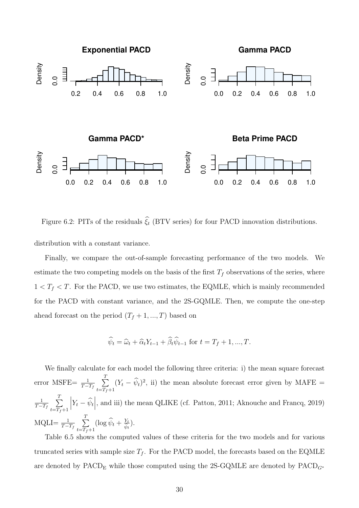

Figure 6.2: PITs of the residuals  $\hat{\xi}_t$  (BTV series) for four PACD innovation distributions. distribution with a constant variance.

Finally, we compare the out-of-sample forecasting performance of the two models. We estimate the two competing models on the basis of the first  $T_f$  observations of the series, where  $1 < T_f < T$ . For the PACD, we use two estimates, the EQMLE, which is mainly recommended for the PACD with constant variance, and the 2S-GQMLE. Then, we compute the one-step ahead forecast on the period  $(T_f + 1, ..., T)$  based on

$$
\widehat{\psi}_t = \widehat{\omega}_t + \widehat{\alpha}_t Y_{t-1} + \widehat{\beta}_t \widehat{\psi}_{t-1} \text{ for } t = T_f + 1, ..., T.
$$

We finally calculate for each model the following three criteria: i) the mean square forecast error MSFE=  $\frac{1}{T-T_f}$  $\sum_{i=1}^{T}$  $\sum_{t=T_f+1} (Y_t - \hat{\psi}_t)^2$ , ii) the mean absolute forecast error given by MAFE = 1  $T - T_f$  $\sum_{i=1}^{T}$  $t = T_f + 1$  $\left| Y_t - \widehat{\psi}_t \right|$ , and iii) the mean QLIKE (cf. Patton, 2011; Aknouche and Francq, 2019)  $\text{MQLI}=\frac{1}{T-T_f}$  $\sum_{i=1}^{T}$  $\sum_{t=T_f+1} (\log \hat{\psi}_t + \frac{Y_t}{\hat{\psi}_t}).$ 

Table 6.5 shows the computed values of these criteria for the two models and for various truncated series with sample size  $T_f$ . For the PACD model, the forecasts based on the EQMLE are denoted by PACD<sub>E</sub> while those computed using the 2S-GQMLE are denoted by PACD<sub> $G^*$ </sub>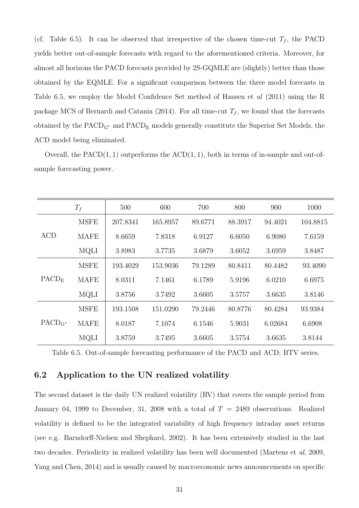(cf. Table 6.5). It can be observed that irrespective of the chosen time-cut  $T_f$ , the PACD yields better out-of-sample forecasts with regard to the aforementioned criteria. Moreover, for almost all horizons the PACD forecasts provided by 2S-GQMLE are (slightly) better than those obtained by the EQMLE. For a significant comparison between the three model forecasts in Table 6.5, we employ the Model Confidence Set method of Hansen et al (2011) using the R package MCS of Bernardi and Catania (2014). For all time-cut  $T_f$ , we found that the forecasts obtained by the  $PACD<sub>G</sub>∗$  and  $PACD<sub>E</sub>$  models generally constitute the Superior Set Models, the ACD model being eliminated.

Overall, the  $PACD(1, 1)$  outperforms the  $ACD(1, 1)$ , both in terms of in-sample and out-ofsample forecasting power.

|                   | $T_f$       | 500      | 600      | 700     | 800     | 900     | 1000     |
|-------------------|-------------|----------|----------|---------|---------|---------|----------|
|                   | <b>MSFE</b> | 207.8341 | 165.8957 | 89.6771 | 88.3917 | 94.4021 | 104.8815 |
| ACD               | <b>MAFE</b> | 8.6659   | 7.8318   | 6.9127  | 6.6050  | 6.9080  | 7.6159   |
|                   | <b>MQLI</b> | 3.8983   | 3.7735   | 3.6879  | 3.6052  | 3.6959  | 3.8487   |
|                   | <b>MSFE</b> | 193.4029 | 153.9036 | 79.1289 | 80.8411 | 80.4482 | 93.4090  |
| PACD <sub>E</sub> | <b>MAFE</b> | 8.0311   | 7.1461   | 6.1789  | 5.9196  | 6.0210  | 6.6975   |
|                   | <b>MQLI</b> | 3.8756   | 3.7492   | 3.6605  | 3.5757  | 3.6635  | 3.8146   |
|                   | <b>MSFE</b> | 193.1508 | 151.0290 | 79.2446 | 80.8776 | 80.4284 | 93.9384  |
| $PACD_{G^*}$      | <b>MAFE</b> | 8.0187   | 7.1074   | 6.1546  | 5.9031  | 6.02684 | 6.6908   |
|                   | <b>MQLI</b> | 3.8759   | 3.7495   | 3.6605  | 3.5754  | 3.6635  | 3.8144   |

Table 6.5. Out-of-sample forecasting performance of the PACD and ACD; BTV series.

#### 6.2 Application to the UN realized volatility

The second dataset is the daily UN realized volatility (RV) that covers the sample period from January 04, 1999 to December, 31, 2008 with a total of  $T = 2489$  observations. Realized volatility is defined to be the integrated variability of high frequency intraday asset returns (see e.g. Barndorff-Nielsen and Shephard, 2002). It has been extensively studied in the last two decades. Periodicity in realized volatility has been well documented (Martens et al, 2009, Yang and Chen, 2014) and is usually caused by macroeconomic news announcements on specific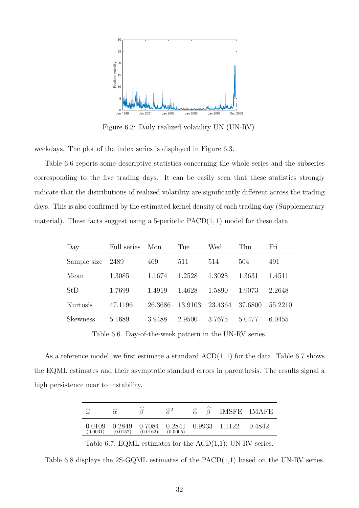

Figure 6.3: Daily realized volatility UN (UN-RV).

weekdays. The plot of the index series is displayed in Figure 6.3.

Table 6.6 reports some descriptive statistics concerning the whole series and the subseries corresponding to the five trading days. It can be easily seen that these statistics strongly indicate that the distributions of realized volatility are significantly different across the trading days. This is also confirmed by the estimated kernel density of each trading day (Supplementary material). These facts suggest using a 5-periodic  $PACD(1, 1)$  model for these data.

| Day             | Full series | Mon     | Tue     | Wed     | Thu     | Fri     |
|-----------------|-------------|---------|---------|---------|---------|---------|
| Sample size     | 2489        | 469     | 511     | 514     | 504     | 491     |
| Mean            | 1.3085      | 1.1674  | 1.2528  | 1.3028  | 1.3631  | 1.4511  |
| StD             | 1.7699      | 1.4919  | 1.4628  | 1.5890  | 1.9073  | 2.2648  |
| Kurtosis        | 47.1196     | 26.3686 | 13.9103 | 23.4364 | 37.6800 | 55.2210 |
| <b>Skewness</b> | 5.1689      | 3.9488  | 2.9500  | 3.7675  | 5.0477  | 6.0455  |

Table 6.6. Day-of-the-week pattern in the UN-RV series.

As a reference model, we first estimate a standard  $ACD(1, 1)$  for the data. Table 6.7 shows the EQML estimates and their asymptotic standard errors in parenthesis. The results signal a high persistence near to instability.

| $\widehat{\omega}$ |          |          | $\hat{\sigma}^2$ | $\hat{\alpha} + \hat{\beta}$ IMSFE IMAFE              |  |
|--------------------|----------|----------|------------------|-------------------------------------------------------|--|
| 0.0109<br>(0.0031) | (0.0157) | (0.0162) | (0.0005)         | $0.2849$ $0.7084$ $0.2841$ $0.9933$ $1.1122$ $0.4842$ |  |

Table 6.7. EQML estimates for the  $ACD(1,1)$ ; UN-RV series.

Table 6.8 displays the 2S-GQML estimates of the PACD(1,1) based on the UN-RV series.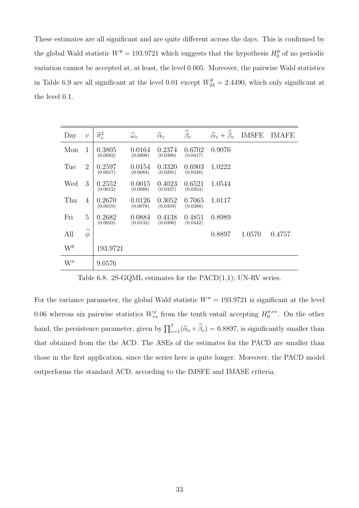These estimates are all significant and are quite different across the days. This is confirmed by the global Wald statistic  $W^{\theta} = 193.9721$  which suggests that the hypothesis  $H_0^{\theta}$  of no periodic variation cannot be accepted at, at least, the level 0.005. Moreover, the pairwise Wald statistics in Table 6.9 are all significant at the level 0.01 except  $W_{24}^{\theta} = 2.4490$ , which only significant at the level 0.1.

| Day          | $\overline{v}$   | $\widehat{\sigma}_{v}^{2}$ | $\widehat{\omega}_v$ | $\widehat{\alpha}_v$ | $\widehat{\beta}_v$ | $\widehat{\alpha}_v + \widehat{\beta}_v$ | <b>IMSFE</b> | <b>IMAFE</b> |
|--------------|------------------|----------------------------|----------------------|----------------------|---------------------|------------------------------------------|--------------|--------------|
| Mon          | 1                | 0.3805<br>(0.0082)         | 0.0164<br>(0.0098)   | 0.2374<br>(0.0390)   | 0.6702<br>(0.0417)  | 0.9076                                   |              |              |
| Tue          | $\overline{2}$   | 0.2597<br>(0.0017)         | 0.0154<br>(0.0084)   | 0.3320<br>(0.0291)   | 0.6903<br>(0.0348)  | 1.0222                                   |              |              |
| Wed          | 3                | 0.2552<br>(0.0012)         | 0.0015<br>(0.0088)   | 0.4023<br>(0.0327)   | 0.6521<br>(0.0354)  | 1.0544                                   |              |              |
| Thu          | $\overline{4}$   | 0.2670<br>(0.0019)         | 0.0126<br>(0.0078)   | 0.3052<br>(0.0359)   | 0.7065<br>(0.0388)  | 1.0117                                   |              |              |
| Fri          | 5                | 0.2682<br>(0.0023)         | 0.0884<br>(0.0132)   | 0.4138<br>(0.0390)   | 0.4851<br>(0.0442)  | 0.8989                                   |              |              |
| All          | $\widehat{\phi}$ |                            |                      |                      |                     | 0.8897                                   | 1.0570       | 0.4757       |
| $W^{\theta}$ |                  | 193.9721                   |                      |                      |                     |                                          |              |              |
| $W^{\sigma}$ |                  | 9.0576                     |                      |                      |                     |                                          |              |              |

Table 6.8. 2S-GQML estimates for the PACD(1,1); UN-RV series.

For the variance parameter, the global Wald statistic  $W^{\sigma} = 193.9721$  is significant at the level 0.06 whereas six pairwise statistics  $W_{vs}^{\sigma}$  from the tenth entail accepting  $H_0^{\sigma, vs}$  $\int_0^{\sigma, vs.}$  On the other hand, the persistence parameter, given by  $\prod_{v=1}^{7}(\hat{\alpha}_v + \hat{\beta}_v) = 0.8897$ , is significantly smaller than that obtained from the the ACD. The ASEs of the estimates for the PACD are smaller than those in the first application, since the series here is quite longer. Moreover, the PACD model outperforms the standard ACD, according to the IMSFE and IMASE criteria.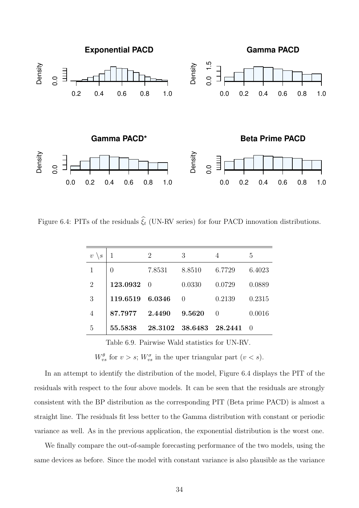

Figure 6.4: PITs of the residuals  $\hat{\xi}_t$  (UN-RV series) for four PACD innovation distributions.

| $\upsilon$<br>$\setminus s$ |          | 2        | 3               | 4       | 5      |
|-----------------------------|----------|----------|-----------------|---------|--------|
| 1                           | 0        | 7.8531   | 8.8510          | 6.7729  | 6.4023 |
| $\overline{2}$              | 123.0932 | $\Omega$ | 0.0330          | 0.0729  | 0.0889 |
| 3                           | 119.6519 | 6.0346   | $\Omega$        | 0.2139  | 0.2315 |
| 4                           | 87.7977  | 2.4490   | 9.5620          | 0       | 0.0016 |
| 5                           | 55.5838  |          | 28.3102 38.6483 | 28.2441 | - ()   |

Table 6.9. Pairwise Wald statistics for UN-RV.

 $W_{vs}^{\theta}$  for  $v > s$ ;  $W_{vs}^{\sigma}$  in the uper triangular part  $(v < s)$ .

In an attempt to identify the distribution of the model, Figure 6.4 displays the PIT of the residuals with respect to the four above models. It can be seen that the residuals are strongly consistent with the BP distribution as the corresponding PIT (Beta prime PACD) is almost a straight line. The residuals fit less better to the Gamma distribution with constant or periodic variance as well. As in the previous application, the exponential distribution is the worst one.

We finally compare the out-of-sample forecasting performance of the two models, using the same devices as before. Since the model with constant variance is also plausible as the variance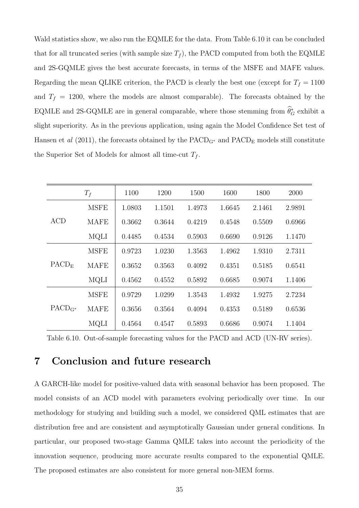Wald statistics show, we also run the EQMLE for the data. From Table 6.10 it can be concluded that for all truncated series (with sample size  $T_f$ ), the PACD computed from both the EQMLE and 2S-GQMLE gives the best accurate forecasts, in terms of the MSFE and MAFE values. Regarding the mean QLIKE criterion, the PACD is clearly the best one (except for  $T_f = 1100$ and  $T_f = 1200$ , where the models are almost comparable). The forecasts obtained by the EQMLE and 2S-GQMLE are in general comparable, where those stemming from  $\theta_G^*$  exhibit a slight superiority. As in the previous application, using again the Model Confidence Set test of Hansen et al (2011), the forecasts obtained by the  $PACD<sub>G</sub>∗$  and  $PACD<sub>E</sub>$  models still constitute the Superior Set of Models for almost all time-cut  $T_f$ .

|                   | $T_f$       | 1100   | 1200   | 1500   | 1600   | 1800   | 2000   |
|-------------------|-------------|--------|--------|--------|--------|--------|--------|
| <b>ACD</b>        | <b>MSFE</b> | 1.0803 | 1.1501 | 1.4973 | 1.6645 | 2.1461 | 2.9891 |
|                   | <b>MAFE</b> | 0.3662 | 0.3644 | 0.4219 | 0.4548 | 0.5509 | 0.6966 |
|                   | <b>MQLI</b> | 0.4485 | 0.4534 | 0.5903 | 0.6690 | 0.9126 | 1.1470 |
| PACD <sub>E</sub> | <b>MSFE</b> | 0.9723 | 1.0230 | 1.3563 | 1.4962 | 1.9310 | 2.7311 |
|                   | <b>MAFE</b> | 0.3652 | 0.3563 | 0.4092 | 0.4351 | 0.5185 | 0.6541 |
|                   | <b>MQLI</b> | 0.4562 | 0.4552 | 0.5892 | 0.6685 | 0.9074 | 1.1406 |
| $PACD_{G^*}$      | <b>MSFE</b> | 0.9729 | 1.0299 | 1.3543 | 1.4932 | 1.9275 | 2.7234 |
|                   | <b>MAFE</b> | 0.3656 | 0.3564 | 0.4094 | 0.4353 | 0.5189 | 0.6536 |
|                   | MQLI        | 0.4564 | 0.4547 | 0.5893 | 0.6686 | 0.9074 | 1.1404 |

Table 6.10. Out-of-sample forecasting values for the PACD and ACD (UN-RV series).

## 7 Conclusion and future research

A GARCH-like model for positive-valued data with seasonal behavior has been proposed. The model consists of an ACD model with parameters evolving periodically over time. In our methodology for studying and building such a model, we considered QML estimates that are distribution free and are consistent and asymptotically Gaussian under general conditions. In particular, our proposed two-stage Gamma QMLE takes into account the periodicity of the innovation sequence, producing more accurate results compared to the exponential QMLE. The proposed estimates are also consistent for more general non-MEM forms.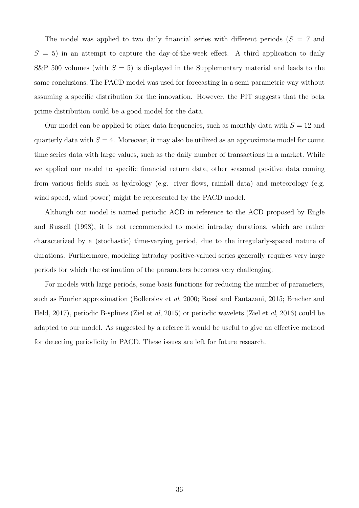The model was applied to two daily financial series with different periods  $(S = 7$  and  $S = 5$ ) in an attempt to capture the day-of-the-week effect. A third application to daily S&P 500 volumes (with  $S = 5$ ) is displayed in the Supplementary material and leads to the same conclusions. The PACD model was used for forecasting in a semi-parametric way without assuming a specific distribution for the innovation. However, the PIT suggests that the beta prime distribution could be a good model for the data.

Our model can be applied to other data frequencies, such as monthly data with  $S = 12$  and quarterly data with  $S = 4$ . Moreover, it may also be utilized as an approximate model for count time series data with large values, such as the daily number of transactions in a market. While we applied our model to specific financial return data, other seasonal positive data coming from various fields such as hydrology (e.g. river flows, rainfall data) and meteorology (e.g. wind speed, wind power) might be represented by the PACD model.

Although our model is named periodic ACD in reference to the ACD proposed by Engle and Russell (1998), it is not recommended to model intraday durations, which are rather characterized by a (stochastic) time-varying period, due to the irregularly-spaced nature of durations. Furthermore, modeling intraday positive-valued series generally requires very large periods for which the estimation of the parameters becomes very challenging.

For models with large periods, some basis functions for reducing the number of parameters, such as Fourier approximation (Bollerslev et al, 2000; Rossi and Fantazani, 2015; Bracher and Held, 2017), periodic B-splines (Ziel et al, 2015) or periodic wavelets (Ziel et al, 2016) could be adapted to our model. As suggested by a referee it would be useful to give an effective method for detecting periodicity in PACD. These issues are left for future research.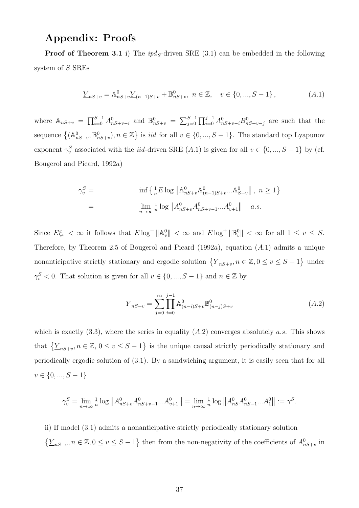## Appendix: Proofs

**Proof of Theorem 3.1** i) The  $ipd<sub>S</sub>$ -driven SRE (3.1) can be embedded in the following system of S SREs

$$
\underline{Y}_{nS+v} = \mathbb{A}_{nS+v}^{0} \underline{Y}_{(n-1)S+v} + \mathbb{B}_{nS+v}^{0}, \quad n \in \mathbb{Z}, \quad v \in \{0, ..., S-1\},
$$
\n(A.1)

where  $\mathbb{A}_{nS+v} = \prod_{i=0}^{S-1} A_{nS+v-i}^0$  and  $\mathbb{B}_{nS+v}^0 = \sum_{j=0}^{S-1} \prod_{i=0}^{j-1} A_{nS+v-i}^0 B_{nS+v-j}^0$  are such that the sequence  $\{(\mathbb{A}_{nS+v}^0, \mathbb{B}_{nS+v}^0), n \in \mathbb{Z}\}\$  is *iid* for all  $v \in \{0, ..., S-1\}$ . The standard top Lyapunov exponent  $\gamma_v^S$  associated with the *iid*-driven SRE  $(A.1)$  is given for all  $v \in \{0, ..., S-1\}$  by (cf. Bougerol and Picard, 1992a)

$$
\gamma_v^S = \inf \left\{ \frac{1}{n} E \log \left\| A_{nS+v}^0 A_{(n-1)S+v}^0 \dots A_{S+v}^0 \right\|, \ n \ge 1 \right\}
$$
  
= 
$$
\lim_{n \to \infty} \frac{1}{n} \log \left\| A_{nS+v}^0 A_{nS+v-1}^0 \dots A_{v+1}^0 \right\| \ a.s.
$$

Since  $E\xi_v < \infty$  it follows that  $E \log^+ \|A_v^0\| < \infty$  and  $E \log^+ \|B_v^0\| < \infty$  for all  $1 \le v \le S$ . Therefore, by Theorem 2.5 of Bougerol and Picard  $(1992a)$ , equation  $(A.1)$  admits a unique nonanticipative strictly stationary and ergodic solution  $\{\underline{Y}_{nS+v}, n \in \mathbb{Z}, 0 \le v \le S-1\}$  under  $\gamma_v^S < 0$ . That solution is given for all  $v \in \{0, ..., S - 1\}$  and  $n \in \mathbb{Z}$  by

$$
\underline{Y}_{nS+v} = \sum_{j=0}^{\infty} \prod_{i=0}^{j-1} \mathbb{A}^0_{(n-i)S+v} \mathbb{B}^0_{(n-j)S+v}
$$
\n(A.2)

which is exactly  $(3.3)$ , where the series in equality  $(A.2)$  converges absolutely a.s. This shows that  $\{\underline{Y}_{nS+v}, n \in \mathbb{Z}, 0 \le v \le S-1\}$  is the unique causal strictly periodically stationary and periodically ergodic solution of (3.1). By a sandwiching argument, it is easily seen that for all  $v \in \{0, ..., S-1\}$ 

$$
\gamma_v^S = \lim_{n \to \infty} \frac{1}{n} \log ||A_{nS+v}^0 A_{nS+v-1}^0 ... A_{v+1}^0|| = \lim_{n \to \infty} \frac{1}{n} \log ||A_{nS}^0 A_{nS-1}^0 ... A_1^0|| := \gamma^S.
$$

ii) If model (3.1) admits a nonanticipative strictly periodically stationary solution  $\{\underline{Y}_{nS+v}, n \in \mathbb{Z}, 0 \le v \le S-1\}$  then from the non-negativity of the coefficients of  $A^0_{nS+v}$  in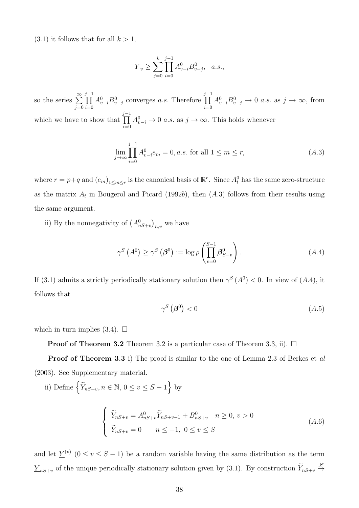$(3.1)$  it follows that for all  $k > 1$ ,

$$
\underline{Y}_v \ge \sum_{j=0}^k \prod_{i=0}^{j-1} A^0_{v-i} B^0_{v-j}, \quad a.s.,
$$

so the series  $\sum_{n=1}^{\infty}$  $j=0$ j−1<br>∏  $i=0$  $A_{v-i}^0B_{v-j}^0$  converges a.s. Therefore j−1<br>∏  $i=0$  $A_{v-i}^0 B_{v-j}^0 \to 0$  a.s. as  $j \to \infty$ , from which we have to show that j−1<br>∏  $i=0$  $A_{v-i}^0 \to 0$  *a.s.* as  $j \to \infty$ . This holds whenever

$$
\lim_{j \to \infty} \prod_{i=0}^{j-1} A_{v-i}^0 e_m = 0, a.s. \text{ for all } 1 \le m \le r,
$$
\n(A.3)

where  $r = p+q$  and  $(e_m)_{1 \leq m \leq r}$  is the canonical basis of  $\mathbb{R}^r$ . Since  $A_t^0$  has the same zero-structure as the matrix  $A_t$  in Bougerol and Picard (1992b), then  $(A.3)$  follows from their results using the same argument.

ii) By the nonnegativity of  $(A_{nS+v}^0)_{n,v}$  we have

$$
\gamma^{S}\left(A^{0}\right) \geq \gamma^{S}\left(\boldsymbol{\beta}^{0}\right) := \log \rho \left(\prod_{v=0}^{S-1} \boldsymbol{\beta}_{S-v}^{0}\right). \tag{A.4}
$$

If (3.1) admits a strictly periodically stationary solution then  $\gamma^S(A^0) < 0$ . In view of (A.4), it follows that

$$
\gamma^S\left(\boldsymbol{\beta}^0\right) < 0\tag{A.5}
$$

which in turn implies  $(3.4)$ .  $\Box$ 

**Proof of Theorem 3.2** Theorem 3.2 is a particular case of Theorem 3.3, ii).  $\Box$ 

Proof of Theorem 3.3 i) The proof is similar to the one of Lemma 2.3 of Berkes et al (2003). See Supplementary material.

ii) Define  $\left\{ \widetilde{Y}_{nS+v}, n \in \mathbb{N}, 0 \le v \le S-1 \right\}$  by

$$
\begin{cases}\n\widetilde{Y}_{nS+v} = A_{nS+v}^0 \widetilde{Y}_{nS+v-1} + B_{nS+v}^0 \quad n \ge 0, \ v > 0 \\
\widetilde{Y}_{nS+v} = 0 \quad n \le -1, \ 0 \le v \le S\n\end{cases} \tag{A.6}
$$

and let  $\underline{Y}^{(v)}$   $(0 \le v \le S - 1)$  be a random variable having the same distribution as the term  $\underline{Y}_{nS+v}$  of the unique periodically stationary solution given by (3.1). By construction  $\widetilde{Y}_{nS+v} \stackrel{\mathscr{L}}{\rightarrow}$  $\rightarrow$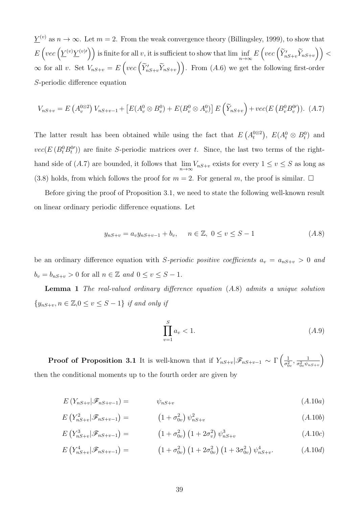$\underline{Y}^{(v)}$  as  $n \to \infty$ . Let  $m = 2$ . From the weak convergence theory (Billingsley, 1999), to show that  $E\left(vec\left(\underline{Y}^{(v)}\underline{Y}^{(v)\prime}\right)\right)$  is finite for all v, it is sufficient to show that lim inf  $n\rightarrow\infty$  $E\left( vec\left( \widetilde{Y}_{nS+v}'\widetilde{Y}_{nS+v} \right) \right) <$  $\infty$  for all v. Set  $V_{nS+v} = E\left( vec\left( \widetilde{Y}'_{nS+v} \widetilde{Y}_{nS+v} \right) \right)$ . From  $(A.6)$  we get the following first-order S-periodic difference equation

$$
V_{nS+v} = E(A_v^{0\otimes 2}) V_{nS+v-1} + [E(A_v^{0} \otimes B_v^{0}) + E(B_v^{0} \otimes A_v^{0})] E(\widetilde{Y}_{nS+v}) + vec(E(B_v^{0} B_v^{0})) .
$$
 (A.7)

The latter result has been obtained while using the fact that  $E(A_t^{(0\otimes 2})$ ,  $E(A_t^0 \otimes B_t^0)$  and  $vec(E(B_t^0 B_t^0))$  are finite S-periodic matrices over t. Since, the last two terms of the righthand side of (A.7) are bounded, it follows that  $\lim_{n\to\infty} V_{nS+v}$  exists for every  $1 \le v \le S$  as long as (3.8) holds, from which follows the proof for  $m = 2$ . For general m, the proof is similar.  $\Box$ 

Before giving the proof of Proposition 3.1, we need to state the following well-known result on linear ordinary periodic difference equations. Let

$$
y_{nS+v} = a_v y_{nS+v-1} + b_v, \quad n \in \mathbb{Z}, \ 0 \le v \le S-1
$$
\n
$$
(A.8)
$$

be an ordinary difference equation with S-periodic positive coefficients  $a_v = a_{nS+v} > 0$  and  $b_v = b_{nS+v} > 0$  for all  $n \in \mathbb{Z}$  and  $0 \le v \le S-1$ .

Lemma 1 The real-valued ordinary difference equation (A.8) admits a unique solution  ${y_{nS+v}, n \in \mathbb{Z}, 0 \le v \le S-1}$  if and only if

$$
\prod_{v=1}^{S} a_v < 1.
$$
\n(A.9)

**Proof of Proposition 3.1** It is well-known that if  $Y_{nS+v}|\mathscr{F}_{nS+v-1} \sim \Gamma\left(\frac{1}{\sigma_0^2}\right)$  $\frac{1}{\sigma_{0v}^{2}}, \frac{1}{\sigma_{0v}^{2}\psi_{v}}$  $\overline{\sigma_{0v}^2 \psi_{nS+v}}$  $\setminus$ then the conditional moments up to the fourth order are given by

$$
E\left(Y_{nS+v}|\mathscr{F}_{nS+v-1}\right) = \psi_{nS+v} \tag{A.10a}
$$

$$
E(Y_{nS+v}^2|\mathscr{F}_{nS+v-1}) = (1 + \sigma_{0v}^2) \psi_{nS+v}^2
$$
 (A.10b)

$$
E(Y_{nS+v}^3|\mathscr{F}_{nS+v-1}) = (1+\sigma_{0v}^2)(1+2\sigma_v^2)\psi_{nS+v}^3
$$
 (A.10c)

$$
E(Y_{nS+v}^4|\mathscr{F}_{nS+v-1}) = (1 + \sigma_{0v}^2) (1 + 2\sigma_{0v}^2) (1 + 3\sigma_{0v}^2) \psi_{nS+v}^4.
$$
 (A.10*d*)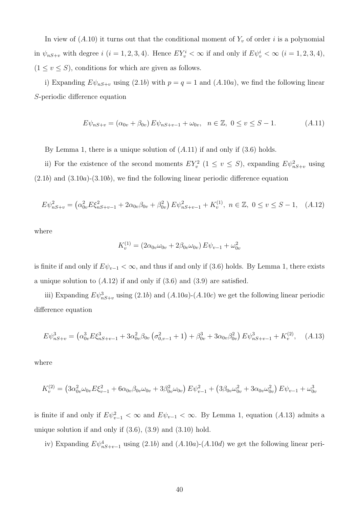In view of  $(A.10)$  it turns out that the conditional moment of  $Y_v$  of order i is a polynomial in  $\psi_{nS+v}$  with degree  $i$   $(i = 1, 2, 3, 4)$ . Hence  $EY_v^i < \infty$  if and only if  $E\psi_v^i < \infty$   $(i = 1, 2, 3, 4)$ ,  $(1 \le v \le S)$ , conditions for which are given as follows.

i) Expanding  $E\psi_{nS+v}$  using (2.1b) with  $p = q = 1$  and (A.10a), we find the following linear S-periodic difference equation

$$
E\psi_{nS+v} = (\alpha_{0v} + \beta_{0v}) E\psi_{nS+v-1} + \omega_{0v}, \quad n \in \mathbb{Z}, \ 0 \le v \le S-1. \tag{A.11}
$$

By Lemma 1, there is a unique solution of  $(A.11)$  if and only if  $(3.6)$  holds.

ii) For the existence of the second moments  $EY_v^2$   $(1 \le v \le S)$ , expanding  $E\psi_{nS+v}^2$  using  $(2.1b)$  and  $(3.10a)$ - $(3.10b)$ , we find the following linear periodic difference equation

$$
E\psi_{nS+v}^2 = \left(\alpha_{0v}^2 E \xi_{nS+v-1}^2 + 2\alpha_{0v}\beta_{0v} + \beta_{0v}^2\right) E\psi_{nS+v-1}^2 + K_v^{(1)}, \ n \in \mathbb{Z}, \ 0 \le v \le S-1, \quad (A.12)
$$

where

$$
K_v^{(1)} = (2\alpha_{0v}\omega_{0v} + 2\beta_{0v}\omega_{0v}) E\psi_{v-1} + \omega_{0v}^2
$$

is finite if and only if  $E\psi_{v-1} < \infty$ , and thus if and only if (3.6) holds. By Lemma 1, there exists a unique solution to  $(A.12)$  if and only if  $(3.6)$  and  $(3.9)$  are satisfied.

iii) Expanding  $E\psi_{nS+v}^3$  using (2.1b) and (A.10a)-(A.10c) we get the following linear periodic difference equation

$$
E\psi_{nS+v}^3 = \left(\alpha_{0v}^3 E \xi_{nS+v-1}^3 + 3\alpha_{0v}^2 \beta_{0v} \left(\sigma_{0,v-1}^2 + 1\right) + \beta_{0v}^3 + 3\alpha_{0v} \beta_{0v}^2\right) E\psi_{nS+v-1}^3 + K_v^{(2)}, \quad (A.13)
$$

where

$$
K_v^{(2)} = \left(3\alpha_{0v}^2\omega_{0v}E\xi_{v-1}^2 + 6\alpha_{0v}\beta_{0v}\omega_{0v} + 3\beta_{0v}^2\omega_{0v}\right)E\psi_{v-1}^2 + \left(3\beta_{0v}\omega_{0v}^2 + 3\alpha_{0v}\omega_{0v}^2\right)E\psi_{v-1} + \omega_{0v}^3
$$

is finite if and only if  $E\psi_{v-1}^2 < \infty$  and  $E\psi_{v-1} < \infty$ . By Lemma 1, equation (A.13) admits a unique solution if and only if  $(3.6)$ ,  $(3.9)$  and  $(3.10)$  hold.

iv) Expanding  $E\psi_{nS+v-1}^4$  using (2.1b) and (A.10a)-(A.10d) we get the following linear peri-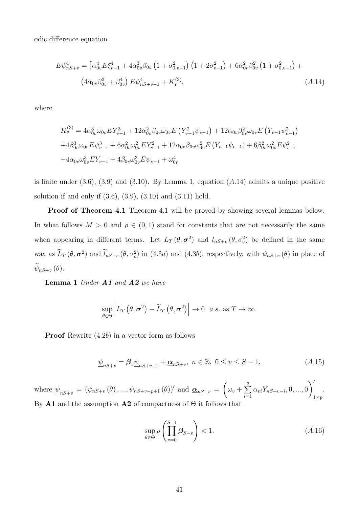odic difference equation

$$
E\psi_{nS+v}^{4} = \left[\alpha_{0v}^{4} E\xi_{v-1}^{4} + 4\alpha_{0v}^{3} \beta_{0v} \left(1 + \sigma_{0,v-1}^{2}\right) \left(1 + 2\sigma_{v-1}^{2}\right) + 6\alpha_{0v}^{2} \beta_{0v}^{2} \left(1 + \sigma_{0,v-1}^{2}\right) + \left(4\alpha_{0v} \beta_{0v}^{3} + \beta_{v}^{4}\right) E\psi_{nS+v-1}^{4} + K_{v}^{(3)},\tag{A.14}
$$

where

$$
K_v^{(3)} = 4\alpha_{0v}^3 \omega_{0v} E Y_{v-1}^3 + 12\alpha_{0v}^2 \beta_{0v} \omega_{0v} E \left(Y_{v-1}^2 \psi_{v-1}\right) + 12\alpha_{0v} \beta_{0v}^2 \omega_{0v} E \left(Y_{v-1} \psi_{v-1}^2\right) + 4\beta_{0v}^3 \omega_{0v} E \psi_{v-1}^3 + 6\alpha_{0v}^2 \omega_{0v}^2 E Y_{v-1}^2 + 12\alpha_{0v} \beta_{0v} \omega_{0v}^2 E \left(Y_{v-1} \psi_{v-1}\right) + 6\beta_{0v}^2 \omega_{0v}^2 E \psi_{v-1}^2 + 4\alpha_{0v} \omega_{0v}^3 E Y_{v-1} + 4\beta_{0v} \omega_{0v}^3 E \psi_{v-1} + \omega_{0v}^4
$$

is finite under  $(3.6)$ ,  $(3.9)$  and  $(3.10)$ . By Lemma 1, equation  $(A.14)$  admits a unique positive solution if and only if (3.6), (3.9), (3.10) and (3.11) hold.

**Proof of Theorem 4.1** Theorem 4.1 will be proved by showing several lemmas below. In what follows  $M > 0$  and  $\rho \in (0, 1)$  stand for constants that are not necessarily the same when appearing in different terms. Let  $L_T(\theta, \sigma^2)$  and  $l_{nS+v}(\theta, \sigma_v^2)$  be defined in the same way as  $\hat{L}_T(\theta, \sigma^2)$  and  $\hat{l}_{nS+v}(\theta, \sigma_v^2)$  in (4.3*a*) and (4.3*b*), respectively, with  $\psi_{nS+v}(\theta)$  in place of  $\widetilde{\psi}_{nS+v}(\theta).$ 

Lemma 1 Under A1 and A2 we have

$$
\sup_{\theta \in \Theta} \left| L_T \left( \theta, \sigma^2 \right) - \widetilde{L}_T \left( \theta, \sigma^2 \right) \right| \to 0 \quad a.s. \text{ as } T \to \infty.
$$

Proof Rewrite (4.2b) in a vector form as follows

$$
\underline{\psi}_{nS+v} = \beta_v \underline{\psi}_{nS+v-1} + \underline{\alpha}_{nS+v}, \ n \in \mathbb{Z}, \ 0 \le v \le S-1,\tag{A.15}
$$

where  $\underline{\psi}_{nS+v} = (\psi_{nS+v}(\theta), ..., \psi_{nS+v-p+1}(\theta))'$  and  $\underline{\alpha}_{nS+v} =$  $\sqrt{ }$  $\omega_v + \sum^q$  $\sum_{i=1} \alpha_{vi} Y_{nS+v-i}, 0, ..., 0$ ′  $1 \times p$ . By A1 and the assumption A2 of compactness of  $\Theta$  it follows that

$$
\sup_{\theta \in \Theta} \rho \left( \prod_{v=0}^{S-1} \beta_{S-v} \right) < 1. \tag{A.16}
$$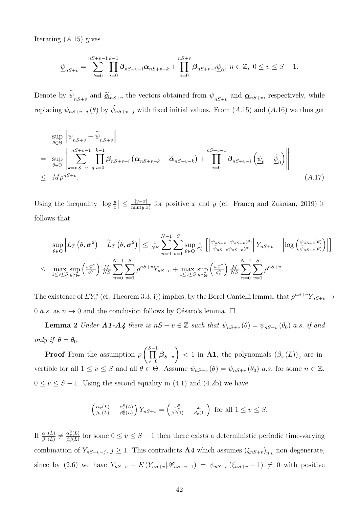Iterating  $(A.15)$  gives

$$
\underline{\psi}_{nS+v} = \sum_{k=0}^{nS+v-1} \prod_{i=0}^{k-1} \beta_{nS+v-i} \underline{\alpha}_{nS+v-k} + \prod_{i=0}^{nS+v} \beta_{nS+v-i} \underline{\psi}_0, \ n \in \mathbb{Z}, \ 0 \le v \le S-1.
$$

Denote by  $\underline{\psi}_{nS+v}$  and  $\underline{\tilde{\alpha}}_{nS+v}$  the vectors obtained from  $\underline{\psi}_{nS+v}$  and  $\underline{\alpha}_{nS+v}$ , respectively, while replacing  $\psi_{nS+v-j}(\theta)$  by  $\widetilde{\psi}_{nS+v-j}$  with fixed initial values. From (A.15) and (A.16) we thus get

$$
\sup_{\theta \in \Theta} \left\| \underline{\psi}_{nS+v} - \widetilde{\underline{\psi}}_{nS+v} \right\|
$$
\n
$$
= \sup_{\theta \in \Theta} \left\| \sum_{k=nS+v-q}^{nS+v-1} \prod_{i=0}^{k-1} \beta_{nS+v-i} \left( \underline{\alpha}_{nS+v-k} - \widetilde{\underline{\alpha}}_{nS+v-k} \right) + \prod_{i=0}^{nS+v-1} \beta_{nS+v-i} \left( \underline{\psi}_{0} - \widetilde{\underline{\psi}}_{0} \right) \right\|
$$
\n
$$
\leq M \rho^{nS+v}.
$$
\n(A.17)

Using the inequality  $\left|\log \frac{y}{x}\right| \leq \frac{|y-x|}{\min(y,x)}$  for positive x and y (cf. Francq and Zakoian, 2019) it follows that

$$
\sup_{\theta \in \Theta} \left| L_T \left( \theta, \sigma^2 \right) - \widetilde{L}_T \left( \theta, \sigma^2 \right) \right| \leq \frac{1}{N_S} \sum_{n=0}^{N-1} \sum_{v=1}^S \sup_{\theta \in \Theta} \frac{1}{\sigma_v^2} \left[ \left| \frac{\widetilde{\psi}_{nS+v} - \psi_{nS+v}(\theta)}{\widetilde{\psi}_{nS+v} \psi_{nS+v}(\theta)} \right| Y_{nS+v} + \left| \log \left( \frac{\psi_{nS+v}(\theta)}{\widetilde{\psi}_{nS+v}(\theta)} \right) \right| \right]
$$
  

$$
\leq \max_{1 \leq v \leq S} \sup_{\theta \in \Theta} \left( \frac{\omega_v^{-2}}{\sigma_v^2} \right) \frac{M}{NS} \sum_{n=0}^{N-1} \sum_{v=1}^S \rho^{nS+v} Y_{nS+v} + \max_{1 \leq v \leq S} \sup_{\theta \in \Theta} \left( \frac{\omega_v^{-2}}{\sigma_v^2} \right) \frac{M}{NS} \sum_{n=0}^{N-1} \sum_{v=1}^S \rho^{nS+v}.
$$

The existence of  $EY_v^{\delta}$  (cf, Theorem 3.3, i)) implies, by the Borel-Cantelli lemma, that  $\rho^{nS+v}Y_{nS+v}\to$ 0 a.s. as  $n \to 0$  and the conclusion follows by Césaro's lemma.  $\Box$ 

**Lemma 2** Under  $A1-A4$  there is  $nS + v \in \mathbb{Z}$  such that  $\psi_{nS+v}(\theta) = \psi_{nS+v}(\theta_0)$  a.s. if and only if  $\theta = \theta_0$ .

**Proof** From the assumption  $\rho$  $\int\prod^{S-1}$  $\prod\limits_{v=0}\boldsymbol{\beta}_{S-v}$  $\lambda$  $< 1$  in A1, the polynomials  $(\beta_v(L))_v$  are invertible for all  $1 \le v \le S$  and all  $\theta \in \Theta$ . Assume  $\psi_{nS+v}(\theta) = \psi_{nS+v}(\theta_0)$  a.s. for some  $n \in \mathbb{Z}$ ,  $0 \le v \le S - 1$ . Using the second equality in (4.1) and (4.2b) we have

$$
\left(\frac{\alpha_v(L)}{\beta_v(L)} - \frac{\alpha_v^0(L)}{\beta_v^0(L)}\right) Y_{nS+v} = \left(\frac{\omega_v^0}{\beta_v^0(1)} - \frac{\omega_v}{\beta_v(1)}\right) \text{ for all } 1 \le v \le S.
$$

If  $\frac{\alpha_v(L)}{\beta_v(L)} \neq \frac{\alpha_v^0(L)}{\beta_v^0(L)}$  $\frac{\partial v_{v}(L)}{\partial v}(L)}$  for some  $0 \le v \le S-1$  then there exists a deterministic periodic time-varying combination of  $Y_{nS+v-j}$ ,  $j \ge 1$ . This contradicts **A4** which assumes  $(\xi_{nS+v})_{n,v}$  non-degenerate, since by (2.6) we have  $Y_{nS+v} - E(Y_{nS+v}|\mathscr{F}_{nS+v-1}) = \psi_{nS+v}(\xi_{nS+v} - 1) \neq 0$  with positive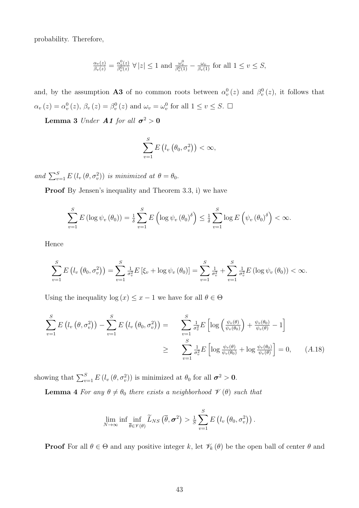probability. Therefore,

$$
\frac{\alpha_v(z)}{\beta_v(z)} = \frac{\alpha_v^0(z)}{\beta_v^0(z)} \ \forall \ |z| \le 1 \ \text{and} \ \frac{\omega_v^0}{\beta_v^0(1)} - \frac{\omega_v}{\beta_v(1)} \ \text{for all} \ 1 \le v \le S,
$$

and, by the assumption **A3** of no common roots between  $\alpha_v^0(z)$  and  $\beta_v^0(z)$ , it follows that  $\alpha_v(z) = \alpha_v^0(z), \beta_v(z) = \beta_v^0(z)$  and  $\omega_v = \omega_v^0$  for all  $1 \le v \le S$ .  $\Box$ 

**Lemma 3** Under **A1** for all  $\sigma^2 > 0$ 

$$
\sum_{v=1}^{S} E\left(l_v\left(\theta_0, \sigma_v^2\right)\right) < \infty,
$$

and  $\sum_{v=1}^{S} E(l_v(\theta, \sigma_v^2))$  is minimized at  $\theta = \theta_0$ .

Proof By Jensen's inequality and Theorem 3.3, i) we have

$$
\sum_{v=1}^{S} E\left(\log \psi_v\left(\theta_0\right)\right) = \frac{1}{\delta} \sum_{v=1}^{S} E\left(\log \psi_v\left(\theta_0\right)^{\delta}\right) \leq \frac{1}{\delta} \sum_{v=1}^{S} \log E\left(\psi_v\left(\theta_0\right)^{\delta}\right) < \infty.
$$

Hence

$$
\sum_{v=1}^{S} E\left(l_v\left(\theta_0, \sigma_v^2\right)\right) = \sum_{v=1}^{S} \frac{1}{\sigma_v^2} E\left[\xi_v + \log \psi_v\left(\theta_0\right)\right] = \sum_{v=1}^{S} \frac{1}{\sigma_v^2} + \sum_{v=1}^{S} \frac{1}{\sigma_v^2} E\left(\log \psi_v\left(\theta_0\right)\right) < \infty.
$$

Using the inequality log  $(x) \leq x - 1$  we have for all  $\theta \in \Theta$ 

$$
\sum_{v=1}^{S} E\left(l_v\left(\theta, \sigma_v^2\right)\right) - \sum_{v=1}^{S} E\left(l_v\left(\theta_0, \sigma_v^2\right)\right) = \sum_{v=1}^{S} \frac{1}{\sigma_v^2} E\left[\log\left(\frac{\psi_v(\theta)}{\psi_v(\theta_0)}\right) + \frac{\psi_v(\theta_0)}{\psi_v(\theta)} - 1\right]
$$
  

$$
\geq \sum_{v=1}^{S} \frac{1}{\sigma_v^2} E\left[\log\frac{\psi_v(\theta)}{\psi_v(\theta_0)} + \log\frac{\psi_v(\theta_0)}{\psi_v(\theta)}\right] = 0, \quad (A.18)
$$

showing that  $\sum_{v=1}^{S} E(l_v(\theta, \sigma_v^2))$  is minimized at  $\theta_0$  for all  $\sigma^2 > 0$ .

**Lemma 4** For any  $\theta \neq \theta_0$  there exists a neighborhood  $\mathcal{V}(\theta)$  such that

$$
\lim_{N\to\infty}\inf\inf_{\overline{\theta}\in\mathscr{V}(\theta)}\widetilde{L}_{NS}\left(\overline{\theta},\boldsymbol{\sigma}^2\right)>\tfrac{1}{S}\sum_{v=1}^S E\left(l_v\left(\theta_0,\sigma_v^2\right)\right).
$$

**Proof** For all  $\theta \in \Theta$  and any positive integer k, let  $\mathcal{V}_k(\theta)$  be the open ball of center  $\theta$  and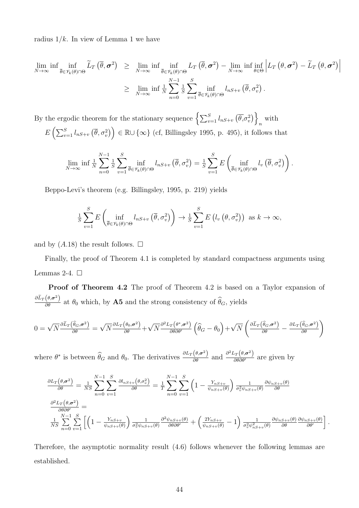radius  $1/k$ . In view of Lemma 1 we have

$$
\lim_{N \to \infty} \inf \inf_{\overline{\theta} \in \mathscr{V}_k(\theta) \cap \Theta} \widetilde{L}_T(\overline{\theta}, \sigma^2) \geq \lim_{N \to \infty} \inf \inf_{\overline{\theta} \in \mathscr{V}_k(\theta) \cap \Theta} L_T(\overline{\theta}, \sigma^2) - \lim_{N \to \infty} \inf \inf_{\theta \in \Theta} \left| L_T(\theta, \sigma^2) - \widetilde{L}_T(\theta, \sigma^2) \right|
$$
\n
$$
\geq \lim_{N \to \infty} \inf \frac{1}{N} \sum_{n=0}^{N-1} \frac{1}{\overline{\theta}} \sum_{v=1}^{S} \inf_{\overline{\theta} \in \mathscr{V}_k(\theta) \cap \Theta} l_{nS+v}(\overline{\theta}, \sigma_v^2).
$$

By the ergodic theorem for the stationary sequence  $\left\{\sum_{v=1}^S l_{nS+v} (\overline{\theta}, \sigma_v^2)\right\}$ n with  $E\left(\sum_{v=1}^S l_{nS+v}(\overline{\theta}, \sigma_v^2)\right) \in \mathbb{R} \cup \{\infty\}$  (cf, Billingsley 1995, p. 495), it follows that

$$
\lim_{N \to \infty} \inf \frac{1}{N} \sum_{n=0}^{N-1} \frac{1}{S} \sum_{v=1}^{S} \inf_{\overline{\theta} \in \mathscr{V}_k(\theta) \cap \Theta} l_{nS+v} \left( \overline{\theta}, \sigma_v^2 \right) = \frac{1}{S} \sum_{v=1}^{S} E \left( \inf_{\overline{\theta} \in \mathscr{V}_k(\theta) \cap \Theta} l_v \left( \overline{\theta}, \sigma_v^2 \right) \right).
$$

Beppo-Levi's theorem (e.g. Billingsley, 1995, p. 219) yields

$$
\frac{1}{S} \sum_{v=1}^{S} E\left(\inf_{\overline{\theta} \in \mathscr{V}_k(\theta) \cap \Theta} l_{nS+v} \left(\overline{\theta}, \sigma_v^2\right)\right) \to \frac{1}{S} \sum_{v=1}^{S} E\left(l_v \left(\theta, \sigma_v^2\right)\right) \text{ as } k \to \infty,
$$

and by  $(A.18)$  the result follows.  $\square$ 

Finally, the proof of Theorem 4.1 is completed by standard compactness arguments using Lemmas 2-4.  $\Box$ 

Proof of Theorem 4.2 The proof of Theorem 4.2 is based on a Taylor expansion of  $\frac{\partial \tilde{L}_T(\theta, \sigma^2)}{\partial \theta}$  at  $\theta_0$  which, by **A5** and the strong consistency of  $\hat{\theta}_G$ , yields

$$
0 = \sqrt{N} \frac{\partial \tilde{L}_T(\hat{\theta}_G, \sigma^2)}{\partial \theta} = \sqrt{N} \frac{\partial L_T(\theta_0, \sigma^2)}{\partial \theta} + \sqrt{N} \frac{\partial^2 L_T(\theta^*, \sigma^2)}{\partial \theta \partial \theta'} \left(\hat{\theta}_G - \theta_0\right) + \sqrt{N} \left(\frac{\partial \tilde{L}_T(\hat{\theta}_G, \sigma^2)}{\partial \theta} - \frac{\partial L_T(\hat{\theta}_G, \sigma^2)}{\partial \theta}\right)
$$

where  $\theta^*$  is between  $\widehat{\theta}_G$  and  $\theta_0$ . The derivatives  $\frac{\partial L_T(\theta, \sigma^2)}{\partial \theta}$  and  $\frac{\partial^2 L_T(\theta, \sigma^2)}{\partial \theta \partial \theta'}$  are given by

$$
\frac{\partial L_T(\theta, \sigma^2)}{\partial \theta} = \frac{1}{NS} \sum_{n=0}^{N-1} \sum_{v=1}^{S} \frac{\partial l_{nS+v}(\theta, \sigma_v^2)}{\partial \theta} = \frac{1}{T} \sum_{n=0}^{N-1} \sum_{v=1}^{S} \left(1 - \frac{Y_{nS+v}}{\psi_{nS+v}(\theta)}\right) \frac{1}{\sigma_v^2 \psi_{nS+v}(\theta)} \frac{\partial \psi_{nS+v}(\theta)}{\partial \theta}
$$

$$
\frac{\partial^2 L_T(\theta, \sigma^2)}{\partial \theta \partial \theta'} = \frac{1}{NS} \sum_{n=0}^{N-1} \sum_{v=1}^{S} \left[ \left(1 - \frac{Y_{nS+v}}{\psi_{nS+v}(\theta)}\right) \frac{1}{\sigma_v^2 \psi_{nS+v}(\theta)} \frac{\partial^2 \psi_{nS+v}(\theta)}{\partial \theta \partial \theta'} + \left(\frac{2Y_{nS+v}}{\psi_{nS+v}(\theta)} - 1\right) \frac{1}{\sigma_v^2 \psi_{nS+v}^2(\theta)} \frac{\partial \psi_{nS+v}(\theta)}{\partial \theta} \frac{\partial \psi_{nS+v}(\theta)}{\partial \theta'} \right].
$$

Therefore, the asymptotic normality result (4.6) follows whenever the following lemmas are established.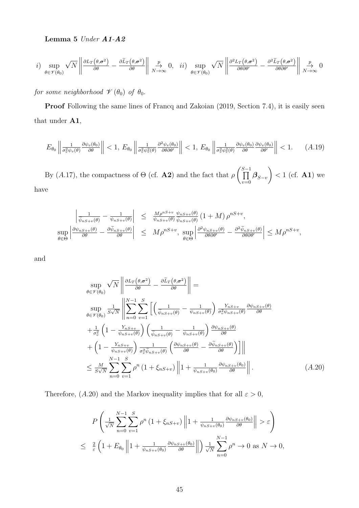Lemma 5 Under A1-A2

$$
i) \sup_{\theta \in \mathcal{V}(\theta_0)} \sqrt{N} \left\| \frac{\partial L_T(\theta, \sigma^2)}{\partial \theta} - \frac{\partial \tilde{L}_T(\theta, \sigma^2)}{\partial \theta} \right\| \xrightarrow[N \to \infty]{p} 0, \quad ii) \sup_{\theta \in \mathcal{V}(\theta_0)} \sqrt{N} \left\| \frac{\partial^2 L_T(\theta, \sigma^2)}{\partial \theta \partial \theta'} - \frac{\partial^2 \tilde{L}_T(\theta, \sigma^2)}{\partial \theta \partial \theta'} \right\| \xrightarrow[N \to \infty]{p} 0
$$

for some neighborhood  $\mathscr V\left(\theta_0\right)$  of  $\theta_0$ .

Proof Following the same lines of Francq and Zakoian (2019, Section 7.4), it is easily seen that under A1,

$$
E_{\theta_0} \left\| \frac{1}{\sigma_v^2 \psi_v(\theta)} \frac{\partial \psi_v(\theta_0)}{\partial \theta} \right\| < 1, \ E_{\theta_0} \left\| \frac{1}{\sigma_v^2 \psi_v^2(\theta)} \frac{\partial^2 \psi_v(\theta_0)}{\partial \theta \partial \theta'} \right\| < 1, \ E_{\theta_0} \left\| \frac{1}{\sigma_v^2 \psi_v^2(\theta)} \frac{\partial \psi_v(\theta_0)}{\partial \theta} \frac{\partial \psi_v(\theta_0)}{\partial \theta'} \right\| < 1. \tag{A.19}
$$

By  $(A.17)$ , the compactness of  $\Theta$  (cf. **A2**) and the fact that  $\rho$  $\int\prod^{S-1}$  $\prod\limits_{v=0}\boldsymbol{\beta}_{S-v}$  $\lambda$  $< 1$  (cf. **A1**) we have

$$
\left| \frac{1}{\tilde{\psi}_{nS+v}(\theta)} - \frac{1}{\psi_{nS+v}(\theta)} \right| \leq \frac{M\rho^{nS+v}}{\psi_{nS+v}(\theta)} \frac{\psi_{nS+v}(\theta)}{\tilde{\psi}_{nS+v}(\theta)} (1+M) \rho^{nS+v},
$$
  
\n
$$
\sup_{\theta \in \Theta} \left| \frac{\partial \psi_{nS+v}(\theta)}{\partial \theta} - \frac{\partial \tilde{\psi}_{nS+v}(\theta)}{\partial \theta} \right| \leq M\rho^{nS+v}, \sup_{\theta \in \Theta} \left| \frac{\partial^2 \psi_{nS+v}(\theta)}{\partial \theta \partial \theta'} - \frac{\partial^2 \tilde{\psi}_{nS+v}(\theta)}{\partial \theta \partial \theta'} \right| \leq M\rho^{nS+v},
$$

and

$$
\sup_{\theta \in \mathcal{V}(\theta_0)} \sqrt{N} \left\| \frac{\partial L_T(\theta, \sigma^2)}{\partial \theta} - \frac{\partial \tilde{L}_T(\theta, \sigma^2)}{\partial \theta} \right\| =
$$
\n
$$
\sup_{\theta \in \mathcal{V}(\theta_0)} \frac{1}{S\sqrt{N}} \left\| \sum_{n=0}^{N-1} \sum_{v=1}^{S} \left[ \left( \frac{1}{\tilde{\psi}_{nS+v}(\theta)} - \frac{1}{\psi_{nS+v}(\theta)} \right) \frac{Y_{nS+v}}{\sigma_v^2 \psi_{nS+v}(\theta)} \frac{\partial \psi_{nS+v}(\theta)}{\partial \theta} \right. \right.
$$
\n
$$
+ \frac{1}{\sigma_v^2} \left( 1 - \frac{Y_{nS+v}}{\psi_{nS+v}(\theta)} \right) \left( \frac{1}{\tilde{\psi}_{nS+v}(\theta)} - \frac{1}{\psi_{nS+v}(\theta)} \right) \frac{\partial \psi_{nS+v}(\theta)}{\partial \theta} \right.
$$
\n
$$
+ \left( 1 - \frac{Y_{nS+v}}{\psi_{nS+v}(\theta)} \right) \frac{1}{\sigma_v^2 \tilde{\psi}_{nS+v}(\theta)} \left( \frac{\partial \psi_{nS+v}(\theta)}{\partial \theta} - \frac{\partial \tilde{\psi}_{nS+v}(\theta)}{\partial \theta} \right) \right) ||
$$
\n
$$
\leq \frac{N}{S\sqrt{N}} \sum_{n=0}^{N-1} \sum_{v=1}^{S} \rho^n \left( 1 + \xi_{nS+v} \right) ||1 + \frac{1}{\psi_{nS+v}(\theta_0)} \frac{\partial \psi_{nS+v}(\theta_0)}{\partial \theta} ||.
$$
\n(A.20)

Therefore, (A.20) and the Markov inequality implies that for all  $\varepsilon > 0$ ,

$$
P\left(\frac{1}{\sqrt{N}}\sum_{n=0}^{N-1}\sum_{v=1}^{S}\rho^{n}\left(1+\xi_{nS+v}\right)\left\|1+\frac{1}{\psi_{nS+v}(\theta_{0})}\frac{\partial\psi_{nS+v}(\theta_{0})}{\partial\theta}\right\|>\varepsilon\right)
$$
  

$$
\leq \frac{2}{\varepsilon}\left(1+E_{\theta_{0}}\left\|1+\frac{1}{\psi_{nS+v}(\theta_{0})}\frac{\partial\psi_{nS+v}(\theta_{0})}{\partial\theta}\right\|\right)\frac{1}{\sqrt{N}}\sum_{n=0}^{N-1}\rho^{n}\to 0 \text{ as } N\to 0,
$$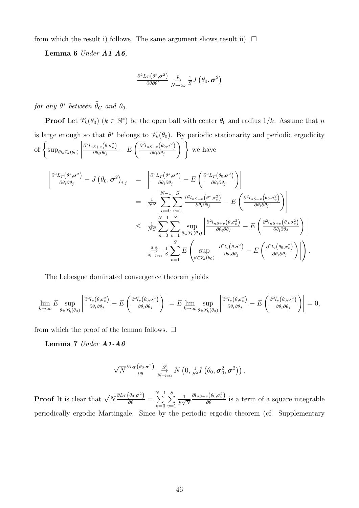from which the result i) follows. The same argument shows result ii).  $\Box$ 

Lemma 6  $Under \, A1-A6,$ 

$$
\frac{\partial^2 L_T(\theta^*, \sigma^2)}{\partial \theta \partial \theta'} \underset{N \to \infty}{\overset{p}{\to}} \frac{1}{S} J(\theta_0, \sigma^2)
$$

for any  $\theta^*$  between  $\theta_G$  and  $\theta_0$ .

**Proof** Let  $\mathscr{V}_k(\theta_0)$   $(k \in \mathbb{N}^*)$  be the open ball with center  $\theta_0$  and radius  $1/k$ . Assume that n is large enough so that  $\theta^*$  belongs to  $\mathcal{V}_k(\theta_0)$ . By periodic stationarity and periodic ergodicity of  $\left\{\sup_{\theta \in \mathscr{V}_k(\theta_0)}\right.$   $\partial^{2} l_{nS+v}\big(\theta,\!\sigma^{2}_{v}\big)$  $\frac{\partial \partial \theta_i \partial \theta_j}{\partial \theta_i \partial \theta_j} - E$  $\int \partial^2 l_{nS+v} \left( \theta_0, \sigma_v^2 \right)$  $\partial\theta_i\partial\theta_j$  $\bigg) \bigg|$  $\mathcal{L}$ we have

$$
\begin{split}\n\left| \frac{\partial^2 L_T(\theta^*, \sigma^2)}{\partial \theta_i \partial \theta_j} - J(\theta_0, \sigma^2)_{i,j} \right| &= \left| \frac{\partial^2 L_T(\theta^*, \sigma^2)}{\partial \theta_i \partial \theta_j} - E\left(\frac{\partial^2 L_T(\theta_0, \sigma^2)}{\partial \theta_i \partial \theta_j}\right) \right| \\
&= \frac{1}{N S} \left| \sum_{n=0}^{N-1} \sum_{v=1}^S \frac{\partial^2 l_{nS+v}(\theta^*, \sigma_v^2)}{\partial \theta_i \partial \theta_j} - E\left(\frac{\partial^2 l_{nS+v}(\theta_0, \sigma_v^2)}{\partial \theta_i \partial \theta_j}\right) \right| \\
&\leq \frac{1}{N S} \sum_{n=0}^{N-1} \sum_{v=1}^S \sup_{\theta \in \mathscr{V}_k(\theta_0)} \left| \frac{\partial^2 l_{nS+v}(\theta, \sigma_v^2)}{\partial \theta_i \partial \theta_j} - E\left(\frac{\partial^2 l_{nS+v}(\theta_0, \sigma_v^2)}{\partial \theta_i \partial \theta_j}\right) \right| \\
&\xrightarrow[\theta \to \infty]{a.s.} \frac{1}{S} \sum_{v=1}^S E\left(\sup_{\theta \in \mathscr{V}_k(\theta_0)} \left| \frac{\partial^2 l_v(\theta, \sigma_v^2)}{\partial \theta_i \partial \theta_j} - E\left(\frac{\partial^2 l_v(\theta_0, \sigma_v^2)}{\partial \theta_i \partial \theta_j}\right) \right| \right).\n\end{split}
$$

The Lebesgue dominated convergence theorem yields

$$
\lim_{k \to \infty} E \sup_{\theta \in \mathscr{V}_k(\theta_0)} \left| \frac{\partial^2 l_v(\theta, \sigma_v^2)}{\partial \theta_i \partial \theta_j} - E \left( \frac{\partial^2 l_v(\theta_0, \sigma_v^2)}{\partial \theta_i \partial \theta_j} \right) \right| = E \lim_{k \to \infty} \sup_{\theta \in \mathscr{V}_k(\theta_0)} \left| \frac{\partial^2 l_v(\theta, \sigma_v^2)}{\partial \theta_i \partial \theta_j} - E \left( \frac{\partial^2 l_v(\theta_0, \sigma_v^2)}{\partial \theta_i \partial \theta_j} \right) \right| = 0,
$$

from which the proof of the lemma follows.  $\square$ 

Lemma 7 Under A1-A6

$$
\sqrt{N} \frac{\partial L_T(\theta_0, \sigma^2)}{\partial \theta} \underset{N \to \infty}{\overset{\mathscr{L}}{\rightarrow}} N\left(0, \tfrac{1}{S^2} I\left(\theta_0, \sigma_0^2, \sigma^2\right)\right).
$$

**Proof** It is clear that  $\sqrt{N} \frac{\partial L_T(\theta_0, \sigma^2)}{\partial \theta} =$  $\sum_{n=1}^{N-1}$  $n=0$  $\sum_{i=1}^{S}$  $v=1$ 1  $S\sqrt{N}$  $\frac{\partial l_{nS+v}(\theta_0,\sigma_v^2)}{\partial \theta}$  is a term of a square integrable periodically ergodic Martingale. Since by the periodic ergodic theorem (cf. Supplementary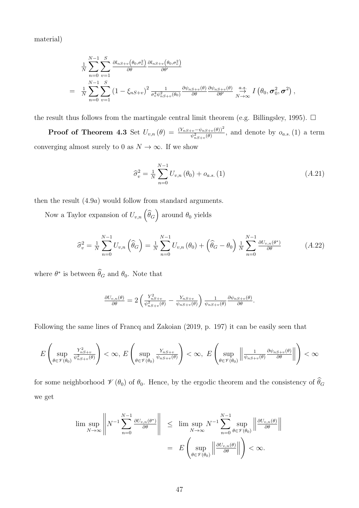material)

$$
\frac{1}{N} \sum_{n=0}^{N-1} \sum_{v=1}^{S} \frac{\partial l_{nS+v}(\theta_0, \sigma_v^2)}{\partial \theta} \frac{\partial l_{nS+v}(\theta_0, \sigma_v^2)}{\partial \theta'}
$$
\n
$$
= \frac{1}{N} \sum_{n=0}^{N-1} \sum_{v=1}^{S} (1 - \xi_{nS+v})^2 \frac{1}{\sigma_v^4 \psi_{nS+v}^2(\theta_0)} \frac{\partial \psi_{nS+v}(\theta)}{\partial \theta} \frac{\partial \psi_{nS+v}(\theta)}{\partial \theta'} \frac{a.s.}{N \to \infty} I(\theta_0, \sigma_0^2, \sigma^2),
$$

the result thus follows from the martingale central limit theorem (e.g. Billingsley, 1995).  $\Box$ 

**Proof of Theorem 4.3** Set  $U_{v,n}(\theta) = \frac{(Y_{nS+v}-\psi_{nS+v}(\theta))^2}{\psi_{nS+v}^2(\theta)}$ , and denote by  $o_{a.s.}(1)$  a term converging almost surely to 0 as  $N\to\infty.$  If we show

$$
\hat{\sigma}_v^2 = \frac{1}{N} \sum_{n=0}^{N-1} U_{v,n}(\theta_0) + o_{a.s.}(1)
$$
\n(A.21)

then the result (4.9a) would follow from standard arguments.

Now a Taylor expansion of  $U_{v,n}(\widehat{\theta}_G)$  around  $\theta_0$  yields

$$
\widehat{\sigma}_{v}^{2} = \frac{1}{N} \sum_{n=0}^{N-1} U_{v,n} \left( \widehat{\theta}_{G} \right) = \frac{1}{N} \sum_{n=0}^{N-1} U_{v,n} \left( \theta_{0} \right) + \left( \widehat{\theta}_{G} - \theta_{0} \right) \frac{1}{N} \sum_{n=0}^{N-1} \frac{\partial U_{v,n}(\theta^{*})}{\partial \theta} \tag{A.22}
$$

where  $\theta^*$  is between  $\theta_G$  and  $\theta_0$ . Note that

$$
\frac{\partial U_{v,n}(\theta)}{\partial \theta} = 2 \left( \frac{Y_{nS+v}^2}{\psi_{nS+v}^2(\theta)} - \frac{Y_{nS+v}}{\psi_{nS+v}(\theta)} \right) \frac{1}{\psi_{nS+v}(\theta)} \frac{\partial \psi_{nS+v}(\theta)}{\partial \theta}.
$$

Following the same lines of Francq and Zakoian (2019, p. 197) it can be easily seen that

$$
E\left(\sup_{\theta\in\mathscr{V}(\theta_0)}\tfrac{Y_{nS+v}^2}{\psi_{nS+v}^2(\theta)}\right)<\infty,\ E\left(\sup_{\theta\in\mathscr{V}(\theta_0)}\tfrac{Y_{nS+v}}{\psi_{nS+v}(\theta)}\right)<\infty,\ E\left(\sup_{\theta\in\mathscr{V}(\theta_0)}\left\|\tfrac{1}{\psi_{nS+v}(\theta)}\tfrac{\partial\psi_{nS+v}(\theta)}{\partial\theta}\right\|\right)<\infty
$$

for some neighborhood  $\mathcal{V}(\theta_0)$  of  $\theta_0$ . Hence, by the ergodic theorem and the consistency of  $\widehat{\theta}_G$ we get

$$
\limsup_{N \to \infty} \left\| N^{-1} \sum_{n=0}^{N-1} \frac{\partial U_{v,n}(\theta^*)}{\partial \theta} \right\| \leq \limsup_{N \to \infty} N^{-1} \sum_{n=0}^{N-1} \sup_{\theta \in \mathcal{V}(\theta_0)} \left\| \frac{\partial U_{v,n}(\theta)}{\partial \theta} \right\|
$$

$$
= E \left( \sup_{\theta \in \mathcal{V}(\theta_0)} \left\| \frac{\partial U_{v,n}(\theta)}{\partial \theta} \right\| \right) < \infty.
$$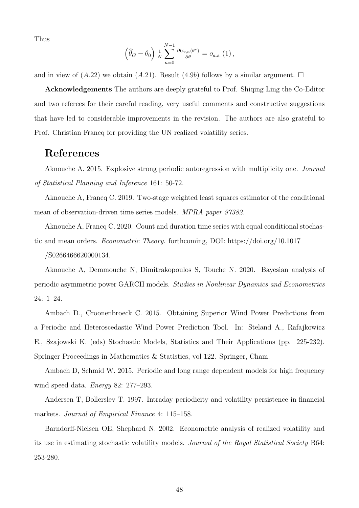Thus

$$
\left(\widehat{\theta}_G - \theta_0\right) \frac{1}{N} \sum_{n=0}^{N-1} \frac{\partial U_{v,n}(\theta^*)}{\partial \theta} = o_{a.s.} (1) ,
$$

and in view of  $(A.22)$  we obtain  $(A.21)$ . Result  $(4.9b)$  follows by a similar argument.  $\Box$ 

Acknowledgements The authors are deeply grateful to Prof. Shiqing Ling the Co-Editor and two referees for their careful reading, very useful comments and constructive suggestions that have led to considerable improvements in the revision. The authors are also grateful to Prof. Christian Francq for providing the UN realized volatility series.

### References

Aknouche A. 2015. Explosive strong periodic autoregression with multiplicity one. Journal of Statistical Planning and Inference 161: 50-72.

Aknouche A, Francq C. 2019. Two-stage weighted least squares estimator of the conditional mean of observation-driven time series models. MPRA paper 97382.

Aknouche A, Francq C. 2020. Count and duration time series with equal conditional stochastic and mean orders. Econometric Theory. forthcoming, DOI: https://doi.org/10.1017 /S0266466620000134.

Aknouche A, Demmouche N, Dimitrakopoulos S, Touche N. 2020. Bayesian analysis of periodic asymmetric power GARCH models. Studies in Nonlinear Dynamics and Econometrics 24: 1–24.

Ambach D., Croonenbroeck C. 2015. Obtaining Superior Wind Power Predictions from a Periodic and Heteroscedastic Wind Power Prediction Tool. In: Steland A., Rafajkowicz E., Szajowski K. (eds) Stochastic Models, Statistics and Their Applications (pp. 225-232). Springer Proceedings in Mathematics & Statistics, vol 122. Springer, Cham.

Ambach D, Schmid W. 2015. Periodic and long range dependent models for high frequency wind speed data. Energy 82: 277–293.

Andersen T, Bollerslev T. 1997. Intraday periodicity and volatility persistence in financial markets. Journal of Empirical Finance 4: 115–158.

Barndorff-Nielsen OE, Shephard N. 2002. Econometric analysis of realized volatility and its use in estimating stochastic volatility models. Journal of the Royal Statistical Society B64: 253-280.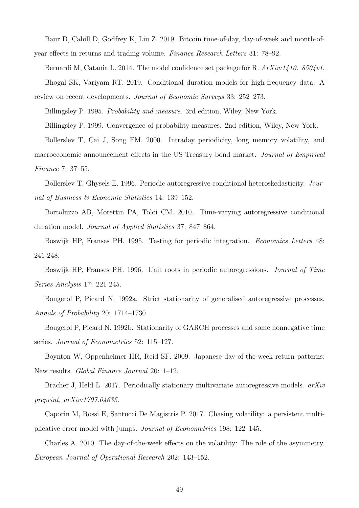Baur D, Cahill D, Godfrey K, Liu Z. 2019. Bitcoin time-of-day, day-of-week and month-ofyear effects in returns and trading volume. Finance Research Letters 31: 78–92.

Bernardi M, Catania L. 2014. The model confidence set package for R.  $ArXiv:1410. 8504v1$ . Bhogal SK, Variyam RT. 2019. Conditional duration models for high-frequency data: A review on recent developments. Journal of Economic Surveys 33: 252–273.

Billingsley P. 1995. Probability and measure. 3rd edition, Wiley, New York.

Billingsley P. 1999. Convergence of probability measures. 2nd edition, Wiley, New York.

Bollerslev T, Cai J, Song FM. 2000. Intraday periodicity, long memory volatility, and macroeconomic announcement effects in the US Treasury bond market. Journal of Empirical Finance 7: 37–55.

Bollerslev T, Ghysels E. 1996. Periodic autoregressive conditional heteroskedasticity. Journal of Business & Economic Statistics 14: 139–152.

Bortoluzzo AB, Morettin PA, Toloi CM. 2010. Time-varying autoregressive conditional duration model. Journal of Applied Statistics 37: 847–864.

Boswijk HP, Franses PH. 1995. Testing for periodic integration. Economics Letters 48: 241-248.

Boswijk HP, Franses PH. 1996. Unit roots in periodic autoregressions. Journal of Time Series Analysis 17: 221-245.

Bougerol P, Picard N. 1992a. Strict stationarity of generalised autoregressive processes. Annals of Probability 20: 1714–1730.

Bougerol P, Picard N. 1992b. Stationarity of GARCH processes and some nonnegative time series. Journal of Econometrics 52: 115–127.

Boynton W, Oppenheimer HR, Reid SF. 2009. Japanese day-of-the-week return patterns: New results. Global Finance Journal 20: 1–12.

Bracher J, Held L. 2017. Periodically stationary multivariate autoregressive models. arXiv preprint, arXiv:1707.04635.

Caporin M, Rossi E, Santucci De Magistris P. 2017. Chasing volatility: a persistent multiplicative error model with jumps. Journal of Econometrics 198: 122–145.

Charles A. 2010. The day-of-the-week effects on the volatility: The role of the asymmetry. European Journal of Operational Research 202: 143–152.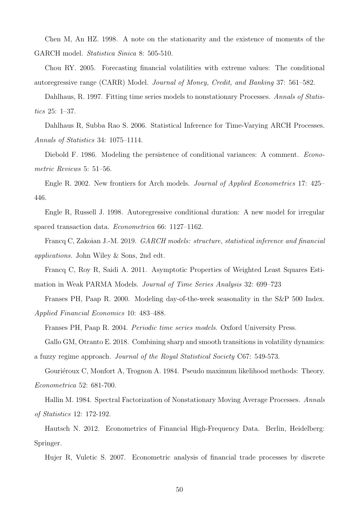Chen M, An HZ. 1998. A note on the stationarity and the existence of moments of the GARCH model. Statistica Sinica 8: 505-510.

Chou RY. 2005. Forecasting financial volatilities with extreme values: The conditional autoregressive range (CARR) Model. Journal of Money, Credit, and Banking 37: 561–582.

Dahlhaus, R. 1997. Fitting time series models to nonstationary Processes. Annals of Statistics 25: 1–37.

Dahlhaus R, Subba Rao S. 2006. Statistical Inference for Time-Varying ARCH Processes. Annals of Statistics 34: 1075–1114.

Diebold F. 1986. Modeling the persistence of conditional variances: A comment. *Econo*metric Reviews 5: 51–56.

Engle R. 2002. New frontiers for Arch models. Journal of Applied Econometrics 17: 425– 446.

Engle R, Russell J. 1998. Autoregressive conditional duration: A new model for irregular spaced transaction data. Econometrica 66: 1127–1162.

Francq C, Zakoian J.-M. 2019. GARCH models: structure, statistical inference and financial applications. John Wiley & Sons, 2nd edt.

Francq C, Roy R, Saidi A. 2011. Asymptotic Properties of Weighted Least Squares Estimation in Weak PARMA Models. Journal of Time Series Analysis 32: 699–723

Franses PH, Paap R. 2000. Modeling day-of-the-week seasonality in the S&P 500 Index. Applied Financial Economics 10: 483–488.

Franses PH, Paap R. 2004. Periodic time series models. Oxford University Press.

Gallo GM, Otranto E. 2018. Combining sharp and smooth transitions in volatility dynamics:

a fuzzy regime approach. Journal of the Royal Statistical Society C67: 549-573.

Gouriéroux C, Monfort A, Trognon A. 1984. Pseudo maximum likelihood methods: Theory. Econometrica 52: 681-700.

Hallin M. 1984. Spectral Factorization of Nonstationary Moving Average Processes. Annals of Statistics 12: 172-192.

Hautsch N. 2012. Econometrics of Financial High-Frequency Data. Berlin, Heidelberg: Springer.

Hujer R, Vuletic S. 2007. Econometric analysis of financial trade processes by discrete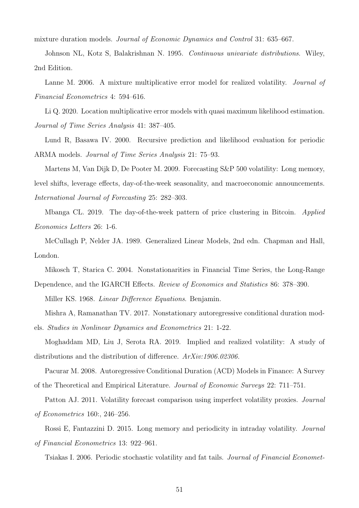mixture duration models. Journal of Economic Dynamics and Control 31: 635–667.

Johnson NL, Kotz S, Balakrishnan N. 1995. Continuous univariate distributions. Wiley, 2nd Edition.

Lanne M. 2006. A mixture multiplicative error model for realized volatility. *Journal of* Financial Econometrics 4: 594–616.

Li Q. 2020. Location multiplicative error models with quasi maximum likelihood estimation. Journal of Time Series Analysis 41: 387–405.

Lund R, Basawa IV. 2000. Recursive prediction and likelihood evaluation for periodic ARMA models. Journal of Time Series Analysis 21: 75–93.

Martens M, Van Dijk D, De Pooter M. 2009. Forecasting S&P 500 volatility: Long memory, level shifts, leverage effects, day-of-the-week seasonality, and macroeconomic announcements. International Journal of Forecasting 25: 282–303.

Mbanga CL. 2019. The day-of-the-week pattern of price clustering in Bitcoin. Applied Economics Letters 26: 1-6.

McCullagh P, Nelder JA. 1989. Generalized Linear Models, 2nd edn. Chapman and Hall, London.

Mikosch T, Starica C. 2004. Nonstationarities in Financial Time Series, the Long-Range Dependence, and the IGARCH Effects. *Review of Economics and Statistics* 86: 378–390.

Miller KS. 1968. *Linear Difference Equations*. Benjamin.

Mishra A, Ramanathan TV. 2017. Nonstationary autoregressive conditional duration models. Studies in Nonlinear Dynamics and Econometrics 21: 1-22.

Moghaddam MD, Liu J, Serota RA. 2019. Implied and realized volatility: A study of distributions and the distribution of difference.  $ArXiv:1906.02306$ .

Pacurar M. 2008. Autoregressive Conditional Duration (ACD) Models in Finance: A Survey of the Theoretical and Empirical Literature. Journal of Economic Surveys 22: 711–751.

Patton AJ. 2011. Volatility forecast comparison using imperfect volatility proxies. Journal of Econometrics 160:, 246–256.

Rossi E, Fantazzini D. 2015. Long memory and periodicity in intraday volatility. Journal of Financial Econometrics 13: 922–961.

Tsiakas I. 2006. Periodic stochastic volatility and fat tails. Journal of Financial Economet-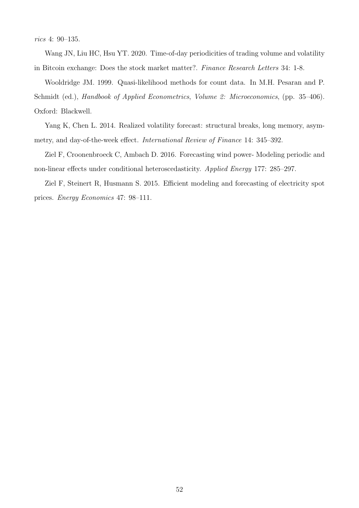rics 4: 90–135.

Wang JN, Liu HC, Hsu YT. 2020. Time-of-day periodicities of trading volume and volatility in Bitcoin exchange: Does the stock market matter?. Finance Research Letters 34: 1-8.

Wooldridge JM. 1999. Quasi-likelihood methods for count data. In M.H. Pesaran and P. Schmidt (ed.), Handbook of Applied Econometrics, Volume 2: Microeconomics, (pp. 35–406). Oxford: Blackwell.

Yang K, Chen L. 2014. Realized volatility forecast: structural breaks, long memory, asymmetry, and day-of-the-week effect. International Review of Finance 14: 345–392.

Ziel F, Croonenbroeck C, Ambach D. 2016. Forecasting wind power- Modeling periodic and non-linear effects under conditional heteroscedasticity. Applied Energy 177: 285–297.

Ziel F, Steinert R, Husmann S. 2015. Efficient modeling and forecasting of electricity spot prices. Energy Economics 47: 98–111.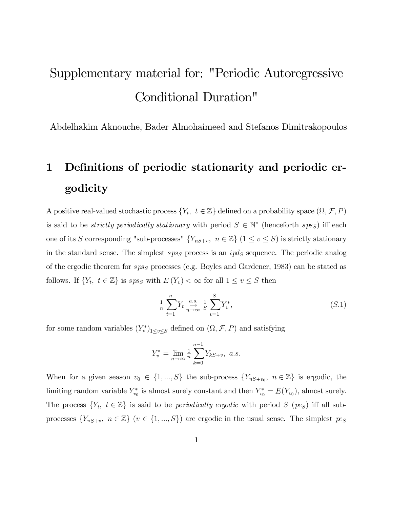# Supplementary material for: "Periodic Autoregressive Conditional Duration"

Abdelhakim Aknouche, Bader Almohaimeed and Stefanos Dimitrakopoulos

# 1 Definitions of periodic stationarity and periodic ergodicity

A positive real-valued stochastic process  $\{Y_t, t \in \mathbb{Z}\}\)$  defined on a probability space  $(\Omega, \mathcal{F}, P)$ is said to be *strictly periodically stationary* with period  $S \in \mathbb{N}^*$  (henceforth sps<sub>S</sub>) iff each one of its S corresponding "sub-processes"  ${Y_{nS+v}, n \in \mathbb{Z}}$  ( $1 \le v \le S$ ) is strictly stationary in the standard sense. The simplest  $sp_{SS}$  process is an  $ipd_S$  sequence. The periodic analog of the ergodic theorem for  $sps_S$  processes (e.g. Boyles and Gardener, 1983) can be stated as follows. If  $\{Y_t, t \in \mathbb{Z}\}\$ is spss with  $E(Y_v) < \infty$  for all  $1 \le v \le S$  then

$$
\frac{1}{n}\sum_{t=1}^{n}Y_t \underset{n\to\infty}{\overset{a.s.}{\to}} \frac{1}{S}\sum_{v=1}^{S}Y_v^*,\tag{S.1}
$$

for some random variables  $(Y_v^*)_{1 \le v \le S}$  defined on  $(\Omega, \mathcal{F}, P)$  and satisfying

$$
Y_v^* = \lim_{n \to \infty} \frac{1}{n} \sum_{k=0}^{n-1} Y_{kS+v}, \ a.s.
$$

When for a given season  $v_0 \in \{1, ..., S\}$  the sub-process  $\{Y_{nS+v_0}, n \in \mathbb{Z}\}\$  is ergodic, the limiting random variable  $Y_{v_0}^*$  is almost surely constant and then  $Y_{v_0}^* = E(Y_{v_0})$ , almost surely. The process  $\{Y_t, t \in \mathbb{Z}\}\$ is said to be *periodically ergodic* with period S (pes) iff all subprocesses  $\{Y_{nS+v}, n \in \mathbb{Z}\}\ (v \in \{1, ..., S\})$  are ergodic in the usual sense. The simplest  $pe_S$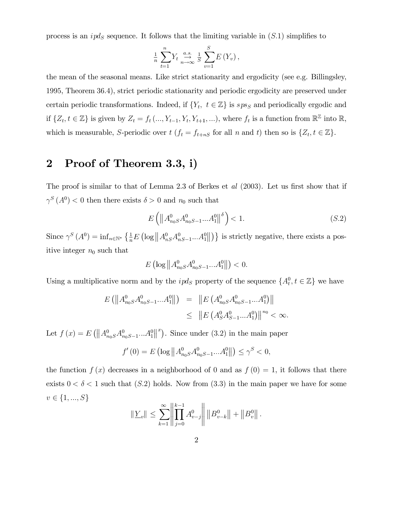process is an  $ipd_S$  sequence. It follows that the limiting variable in  $(S.1)$  simplifies to

$$
\frac{1}{n}\sum_{t=1}^{n}Y_t \stackrel{a.s.}{\to} \frac{1}{S}\sum_{v=1}^{S}E(Y_v),
$$

the mean of the seasonal means. Like strict stationarity and ergodicity (see e.g. Billingsley, 1995, Theorem 36:4), strict periodic stationarity and periodic ergodicity are preserved under certain periodic transformations. Indeed, if  $\{Y_t, t \in \mathbb{Z}\}\$ is  $sys_S$  and periodically ergodic and if  $\{Z_t, t \in \mathbb{Z}\}$  is given by  $Z_t = f_t(..., Y_{t-1}, Y_t, Y_{t+1}, ...)$ , where  $f_t$  is a function from  $\mathbb{R}^{\mathbb{Z}}$  into  $\mathbb{R}$ , which is measurable, S-periodic over  $t$   $(f_t = f_{t+nS}$  for all n and t) then so is  $\{Z_t, t \in \mathbb{Z}\}\.$ 

### 2 Proof of Theorem 3.3, i)

The proof is similar to that of Lemma 2.3 of Berkes et  $al$  (2003). Let us first show that if  $\gamma^S(A^0)$  < 0 then there exists  $\delta > 0$  and  $n_0$  such that

$$
E\left(\left\|A_{n_0S}^0 A_{n_0S-1}^0 \dots A_1^0\right\|^{\delta}\right) < 1. \tag{S.2}
$$

Since  $\gamma^S(A^0) = \inf_{n \in \mathbb{N}^*} \left\{ \frac{1}{n} E\left( \log \left\| A_{nS}^0 A_{nS-1}^0 \ldots A_1^0 \right\| \right) \right\}$  is strictly negative, there exists a positive integer  $n_0$  such that

$$
E\left(\log\left\|A_{n_0S}^0 A_{n_0S-1}^0...A_1^0\right\|\right) < 0.
$$

Using a multiplicative norm and by the  $ipd_S$  property of the sequence  $\{A_t^0, t \in \mathbb{Z}\}\$  we have

$$
E\left(\left\|A_{n_0S}^0 A_{n_0S-1}^0 \dots A_1^0\right\|\right) = \left\|E\left(A_{n_0S}^0 A_{n_0S-1}^0 \dots A_1^0\right)\right\| \le \left\|E\left(A_S^0 A_{S-1}^0 \dots A_1^0\right)\right\|^{n_0} < \infty.
$$

Let  $f(x) = E(||A_{n_0S}^0 A_{n_0S-1}^0 ... A_1^0||^x)$ . Since under (3.2) in the main paper

$$
f'(0) = E\left(\log \left\| A_{n_0S}^0 A_{n_0S-1}^0 \dots A_1^0 \right\| \right) \le \gamma^S < 0,
$$

the function  $f(x)$  decreases in a neighborhood of 0 and as  $f(0) = 1$ , it follows that there exists  $0 < \delta < 1$  such that  $(S.2)$  holds. Now from  $(3.3)$  in the main paper we have for some  $v \in \{1, ..., S\}$ 

$$
\|\underline{Y}_{v}\| \leq \sum_{k=1}^{\infty} \left\|\prod_{j=0}^{k-1} A_{v-j}^{0}\right\| \left\|B_{v-k}^{0}\right\| + \left\|B_{v}^{0}\right\|.
$$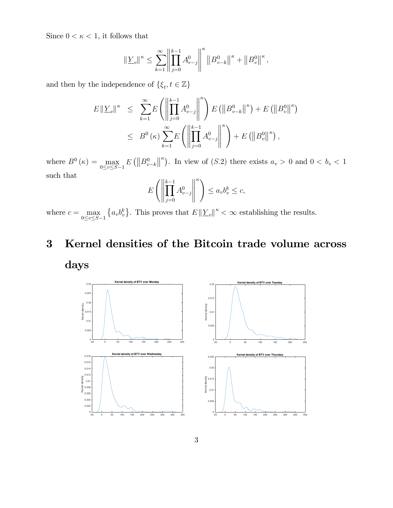Since  $0 < \kappa < 1$ , it follows that

$$
\|\underline{Y}_{v}\|^{\kappa} \leq \sum_{k=1}^{\infty} \left\|\prod_{j=0}^{k-1} A_{v-j}^{0}\right\|^{\kappa} \left\|B_{v-k}^{0}\right\|^{\kappa} + \left\|B_{v}^{0}\right\|^{\kappa},
$$

and then by the independence of  $\{\xi_t, t \in \mathbb{Z}\}\$ 

$$
E || \underline{Y}_{v} ||^{\kappa} \leq \sum_{k=1}^{\infty} E \left( \left\| \prod_{j=0}^{k-1} A_{v-j}^{0} \right\|^{k} \right) E \left( \left\| B_{v-k}^{0} \right\|^{k} \right) + E \left( \left\| B_{v}^{0} \right\|^{k} \right)
$$
  

$$
\leq B^{0} (\kappa) \sum_{k=1}^{\infty} E \left( \left\| \prod_{j=0}^{k-1} A_{v-j}^{0} \right\|^{k} \right) + E \left( \left\| B_{v}^{0} \right\|^{k} \right),
$$

where  $B^0(\kappa) = \max_{0 \le v \le S-1} E(|B_{v-J}^0|)$  $E\left(\left\|B_{v-k}^0\right\|^{\kappa}\right)$ . In view of  $(S.2)$  there exists  $a_v > 0$  and  $0 < b_v < 1$ such that

$$
E\left(\left\|\prod_{j=0}^{k-1} A_{v-j}^0\right\|^{\kappa}\right) \le a_v b_v^k \le c,
$$

where  $c = \max_{0 \le v \le S-1} \{a_v b_v^k\}$ .  ${a_v b_v^k}$ . This proves that  $E \|\underline{Y}_v\|^{\kappa} < \infty$  establishing the results.

# 3 Kernel densities of the Bitcoin trade volume across days

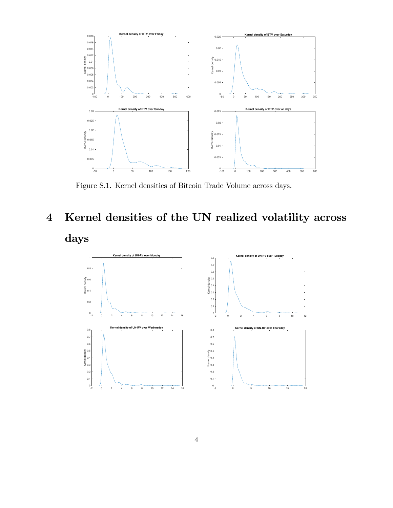

Figure S.1. Kernel densities of Bitcoin Trade Volume across days.

# 4 Kernel densities of the UN realized volatility across days

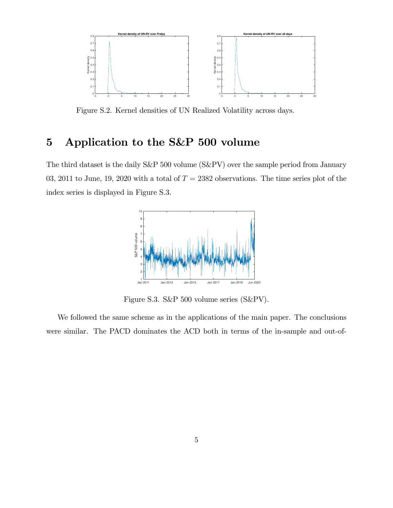

Figure S.2. Kernel densities of UN Realized Volatility across days.

## 5 Application to the S&P 500 volume

The third dataset is the daily S&P 500 volume (S&PV) over the sample period from January 03, 2011 to June, 19, 2020 with a total of  $T = 2382$  observations. The time series plot of the index series is displayed in Figure S.3.



Figure S.3. S&P 500 volume series (S&PV).

We followed the same scheme as in the applications of the main paper. The conclusions were similar. The PACD dominates the ACD both in terms of the in-sample and out-of-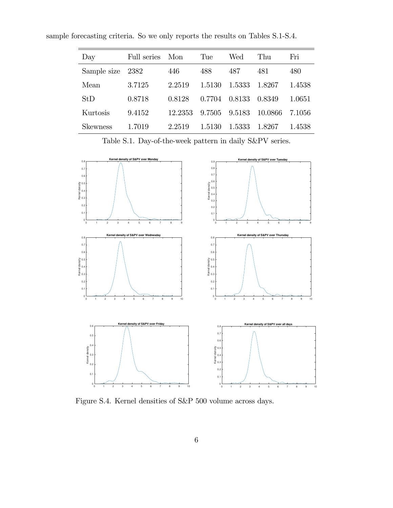sample forecasting criteria. So we only reports the results on Tables S.1-S.4.

| Day         | Full series | Mon     | Tue    | Wed    | Thu     | Fri    |
|-------------|-------------|---------|--------|--------|---------|--------|
| Sample size | 2382        | 446     | 488    | 487    | 481     | 480    |
| Mean        | 3.7125      | 2.2519  | 1.5130 | 1.5333 | 1.8267  | 1.4538 |
| StD         | 0.8718      | 0.8128  | 0.7704 | 0.8133 | 0.8349  | 1.0651 |
| Kurtosis    | 9.4152      | 12.2353 | 9.7505 | 9.5183 | 10.0866 | 7.1056 |
| Skewness    | 1.7019      | 2.2519  | 1.5130 | 1.5333 | 1.8267  | 1.4538 |

Table S.1. Day-of-the-week pattern in daily S&PV series.



Figure S.4. Kernel densities of S&P 500 volume across days.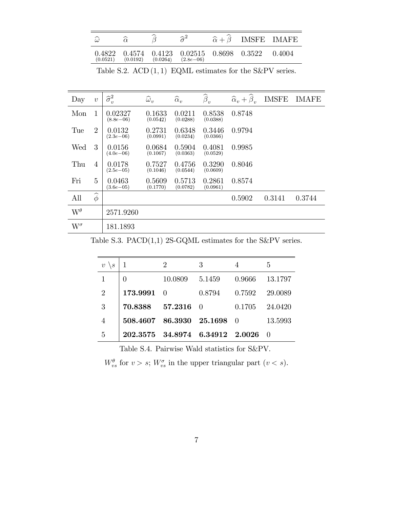|          |          | ∼        | $\mathord{\sim}2$                                                                |  | $\hat{\alpha} + \beta$ IMSFE IMAFE |
|----------|----------|----------|----------------------------------------------------------------------------------|--|------------------------------------|
| (0.0521) | (0.0192) | (0.0264) | $0.4822$ $0.4574$ $0.4123$ $0.02515$ $0.8698$ $0.3522$ $0.4004$<br>$(2.8e{-06})$ |  |                                    |

Table S.2.  $\text{ACD}(1, 1)$  EQML estimates for the S&PV series.

| Day                 | $\upsilon$       | $\widehat{\sigma}_{v}^{2}$ | $\widehat{\omega}_v$ | $\widehat{\alpha}_v$ | $\widehat{\boldsymbol{\beta}}_v$ | $\widehat{\alpha}_v + \widehat{\beta}_v$ | <b>IMSFE</b> | IMAFE  |
|---------------------|------------------|----------------------------|----------------------|----------------------|----------------------------------|------------------------------------------|--------------|--------|
| Mon                 | 1                | 0.02327<br>$(8.8e - 06)$   | 0.1633<br>(0.0542)   | 0.0211<br>(0.0288)   | 0.8538<br>(0.0388)               | 0.8748                                   |              |        |
| Tue                 | $\overline{2}$   | 0.0132<br>$(2.3e{-06})$    | 0.2731<br>(0.0991)   | 0.6348<br>(0.0234)   | 0.3446<br>(0.0366)               | 0.9794                                   |              |        |
| Wed                 | 3                | 0.0156<br>$(4.0e{-06})$    | 0.0684<br>(0.1067)   | 0.5904<br>(0.0363)   | 0.4081<br>(0.0529)               | 0.9985                                   |              |        |
| Thu                 | 4                | 0.0178<br>$(2.5e{-05})$    | 0.7527<br>(0.1046)   | 0.4756<br>(0.0544)   | 0.3290<br>(0.0609)               | 0.8046                                   |              |        |
| Fri                 | 5                | 0.0463<br>$(3.6e{-05})$    | 0.5609<br>(0.1770)   | 0.5713<br>(0.0782)   | 0.2861<br>(0.0961)               | 0.8574                                   |              |        |
| All                 | $\widehat{\phi}$ |                            |                      |                      |                                  | 0.5902                                   | 0.3141       | 0.3744 |
| $\mathrm{W}^\theta$ |                  | 2571.9260                  |                      |                      |                                  |                                          |              |        |
| $\mathrm{W}^\sigma$ |                  | 181.1893                   |                      |                      |                                  |                                          |              |        |

Table S.3. PACD $(1,1)$  2S-GQML estimates for the S&PV series.

| $\upsilon$<br>$\mathcal{S}_{0}$ |                                 | 2        | 3      | 4        | 5          |
|---------------------------------|---------------------------------|----------|--------|----------|------------|
|                                 | 0                               | 10.0809  | 5.1459 | 0.9666   | 13.1797    |
| $\overline{2}$                  | 173.9991                        | $\Box$ 0 | 0.8794 | 0.7592   | 29.0089    |
| 3                               | 70.8388                         | 57.2316  | - 0    | 0.1705   | 24.0420    |
| $\overline{4}$                  | 508.4607 86.3930 25.1698        |          |        | $\Box$ 0 | 13.5993    |
| 5                               | 202.3575 34.8974 6.34912 2.0026 |          |        |          | $\bigcirc$ |

Table S.4. Pairwise Wald statistics for S&PV.

 $W_{vs}^{\theta}$  for  $v > s$ ;  $W_{vs}^{\sigma}$  in the upper triangular part  $(v < s)$ .